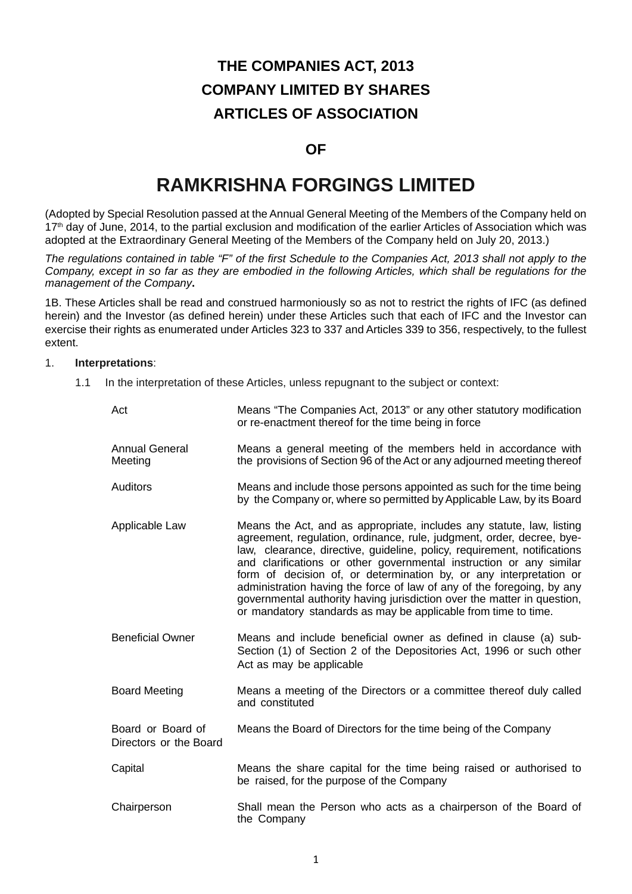# **THE COMPANIES ACT, 2013 COMPANY LIMITED BY SHARES ARTICLES OF ASSOCIATION**

# **OF**

# **RAMKRISHNA FORGINGS LIMITED**

(Adopted by Special Resolution passed at the Annual General Meeting of the Members of the Company held on 17<sup>th</sup> day of June, 2014, to the partial exclusion and modification of the earlier Articles of Association which was adopted at the Extraordinary General Meeting of the Members of the Company held on July 20, 2013.)

*The regulations contained in table "F" of the first Schedule to the Companies Act, 2013 shall not apply to the Company, except in so far as they are embodied in the following Articles, which shall be regulations for the management of the Company***.**

1B. These Articles shall be read and construed harmoniously so as not to restrict the rights of IFC (as defined herein) and the Investor (as defined herein) under these Articles such that each of IFC and the Investor can exercise their rights as enumerated under Articles 323 to 337 and Articles 339 to 356, respectively, to the fullest extent.

#### 1. **Interpretations**:

1.1 In the interpretation of these Articles, unless repugnant to the subject or context:

| Act                                         | Means "The Companies Act, 2013" or any other statutory modification<br>or re-enactment thereof for the time being in force                                                                                                                                                                                                                                                                                                                                                                                                                                                                     |  |  |  |
|---------------------------------------------|------------------------------------------------------------------------------------------------------------------------------------------------------------------------------------------------------------------------------------------------------------------------------------------------------------------------------------------------------------------------------------------------------------------------------------------------------------------------------------------------------------------------------------------------------------------------------------------------|--|--|--|
| <b>Annual General</b><br>Meeting            | Means a general meeting of the members held in accordance with<br>the provisions of Section 96 of the Act or any adjourned meeting thereof                                                                                                                                                                                                                                                                                                                                                                                                                                                     |  |  |  |
| <b>Auditors</b>                             | Means and include those persons appointed as such for the time being<br>by the Company or, where so permitted by Applicable Law, by its Board                                                                                                                                                                                                                                                                                                                                                                                                                                                  |  |  |  |
| Applicable Law                              | Means the Act, and as appropriate, includes any statute, law, listing<br>agreement, regulation, ordinance, rule, judgment, order, decree, bye-<br>law, clearance, directive, guideline, policy, requirement, notifications<br>and clarifications or other governmental instruction or any similar<br>form of decision of, or determination by, or any interpretation or<br>administration having the force of law of any of the foregoing, by any<br>governmental authority having jurisdiction over the matter in question,<br>or mandatory standards as may be applicable from time to time. |  |  |  |
| <b>Beneficial Owner</b>                     | Means and include beneficial owner as defined in clause (a) sub-<br>Section (1) of Section 2 of the Depositories Act, 1996 or such other<br>Act as may be applicable                                                                                                                                                                                                                                                                                                                                                                                                                           |  |  |  |
| <b>Board Meeting</b>                        | Means a meeting of the Directors or a committee thereof duly called<br>and constituted                                                                                                                                                                                                                                                                                                                                                                                                                                                                                                         |  |  |  |
| Board or Board of<br>Directors or the Board | Means the Board of Directors for the time being of the Company                                                                                                                                                                                                                                                                                                                                                                                                                                                                                                                                 |  |  |  |
| Capital                                     | Means the share capital for the time being raised or authorised to<br>be raised, for the purpose of the Company                                                                                                                                                                                                                                                                                                                                                                                                                                                                                |  |  |  |
| Chairperson                                 | Shall mean the Person who acts as a chairperson of the Board of<br>the Company                                                                                                                                                                                                                                                                                                                                                                                                                                                                                                                 |  |  |  |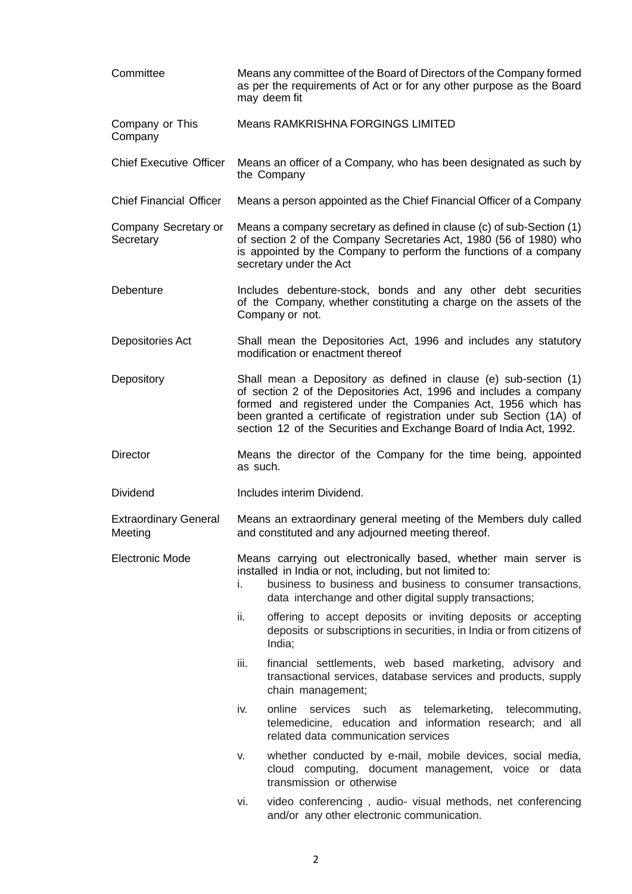| Committee                               | Means any committee of the Board of Directors of the Company formed<br>as per the requirements of Act or for any other purpose as the Board<br>may deem fit                                                                                                                                                                                           |  |  |  |  |
|-----------------------------------------|-------------------------------------------------------------------------------------------------------------------------------------------------------------------------------------------------------------------------------------------------------------------------------------------------------------------------------------------------------|--|--|--|--|
| Company or This<br>Company              | Means RAMKRISHNA FORGINGS LIMITED                                                                                                                                                                                                                                                                                                                     |  |  |  |  |
| <b>Chief Executive Officer</b>          | Means an officer of a Company, who has been designated as such by<br>the Company                                                                                                                                                                                                                                                                      |  |  |  |  |
| <b>Chief Financial Officer</b>          | Means a person appointed as the Chief Financial Officer of a Company                                                                                                                                                                                                                                                                                  |  |  |  |  |
| Company Secretary or<br>Secretary       | Means a company secretary as defined in clause (c) of sub-Section (1)<br>of section 2 of the Company Secretaries Act, 1980 (56 of 1980) who<br>is appointed by the Company to perform the functions of a company<br>secretary under the Act                                                                                                           |  |  |  |  |
| Debenture                               | Includes debenture-stock, bonds and any other debt securities<br>of the Company, whether constituting a charge on the assets of the<br>Company or not.                                                                                                                                                                                                |  |  |  |  |
| Depositories Act                        | Shall mean the Depositories Act, 1996 and includes any statutory<br>modification or enactment thereof                                                                                                                                                                                                                                                 |  |  |  |  |
| Depository                              | Shall mean a Depository as defined in clause (e) sub-section (1)<br>of section 2 of the Depositories Act, 1996 and includes a company<br>formed and registered under the Companies Act, 1956 which has<br>been granted a certificate of registration under sub Section (1A) of<br>section 12 of the Securities and Exchange Board of India Act, 1992. |  |  |  |  |
| <b>Director</b>                         | Means the director of the Company for the time being, appointed<br>as such.                                                                                                                                                                                                                                                                           |  |  |  |  |
| <b>Dividend</b>                         | Includes interim Dividend.                                                                                                                                                                                                                                                                                                                            |  |  |  |  |
| <b>Extraordinary General</b><br>Meeting | Means an extraordinary general meeting of the Members duly called<br>and constituted and any adjourned meeting thereof.                                                                                                                                                                                                                               |  |  |  |  |
| <b>Electronic Mode</b>                  | Means carrying out electronically based, whether main server is<br>installed in India or not, including, but not limited to:<br>business to business and business to consumer transactions,<br>İ.<br>data interchange and other digital supply transactions;                                                                                          |  |  |  |  |
|                                         | ii.<br>offering to accept deposits or inviting deposits or accepting<br>deposits or subscriptions in securities, in India or from citizens of<br>India;                                                                                                                                                                                               |  |  |  |  |
|                                         | iii.<br>financial settlements, web based marketing, advisory and<br>transactional services, database services and products, supply<br>chain management;                                                                                                                                                                                               |  |  |  |  |
|                                         | iv.<br>online<br>services such as telemarketing, telecommuting,<br>telemedicine, education and information research; and all<br>related data communication services                                                                                                                                                                                   |  |  |  |  |
|                                         | whether conducted by e-mail, mobile devices, social media,<br>V.<br>cloud computing, document management, voice or data<br>transmission or otherwise                                                                                                                                                                                                  |  |  |  |  |
|                                         | video conferencing, audio- visual methods, net conferencing<br>vi.<br>and/or any other electronic communication.                                                                                                                                                                                                                                      |  |  |  |  |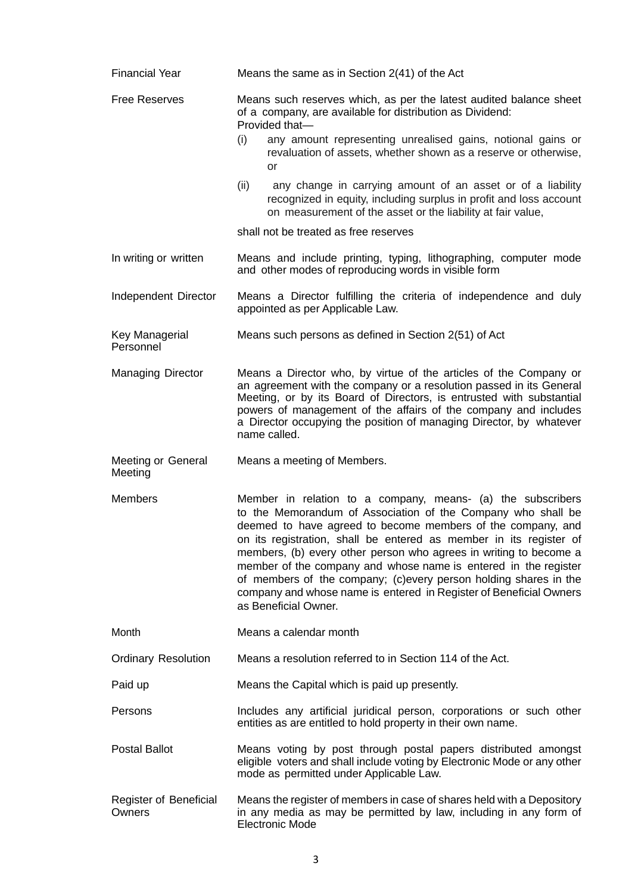| <b>Financial Year</b>                                                                                                                                                                                                                                                                                                                                                                                                                                                                                                                                                                        | Means the same as in Section 2(41) of the Act                                                                                                                                                                                                                                                                                                                              |  |  |  |  |
|----------------------------------------------------------------------------------------------------------------------------------------------------------------------------------------------------------------------------------------------------------------------------------------------------------------------------------------------------------------------------------------------------------------------------------------------------------------------------------------------------------------------------------------------------------------------------------------------|----------------------------------------------------------------------------------------------------------------------------------------------------------------------------------------------------------------------------------------------------------------------------------------------------------------------------------------------------------------------------|--|--|--|--|
| <b>Free Reserves</b>                                                                                                                                                                                                                                                                                                                                                                                                                                                                                                                                                                         | Means such reserves which, as per the latest audited balance sheet<br>of a company, are available for distribution as Dividend:<br>Provided that-                                                                                                                                                                                                                          |  |  |  |  |
|                                                                                                                                                                                                                                                                                                                                                                                                                                                                                                                                                                                              | (i)<br>any amount representing unrealised gains, notional gains or<br>revaluation of assets, whether shown as a reserve or otherwise,<br>or                                                                                                                                                                                                                                |  |  |  |  |
|                                                                                                                                                                                                                                                                                                                                                                                                                                                                                                                                                                                              | (ii)<br>any change in carrying amount of an asset or of a liability<br>recognized in equity, including surplus in profit and loss account<br>on measurement of the asset or the liability at fair value,                                                                                                                                                                   |  |  |  |  |
|                                                                                                                                                                                                                                                                                                                                                                                                                                                                                                                                                                                              | shall not be treated as free reserves                                                                                                                                                                                                                                                                                                                                      |  |  |  |  |
| In writing or written                                                                                                                                                                                                                                                                                                                                                                                                                                                                                                                                                                        | Means and include printing, typing, lithographing, computer mode<br>and other modes of reproducing words in visible form                                                                                                                                                                                                                                                   |  |  |  |  |
| Independent Director                                                                                                                                                                                                                                                                                                                                                                                                                                                                                                                                                                         | Means a Director fulfilling the criteria of independence and duly<br>appointed as per Applicable Law.                                                                                                                                                                                                                                                                      |  |  |  |  |
| Key Managerial<br>Personnel                                                                                                                                                                                                                                                                                                                                                                                                                                                                                                                                                                  | Means such persons as defined in Section 2(51) of Act                                                                                                                                                                                                                                                                                                                      |  |  |  |  |
| <b>Managing Director</b>                                                                                                                                                                                                                                                                                                                                                                                                                                                                                                                                                                     | Means a Director who, by virtue of the articles of the Company or<br>an agreement with the company or a resolution passed in its General<br>Meeting, or by its Board of Directors, is entrusted with substantial<br>powers of management of the affairs of the company and includes<br>a Director occupying the position of managing Director, by whatever<br>name called. |  |  |  |  |
| <b>Meeting or General</b><br>Meeting                                                                                                                                                                                                                                                                                                                                                                                                                                                                                                                                                         | Means a meeting of Members.                                                                                                                                                                                                                                                                                                                                                |  |  |  |  |
| <b>Members</b><br>Member in relation to a company, means- (a) the subscribers<br>to the Memorandum of Association of the Company who shall be<br>deemed to have agreed to become members of the company, and<br>on its registration, shall be entered as member in its register of<br>members, (b) every other person who agrees in writing to become a<br>member of the company and whose name is entered in the register<br>of members of the company; (c)every person holding shares in the<br>company and whose name is entered in Register of Beneficial Owners<br>as Beneficial Owner. |                                                                                                                                                                                                                                                                                                                                                                            |  |  |  |  |
| Month                                                                                                                                                                                                                                                                                                                                                                                                                                                                                                                                                                                        | Means a calendar month                                                                                                                                                                                                                                                                                                                                                     |  |  |  |  |
| <b>Ordinary Resolution</b>                                                                                                                                                                                                                                                                                                                                                                                                                                                                                                                                                                   | Means a resolution referred to in Section 114 of the Act.                                                                                                                                                                                                                                                                                                                  |  |  |  |  |
| Paid up                                                                                                                                                                                                                                                                                                                                                                                                                                                                                                                                                                                      | Means the Capital which is paid up presently.                                                                                                                                                                                                                                                                                                                              |  |  |  |  |
| Persons                                                                                                                                                                                                                                                                                                                                                                                                                                                                                                                                                                                      | Includes any artificial juridical person, corporations or such other<br>entities as are entitled to hold property in their own name.                                                                                                                                                                                                                                       |  |  |  |  |
| <b>Postal Ballot</b>                                                                                                                                                                                                                                                                                                                                                                                                                                                                                                                                                                         | Means voting by post through postal papers distributed amongst<br>eligible voters and shall include voting by Electronic Mode or any other<br>mode as permitted under Applicable Law.                                                                                                                                                                                      |  |  |  |  |
| Register of Beneficial<br>Owners                                                                                                                                                                                                                                                                                                                                                                                                                                                                                                                                                             | Means the register of members in case of shares held with a Depository<br>in any media as may be permitted by law, including in any form of<br><b>Electronic Mode</b>                                                                                                                                                                                                      |  |  |  |  |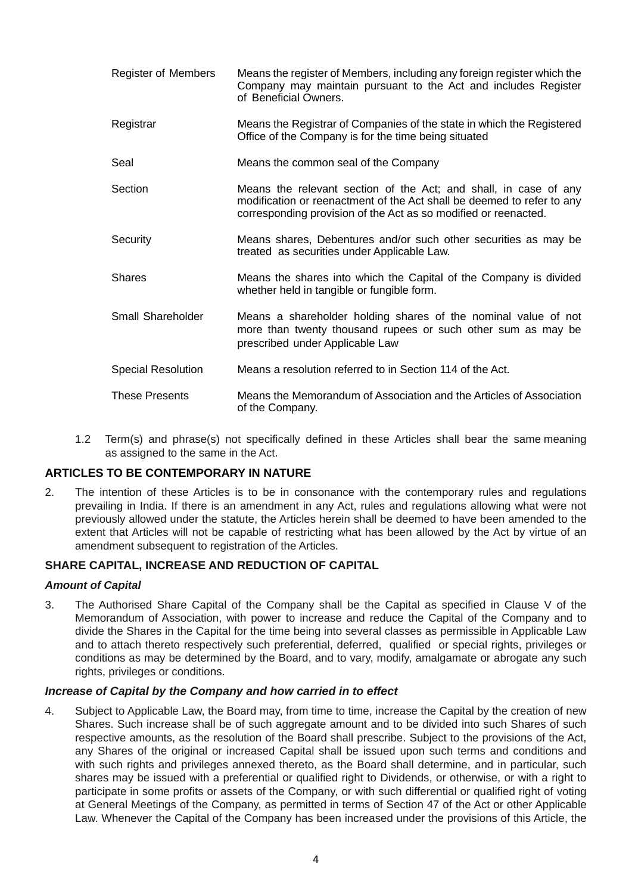| <b>Register of Members</b> | Means the register of Members, including any foreign register which the<br>Company may maintain pursuant to the Act and includes Register<br>of Beneficial Owners.                                            |  |  |  |
|----------------------------|---------------------------------------------------------------------------------------------------------------------------------------------------------------------------------------------------------------|--|--|--|
| Registrar                  | Means the Registrar of Companies of the state in which the Registered<br>Office of the Company is for the time being situated                                                                                 |  |  |  |
| Seal                       | Means the common seal of the Company                                                                                                                                                                          |  |  |  |
| Section                    | Means the relevant section of the Act; and shall, in case of any<br>modification or reenactment of the Act shall be deemed to refer to any<br>corresponding provision of the Act as so modified or reenacted. |  |  |  |
| Security                   | Means shares, Debentures and/or such other securities as may be<br>treated as securities under Applicable Law.                                                                                                |  |  |  |
| <b>Shares</b>              | Means the shares into which the Capital of the Company is divided<br>whether held in tangible or fungible form.                                                                                               |  |  |  |
| Small Shareholder          | Means a shareholder holding shares of the nominal value of not<br>more than twenty thousand rupees or such other sum as may be<br>prescribed under Applicable Law                                             |  |  |  |
| <b>Special Resolution</b>  | Means a resolution referred to in Section 114 of the Act.                                                                                                                                                     |  |  |  |
| <b>These Presents</b>      | Means the Memorandum of Association and the Articles of Association<br>of the Company.                                                                                                                        |  |  |  |

 1.2 Term(s) and phrase(s) not specifically defined in these Articles shall bear the same meaning as assigned to the same in the Act.

# **ARTICLES TO BE CONTEMPORARY IN NATURE**

2. The intention of these Articles is to be in consonance with the contemporary rules and regulations prevailing in India. If there is an amendment in any Act, rules and regulations allowing what were not previously allowed under the statute, the Articles herein shall be deemed to have been amended to the extent that Articles will not be capable of restricting what has been allowed by the Act by virtue of an amendment subsequent to registration of the Articles.

# **SHARE CAPITAL, INCREASE AND REDUCTION OF CAPITAL**

# *Amount of Capital*

3. The Authorised Share Capital of the Company shall be the Capital as specified in Clause V of the Memorandum of Association, with power to increase and reduce the Capital of the Company and to divide the Shares in the Capital for the time being into several classes as permissible in Applicable Law and to attach thereto respectively such preferential, deferred, qualified or special rights, privileges or conditions as may be determined by the Board, and to vary, modify, amalgamate or abrogate any such rights, privileges or conditions.

# *Increase of Capital by the Company and how carried in to effect*

4. Subject to Applicable Law, the Board may, from time to time, increase the Capital by the creation of new Shares. Such increase shall be of such aggregate amount and to be divided into such Shares of such respective amounts, as the resolution of the Board shall prescribe. Subject to the provisions of the Act, any Shares of the original or increased Capital shall be issued upon such terms and conditions and with such rights and privileges annexed thereto, as the Board shall determine, and in particular, such shares may be issued with a preferential or qualified right to Dividends, or otherwise, or with a right to participate in some profits or assets of the Company, or with such differential or qualified right of voting at General Meetings of the Company, as permitted in terms of Section 47 of the Act or other Applicable Law. Whenever the Capital of the Company has been increased under the provisions of this Article, the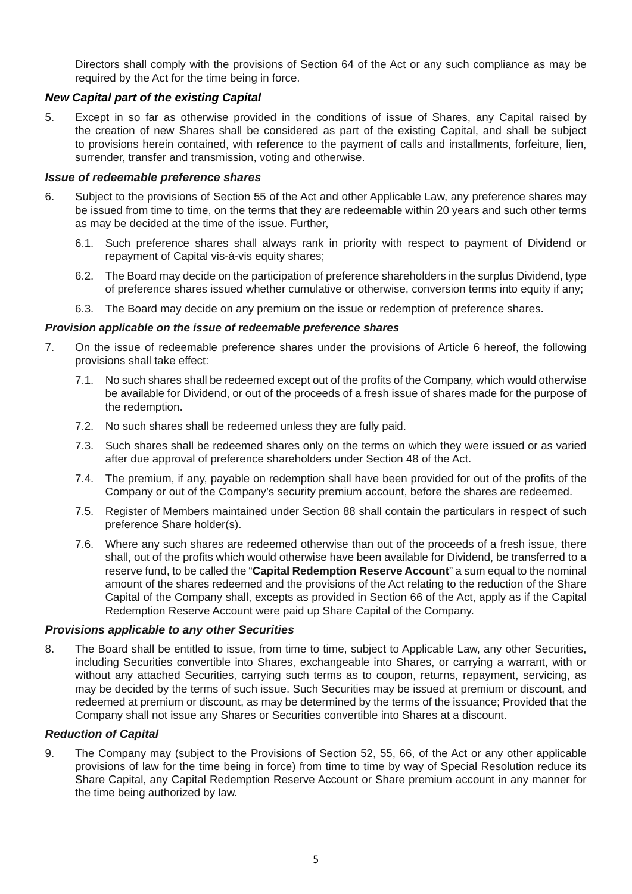Directors shall comply with the provisions of Section 64 of the Act or any such compliance as may be required by the Act for the time being in force.

# *New Capital part of the existing Capital*

5. Except in so far as otherwise provided in the conditions of issue of Shares, any Capital raised by the creation of new Shares shall be considered as part of the existing Capital, and shall be subject to provisions herein contained, with reference to the payment of calls and installments, forfeiture, lien, surrender, transfer and transmission, voting and otherwise.

#### *Issue of redeemable preference shares*

- 6. Subject to the provisions of Section 55 of the Act and other Applicable Law, any preference shares may be issued from time to time, on the terms that they are redeemable within 20 years and such other terms as may be decided at the time of the issue. Further,
	- 6.1. Such preference shares shall always rank in priority with respect to payment of Dividend or repayment of Capital vis-à-vis equity shares;
	- 6.2. The Board may decide on the participation of preference shareholders in the surplus Dividend, type of preference shares issued whether cumulative or otherwise, conversion terms into equity if any;
	- 6.3. The Board may decide on any premium on the issue or redemption of preference shares.

#### *Provision applicable on the issue of redeemable preference shares*

- 7. On the issue of redeemable preference shares under the provisions of Article 6 hereof, the following provisions shall take effect:
	- 7.1. No such shares shall be redeemed except out of the profits of the Company, which would otherwise be available for Dividend, or out of the proceeds of a fresh issue of shares made for the purpose of the redemption.
	- 7.2. No such shares shall be redeemed unless they are fully paid.
	- 7.3. Such shares shall be redeemed shares only on the terms on which they were issued or as varied after due approval of preference shareholders under Section 48 of the Act.
	- 7.4. The premium, if any, payable on redemption shall have been provided for out of the profits of the Company or out of the Company's security premium account, before the shares are redeemed.
	- 7.5. Register of Members maintained under Section 88 shall contain the particulars in respect of such preference Share holder(s).
	- 7.6. Where any such shares are redeemed otherwise than out of the proceeds of a fresh issue, there shall, out of the profits which would otherwise have been available for Dividend, be transferred to a reserve fund, to be called the "**Capital Redemption Reserve Account**" a sum equal to the nominal amount of the shares redeemed and the provisions of the Act relating to the reduction of the Share Capital of the Company shall, excepts as provided in Section 66 of the Act, apply as if the Capital Redemption Reserve Account were paid up Share Capital of the Company.

#### *Provisions applicable to any other Securities*

8. The Board shall be entitled to issue, from time to time, subject to Applicable Law, any other Securities, including Securities convertible into Shares, exchangeable into Shares, or carrying a warrant, with or without any attached Securities, carrying such terms as to coupon, returns, repayment, servicing, as may be decided by the terms of such issue. Such Securities may be issued at premium or discount, and redeemed at premium or discount, as may be determined by the terms of the issuance; Provided that the Company shall not issue any Shares or Securities convertible into Shares at a discount.

# *Reduction of Capital*

9. The Company may (subject to the Provisions of Section 52, 55, 66, of the Act or any other applicable provisions of law for the time being in force) from time to time by way of Special Resolution reduce its Share Capital, any Capital Redemption Reserve Account or Share premium account in any manner for the time being authorized by law.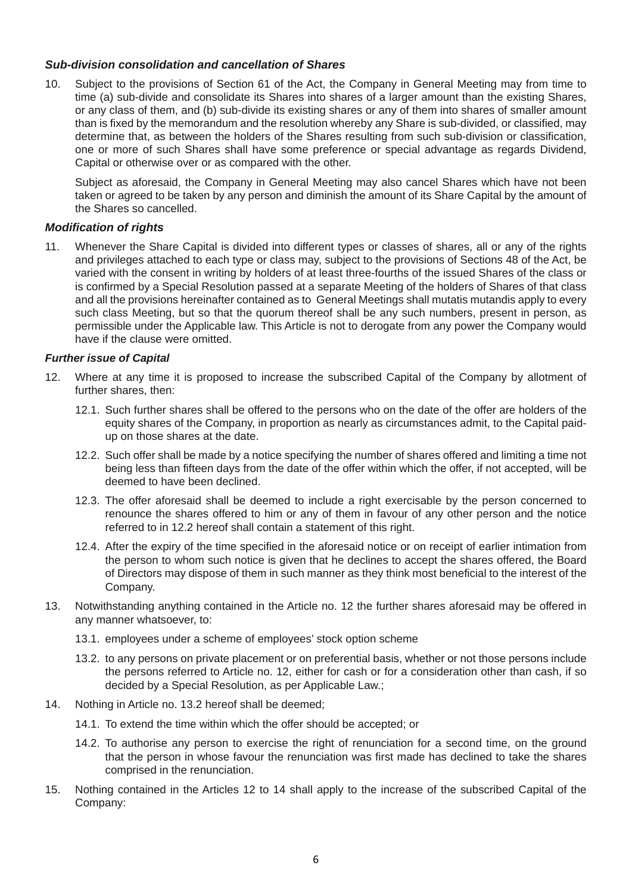## *Sub-division consolidation and cancellation of Shares*

10. Subject to the provisions of Section 61 of the Act, the Company in General Meeting may from time to time (a) sub-divide and consolidate its Shares into shares of a larger amount than the existing Shares, or any class of them, and (b) sub-divide its existing shares or any of them into shares of smaller amount than is fixed by the memorandum and the resolution whereby any Share is sub-divided, or classified, may determine that, as between the holders of the Shares resulting from such sub-division or classification, one or more of such Shares shall have some preference or special advantage as regards Dividend, Capital or otherwise over or as compared with the other.

 Subject as aforesaid, the Company in General Meeting may also cancel Shares which have not been taken or agreed to be taken by any person and diminish the amount of its Share Capital by the amount of the Shares so cancelled.

## *Modification of rights*

11. Whenever the Share Capital is divided into different types or classes of shares, all or any of the rights and privileges attached to each type or class may, subject to the provisions of Sections 48 of the Act, be varied with the consent in writing by holders of at least three-fourths of the issued Shares of the class or is confirmed by a Special Resolution passed at a separate Meeting of the holders of Shares of that class and all the provisions hereinafter contained as to General Meetings shall mutatis mutandis apply to every such class Meeting, but so that the quorum thereof shall be any such numbers, present in person, as permissible under the Applicable law. This Article is not to derogate from any power the Company would have if the clause were omitted.

#### *Further issue of Capital*

- 12. Where at any time it is proposed to increase the subscribed Capital of the Company by allotment of further shares, then:
	- 12.1. Such further shares shall be offered to the persons who on the date of the offer are holders of the equity shares of the Company, in proportion as nearly as circumstances admit, to the Capital paidup on those shares at the date.
	- 12.2. Such offer shall be made by a notice specifying the number of shares offered and limiting a time not being less than fifteen days from the date of the offer within which the offer, if not accepted, will be deemed to have been declined.
	- 12.3. The offer aforesaid shall be deemed to include a right exercisable by the person concerned to renounce the shares offered to him or any of them in favour of any other person and the notice referred to in 12.2 hereof shall contain a statement of this right.
	- 12.4. After the expiry of the time specified in the aforesaid notice or on receipt of earlier intimation from the person to whom such notice is given that he declines to accept the shares offered, the Board of Directors may dispose of them in such manner as they think most beneficial to the interest of the Company.
- 13. Notwithstanding anything contained in the Article no. 12 the further shares aforesaid may be offered in any manner whatsoever, to:
	- 13.1. employees under a scheme of employees' stock option scheme
	- 13.2. to any persons on private placement or on preferential basis, whether or not those persons include the persons referred to Article no. 12, either for cash or for a consideration other than cash, if so decided by a Special Resolution, as per Applicable Law.;
- 14. Nothing in Article no. 13.2 hereof shall be deemed;
	- 14.1. To extend the time within which the offer should be accepted; or
	- 14.2. To authorise any person to exercise the right of renunciation for a second time, on the ground that the person in whose favour the renunciation was first made has declined to take the shares comprised in the renunciation.
- 15. Nothing contained in the Articles 12 to 14 shall apply to the increase of the subscribed Capital of the Company: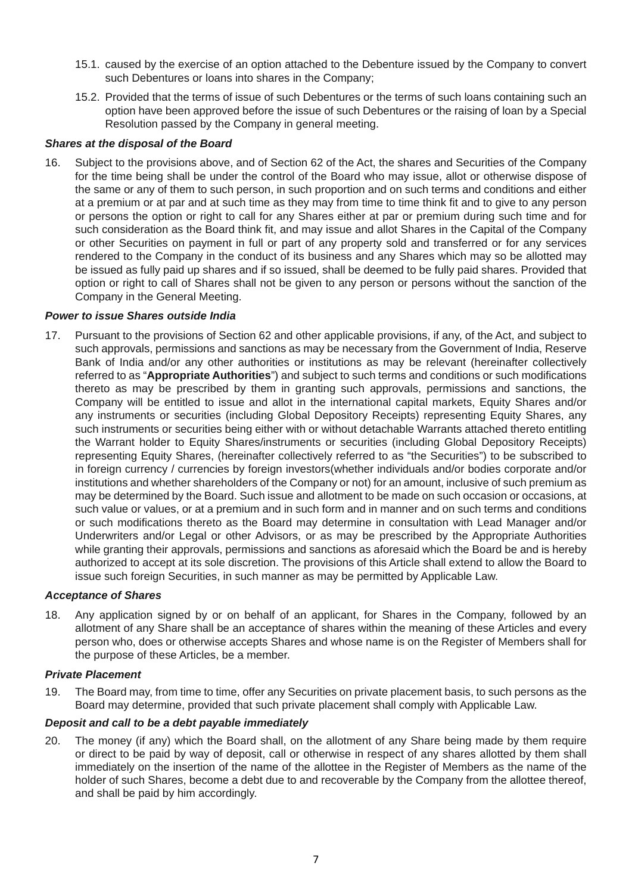- 15.1. caused by the exercise of an option attached to the Debenture issued by the Company to convert such Debentures or loans into shares in the Company;
- 15.2. Provided that the terms of issue of such Debentures or the terms of such loans containing such an option have been approved before the issue of such Debentures or the raising of loan by a Special Resolution passed by the Company in general meeting.

## *Shares at the disposal of the Board*

16. Subject to the provisions above, and of Section 62 of the Act, the shares and Securities of the Company for the time being shall be under the control of the Board who may issue, allot or otherwise dispose of the same or any of them to such person, in such proportion and on such terms and conditions and either at a premium or at par and at such time as they may from time to time think fit and to give to any person or persons the option or right to call for any Shares either at par or premium during such time and for such consideration as the Board think fit, and may issue and allot Shares in the Capital of the Company or other Securities on payment in full or part of any property sold and transferred or for any services rendered to the Company in the conduct of its business and any Shares which may so be allotted may be issued as fully paid up shares and if so issued, shall be deemed to be fully paid shares. Provided that option or right to call of Shares shall not be given to any person or persons without the sanction of the Company in the General Meeting.

#### *Power to issue Shares outside India*

17. Pursuant to the provisions of Section 62 and other applicable provisions, if any, of the Act, and subject to such approvals, permissions and sanctions as may be necessary from the Government of India, Reserve Bank of India and/or any other authorities or institutions as may be relevant (hereinafter collectively referred to as "**Appropriate Authorities**") and subject to such terms and conditions or such modifications thereto as may be prescribed by them in granting such approvals, permissions and sanctions, the Company will be entitled to issue and allot in the international capital markets, Equity Shares and/or any instruments or securities (including Global Depository Receipts) representing Equity Shares, any such instruments or securities being either with or without detachable Warrants attached thereto entitling the Warrant holder to Equity Shares/instruments or securities (including Global Depository Receipts) representing Equity Shares, (hereinafter collectively referred to as "the Securities") to be subscribed to in foreign currency / currencies by foreign investors(whether individuals and/or bodies corporate and/or institutions and whether shareholders of the Company or not) for an amount, inclusive of such premium as may be determined by the Board. Such issue and allotment to be made on such occasion or occasions, at such value or values, or at a premium and in such form and in manner and on such terms and conditions or such modifications thereto as the Board may determine in consultation with Lead Manager and/or Underwriters and/or Legal or other Advisors, or as may be prescribed by the Appropriate Authorities while granting their approvals, permissions and sanctions as aforesaid which the Board be and is hereby authorized to accept at its sole discretion. The provisions of this Article shall extend to allow the Board to issue such foreign Securities, in such manner as may be permitted by Applicable Law.

#### *Acceptance of Shares*

18. Any application signed by or on behalf of an applicant, for Shares in the Company, followed by an allotment of any Share shall be an acceptance of shares within the meaning of these Articles and every person who, does or otherwise accepts Shares and whose name is on the Register of Members shall for the purpose of these Articles, be a member.

#### *Private Placement*

19. The Board may, from time to time, offer any Securities on private placement basis, to such persons as the Board may determine, provided that such private placement shall comply with Applicable Law.

#### *Deposit and call to be a debt payable immediately*

20. The money (if any) which the Board shall, on the allotment of any Share being made by them require or direct to be paid by way of deposit, call or otherwise in respect of any shares allotted by them shall immediately on the insertion of the name of the allottee in the Register of Members as the name of the holder of such Shares, become a debt due to and recoverable by the Company from the allottee thereof, and shall be paid by him accordingly.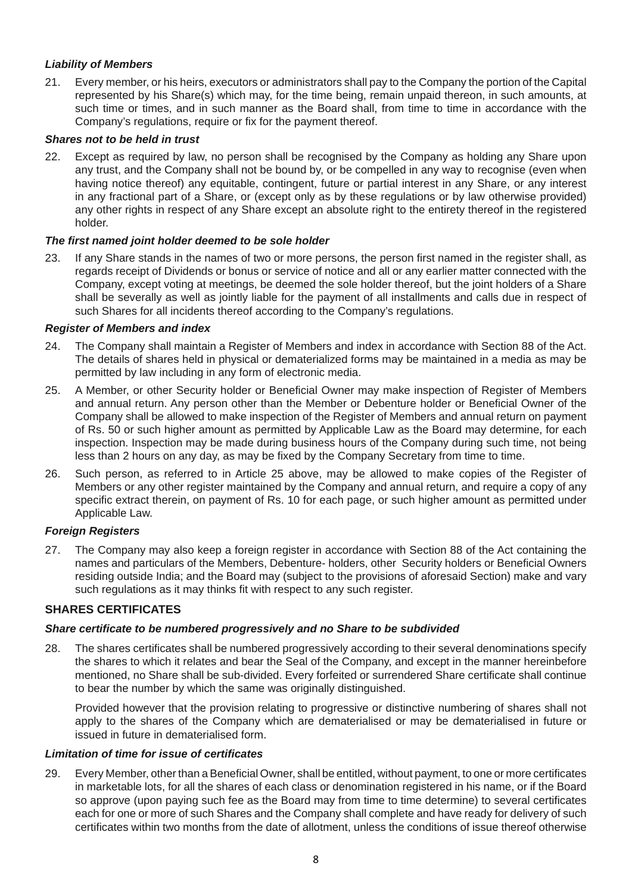# *Liability of Members*

21. Every member, or his heirs, executors or administrators shall pay to the Company the portion of the Capital represented by his Share(s) which may, for the time being, remain unpaid thereon, in such amounts, at such time or times, and in such manner as the Board shall, from time to time in accordance with the Company's regulations, require or fix for the payment thereof.

# *Shares not to be held in trust*

22. Except as required by law, no person shall be recognised by the Company as holding any Share upon any trust, and the Company shall not be bound by, or be compelled in any way to recognise (even when having notice thereof) any equitable, contingent, future or partial interest in any Share, or any interest in any fractional part of a Share, or (except only as by these regulations or by law otherwise provided) any other rights in respect of any Share except an absolute right to the entirety thereof in the registered holder.

# *The first named joint holder deemed to be sole holder*

23. If any Share stands in the names of two or more persons, the person first named in the register shall, as regards receipt of Dividends or bonus or service of notice and all or any earlier matter connected with the Company, except voting at meetings, be deemed the sole holder thereof, but the joint holders of a Share shall be severally as well as jointly liable for the payment of all installments and calls due in respect of such Shares for all incidents thereof according to the Company's regulations.

## *Register of Members and index*

- 24. The Company shall maintain a Register of Members and index in accordance with Section 88 of the Act. The details of shares held in physical or dematerialized forms may be maintained in a media as may be permitted by law including in any form of electronic media.
- 25. A Member, or other Security holder or Beneficial Owner may make inspection of Register of Members and annual return. Any person other than the Member or Debenture holder or Beneficial Owner of the Company shall be allowed to make inspection of the Register of Members and annual return on payment of Rs. 50 or such higher amount as permitted by Applicable Law as the Board may determine, for each inspection. Inspection may be made during business hours of the Company during such time, not being less than 2 hours on any day, as may be fixed by the Company Secretary from time to time.
- 26. Such person, as referred to in Article 25 above, may be allowed to make copies of the Register of Members or any other register maintained by the Company and annual return, and require a copy of any specific extract therein, on payment of Rs. 10 for each page, or such higher amount as permitted under Applicable Law.

# *Foreign Registers*

27. The Company may also keep a foreign register in accordance with Section 88 of the Act containing the names and particulars of the Members, Debenture- holders, other Security holders or Beneficial Owners residing outside India; and the Board may (subject to the provisions of aforesaid Section) make and vary such regulations as it may thinks fit with respect to any such register.

# **SHARES CERTIFICATES**

#### *Share certificate to be numbered progressively and no Share to be subdivided*

28. The shares certificates shall be numbered progressively according to their several denominations specify the shares to which it relates and bear the Seal of the Company, and except in the manner hereinbefore mentioned, no Share shall be sub-divided. Every forfeited or surrendered Share certificate shall continue to bear the number by which the same was originally distinguished.

Provided however that the provision relating to progressive or distinctive numbering of shares shall not apply to the shares of the Company which are dematerialised or may be dematerialised in future or issued in future in dematerialised form.

#### *Limitation of time for issue of certificates*

29. Every Member, other than a Beneficial Owner, shall be entitled, without payment, to one or more certificates in marketable lots, for all the shares of each class or denomination registered in his name, or if the Board so approve (upon paying such fee as the Board may from time to time determine) to several certificates each for one or more of such Shares and the Company shall complete and have ready for delivery of such certificates within two months from the date of allotment, unless the conditions of issue thereof otherwise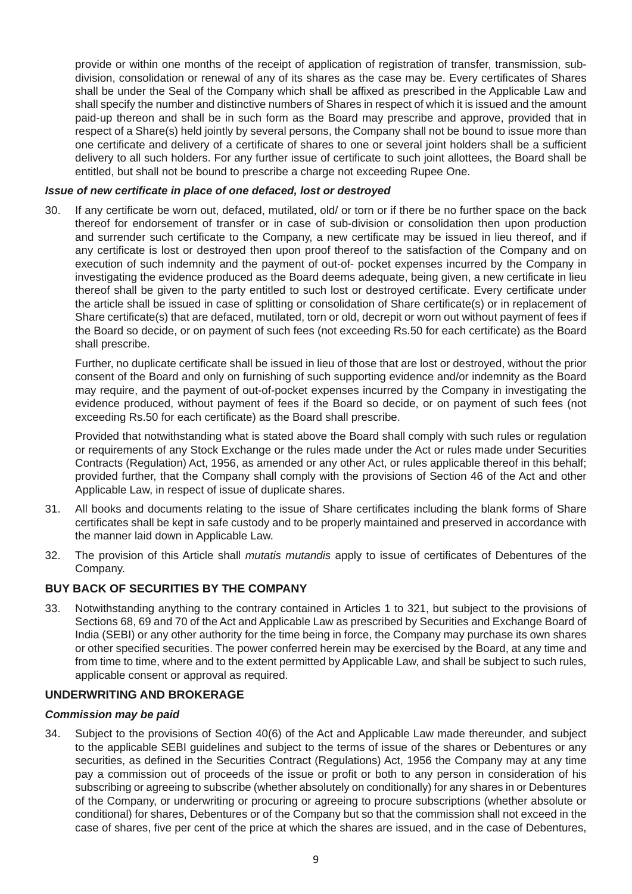provide or within one months of the receipt of application of registration of transfer, transmission, subdivision, consolidation or renewal of any of its shares as the case may be. Every certificates of Shares shall be under the Seal of the Company which shall be affixed as prescribed in the Applicable Law and shall specify the number and distinctive numbers of Shares in respect of which it is issued and the amount paid-up thereon and shall be in such form as the Board may prescribe and approve, provided that in respect of a Share(s) held jointly by several persons, the Company shall not be bound to issue more than one certificate and delivery of a certificate of shares to one or several joint holders shall be a sufficient delivery to all such holders. For any further issue of certificate to such joint allottees, the Board shall be entitled, but shall not be bound to prescribe a charge not exceeding Rupee One.

#### *Issue of new certificate in place of one defaced, lost or destroyed*

30. If any certificate be worn out, defaced, mutilated, old/ or torn or if there be no further space on the back thereof for endorsement of transfer or in case of sub-division or consolidation then upon production and surrender such certificate to the Company, a new certificate may be issued in lieu thereof, and if any certificate is lost or destroyed then upon proof thereof to the satisfaction of the Company and on execution of such indemnity and the payment of out-of- pocket expenses incurred by the Company in investigating the evidence produced as the Board deems adequate, being given, a new certificate in lieu thereof shall be given to the party entitled to such lost or destroyed certificate. Every certificate under the article shall be issued in case of splitting or consolidation of Share certificate(s) or in replacement of Share certificate(s) that are defaced, mutilated, torn or old, decrepit or worn out without payment of fees if the Board so decide, or on payment of such fees (not exceeding Rs.50 for each certificate) as the Board shall prescribe.

 Further, no duplicate certificate shall be issued in lieu of those that are lost or destroyed, without the prior consent of the Board and only on furnishing of such supporting evidence and/or indemnity as the Board may require, and the payment of out-of-pocket expenses incurred by the Company in investigating the evidence produced, without payment of fees if the Board so decide, or on payment of such fees (not exceeding Rs.50 for each certificate) as the Board shall prescribe.

 Provided that notwithstanding what is stated above the Board shall comply with such rules or regulation or requirements of any Stock Exchange or the rules made under the Act or rules made under Securities Contracts (Regulation) Act, 1956, as amended or any other Act, or rules applicable thereof in this behalf; provided further, that the Company shall comply with the provisions of Section 46 of the Act and other Applicable Law, in respect of issue of duplicate shares.

- 31. All books and documents relating to the issue of Share certificates including the blank forms of Share certificates shall be kept in safe custody and to be properly maintained and preserved in accordance with the manner laid down in Applicable Law.
- 32. The provision of this Article shall *mutatis mutandis* apply to issue of certificates of Debentures of the Company.

# **BUY BACK OF SECURITIES BY THE COMPANY**

33. Notwithstanding anything to the contrary contained in Articles 1 to 321, but subject to the provisions of Sections 68, 69 and 70 of the Act and Applicable Law as prescribed by Securities and Exchange Board of India (SEBI) or any other authority for the time being in force, the Company may purchase its own shares or other specified securities. The power conferred herein may be exercised by the Board, at any time and from time to time, where and to the extent permitted by Applicable Law, and shall be subject to such rules, applicable consent or approval as required.

#### **UNDERWRITING AND BROKERAGE**

#### *Commission may be paid*

34. Subject to the provisions of Section 40(6) of the Act and Applicable Law made thereunder, and subject to the applicable SEBI guidelines and subject to the terms of issue of the shares or Debentures or any securities, as defined in the Securities Contract (Regulations) Act, 1956 the Company may at any time pay a commission out of proceeds of the issue or profit or both to any person in consideration of his subscribing or agreeing to subscribe (whether absolutely on conditionally) for any shares in or Debentures of the Company, or underwriting or procuring or agreeing to procure subscriptions (whether absolute or conditional) for shares, Debentures or of the Company but so that the commission shall not exceed in the case of shares, five per cent of the price at which the shares are issued, and in the case of Debentures,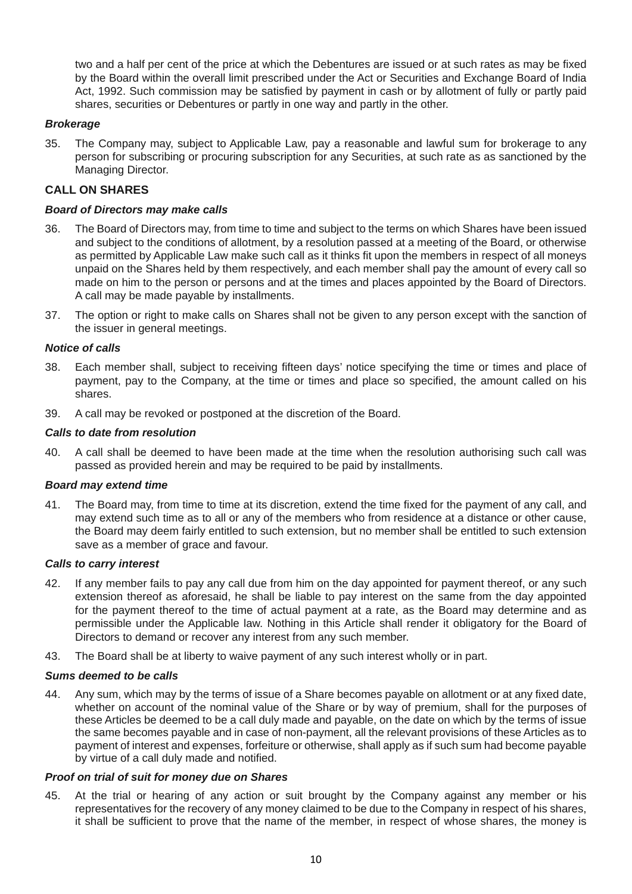two and a half per cent of the price at which the Debentures are issued or at such rates as may be fixed by the Board within the overall limit prescribed under the Act or Securities and Exchange Board of India Act, 1992. Such commission may be satisfied by payment in cash or by allotment of fully or partly paid shares, securities or Debentures or partly in one way and partly in the other.

## *Brokerage*

35. The Company may, subject to Applicable Law, pay a reasonable and lawful sum for brokerage to any person for subscribing or procuring subscription for any Securities, at such rate as as sanctioned by the Managing Director.

## **CALL ON SHARES**

#### *Board of Directors may make calls*

- 36. The Board of Directors may, from time to time and subject to the terms on which Shares have been issued and subject to the conditions of allotment, by a resolution passed at a meeting of the Board, or otherwise as permitted by Applicable Law make such call as it thinks fit upon the members in respect of all moneys unpaid on the Shares held by them respectively, and each member shall pay the amount of every call so made on him to the person or persons and at the times and places appointed by the Board of Directors. A call may be made payable by installments.
- 37. The option or right to make calls on Shares shall not be given to any person except with the sanction of the issuer in general meetings.

#### *Notice of calls*

- 38. Each member shall, subject to receiving fifteen days' notice specifying the time or times and place of payment, pay to the Company, at the time or times and place so specified, the amount called on his shares.
- 39. A call may be revoked or postponed at the discretion of the Board.

#### *Calls to date from resolution*

40. A call shall be deemed to have been made at the time when the resolution authorising such call was passed as provided herein and may be required to be paid by installments.

#### *Board may extend time*

41. The Board may, from time to time at its discretion, extend the time fixed for the payment of any call, and may extend such time as to all or any of the members who from residence at a distance or other cause, the Board may deem fairly entitled to such extension, but no member shall be entitled to such extension save as a member of grace and favour.

#### *Calls to carry interest*

- 42. If any member fails to pay any call due from him on the day appointed for payment thereof, or any such extension thereof as aforesaid, he shall be liable to pay interest on the same from the day appointed for the payment thereof to the time of actual payment at a rate, as the Board may determine and as permissible under the Applicable law. Nothing in this Article shall render it obligatory for the Board of Directors to demand or recover any interest from any such member.
- 43. The Board shall be at liberty to waive payment of any such interest wholly or in part.

#### *Sums deemed to be calls*

44. Any sum, which may by the terms of issue of a Share becomes payable on allotment or at any fixed date, whether on account of the nominal value of the Share or by way of premium, shall for the purposes of these Articles be deemed to be a call duly made and payable, on the date on which by the terms of issue the same becomes payable and in case of non-payment, all the relevant provisions of these Articles as to payment of interest and expenses, forfeiture or otherwise, shall apply as if such sum had become payable by virtue of a call duly made and notified.

#### *Proof on trial of suit for money due on Shares*

45. At the trial or hearing of any action or suit brought by the Company against any member or his representatives for the recovery of any money claimed to be due to the Company in respect of his shares, it shall be sufficient to prove that the name of the member, in respect of whose shares, the money is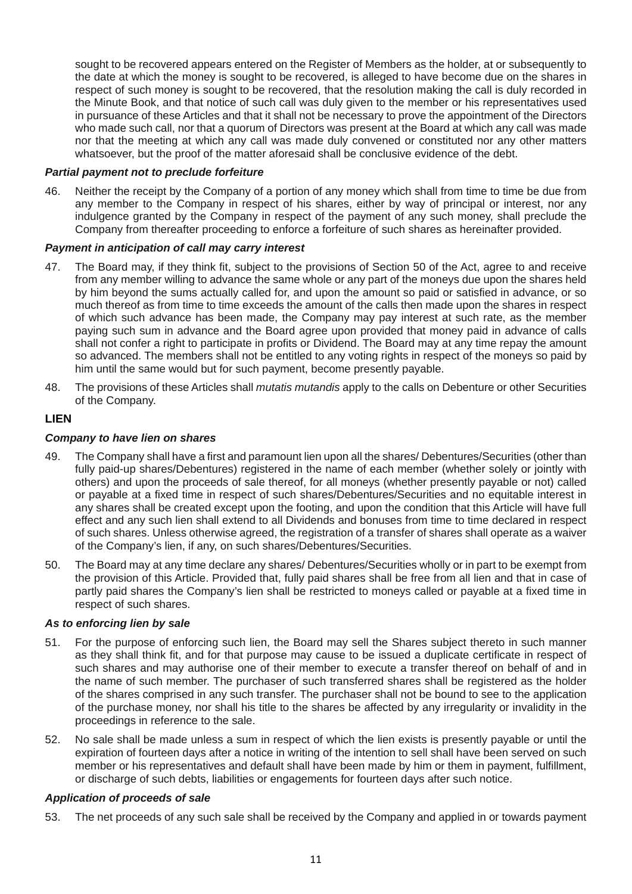sought to be recovered appears entered on the Register of Members as the holder, at or subsequently to the date at which the money is sought to be recovered, is alleged to have become due on the shares in respect of such money is sought to be recovered, that the resolution making the call is duly recorded in the Minute Book, and that notice of such call was duly given to the member or his representatives used in pursuance of these Articles and that it shall not be necessary to prove the appointment of the Directors who made such call, nor that a quorum of Directors was present at the Board at which any call was made nor that the meeting at which any call was made duly convened or constituted nor any other matters whatsoever, but the proof of the matter aforesaid shall be conclusive evidence of the debt.

#### *Partial payment not to preclude forfeiture*

46. Neither the receipt by the Company of a portion of any money which shall from time to time be due from any member to the Company in respect of his shares, either by way of principal or interest, nor any indulgence granted by the Company in respect of the payment of any such money, shall preclude the Company from thereafter proceeding to enforce a forfeiture of such shares as hereinafter provided.

#### *Payment in anticipation of call may carry interest*

- 47. The Board may, if they think fit, subject to the provisions of Section 50 of the Act, agree to and receive from any member willing to advance the same whole or any part of the moneys due upon the shares held by him beyond the sums actually called for, and upon the amount so paid or satisfied in advance, or so much thereof as from time to time exceeds the amount of the calls then made upon the shares in respect of which such advance has been made, the Company may pay interest at such rate, as the member paying such sum in advance and the Board agree upon provided that money paid in advance of calls shall not confer a right to participate in profits or Dividend. The Board may at any time repay the amount so advanced. The members shall not be entitled to any voting rights in respect of the moneys so paid by him until the same would but for such payment, become presently payable.
- 48. The provisions of these Articles shall *mutatis mutandis* apply to the calls on Debenture or other Securities of the Company.

#### **LIEN**

#### *Company to have lien on shares*

- 49. The Company shall have a first and paramount lien upon all the shares/ Debentures/Securities (other than fully paid-up shares/Debentures) registered in the name of each member (whether solely or jointly with others) and upon the proceeds of sale thereof, for all moneys (whether presently payable or not) called or payable at a fixed time in respect of such shares/Debentures/Securities and no equitable interest in any shares shall be created except upon the footing, and upon the condition that this Article will have full effect and any such lien shall extend to all Dividends and bonuses from time to time declared in respect of such shares. Unless otherwise agreed, the registration of a transfer of shares shall operate as a waiver of the Company's lien, if any, on such shares/Debentures/Securities.
- 50. The Board may at any time declare any shares/ Debentures/Securities wholly or in part to be exempt from the provision of this Article. Provided that, fully paid shares shall be free from all lien and that in case of partly paid shares the Company's lien shall be restricted to moneys called or payable at a fixed time in respect of such shares.

#### *As to enforcing lien by sale*

- 51. For the purpose of enforcing such lien, the Board may sell the Shares subject thereto in such manner as they shall think fit, and for that purpose may cause to be issued a duplicate certificate in respect of such shares and may authorise one of their member to execute a transfer thereof on behalf of and in the name of such member. The purchaser of such transferred shares shall be registered as the holder of the shares comprised in any such transfer. The purchaser shall not be bound to see to the application of the purchase money, nor shall his title to the shares be affected by any irregularity or invalidity in the proceedings in reference to the sale.
- 52. No sale shall be made unless a sum in respect of which the lien exists is presently payable or until the expiration of fourteen days after a notice in writing of the intention to sell shall have been served on such member or his representatives and default shall have been made by him or them in payment, fulfillment, or discharge of such debts, liabilities or engagements for fourteen days after such notice.

#### *Application of proceeds of sale*

53. The net proceeds of any such sale shall be received by the Company and applied in or towards payment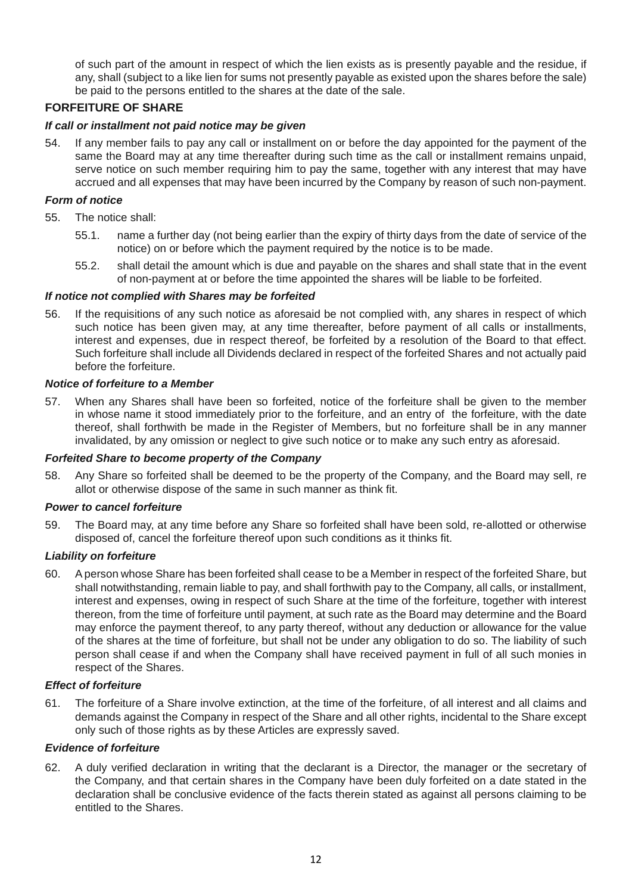of such part of the amount in respect of which the lien exists as is presently payable and the residue, if any, shall (subject to a like lien for sums not presently payable as existed upon the shares before the sale) be paid to the persons entitled to the shares at the date of the sale.

# **FORFEITURE OF SHARE**

## *If call or installment not paid notice may be given*

54. If any member fails to pay any call or installment on or before the day appointed for the payment of the same the Board may at any time thereafter during such time as the call or installment remains unpaid, serve notice on such member requiring him to pay the same, together with any interest that may have accrued and all expenses that may have been incurred by the Company by reason of such non-payment.

#### *Form of notice*

- 55. The notice shall:
	- 55.1. name a further day (not being earlier than the expiry of thirty days from the date of service of the notice) on or before which the payment required by the notice is to be made.
	- 55.2. shall detail the amount which is due and payable on the shares and shall state that in the event of non-payment at or before the time appointed the shares will be liable to be forfeited.

#### *If notice not complied with Shares may be forfeited*

56. If the requisitions of any such notice as aforesaid be not complied with, any shares in respect of which such notice has been given may, at any time thereafter, before payment of all calls or installments, interest and expenses, due in respect thereof, be forfeited by a resolution of the Board to that effect. Such forfeiture shall include all Dividends declared in respect of the forfeited Shares and not actually paid before the forfeiture.

#### *Notice of forfeiture to a Member*

57. When any Shares shall have been so forfeited, notice of the forfeiture shall be given to the member in whose name it stood immediately prior to the forfeiture, and an entry of the forfeiture, with the date thereof, shall forthwith be made in the Register of Members, but no forfeiture shall be in any manner invalidated, by any omission or neglect to give such notice or to make any such entry as aforesaid.

## *Forfeited Share to become property of the Company*

58. Any Share so forfeited shall be deemed to be the property of the Company, and the Board may sell, re allot or otherwise dispose of the same in such manner as think fit.

#### *Power to cancel forfeiture*

59. The Board may, at any time before any Share so forfeited shall have been sold, re-allotted or otherwise disposed of, cancel the forfeiture thereof upon such conditions as it thinks fit.

#### *Liability on forfeiture*

60. A person whose Share has been forfeited shall cease to be a Member in respect of the forfeited Share, but shall notwithstanding, remain liable to pay, and shall forthwith pay to the Company, all calls, or installment, interest and expenses, owing in respect of such Share at the time of the forfeiture, together with interest thereon, from the time of forfeiture until payment, at such rate as the Board may determine and the Board may enforce the payment thereof, to any party thereof, without any deduction or allowance for the value of the shares at the time of forfeiture, but shall not be under any obligation to do so. The liability of such person shall cease if and when the Company shall have received payment in full of all such monies in respect of the Shares.

#### *Effect of forfeiture*

61. The forfeiture of a Share involve extinction, at the time of the forfeiture, of all interest and all claims and demands against the Company in respect of the Share and all other rights, incidental to the Share except only such of those rights as by these Articles are expressly saved.

#### *Evidence of forfeiture*

62. A duly verified declaration in writing that the declarant is a Director, the manager or the secretary of the Company, and that certain shares in the Company have been duly forfeited on a date stated in the declaration shall be conclusive evidence of the facts therein stated as against all persons claiming to be entitled to the Shares.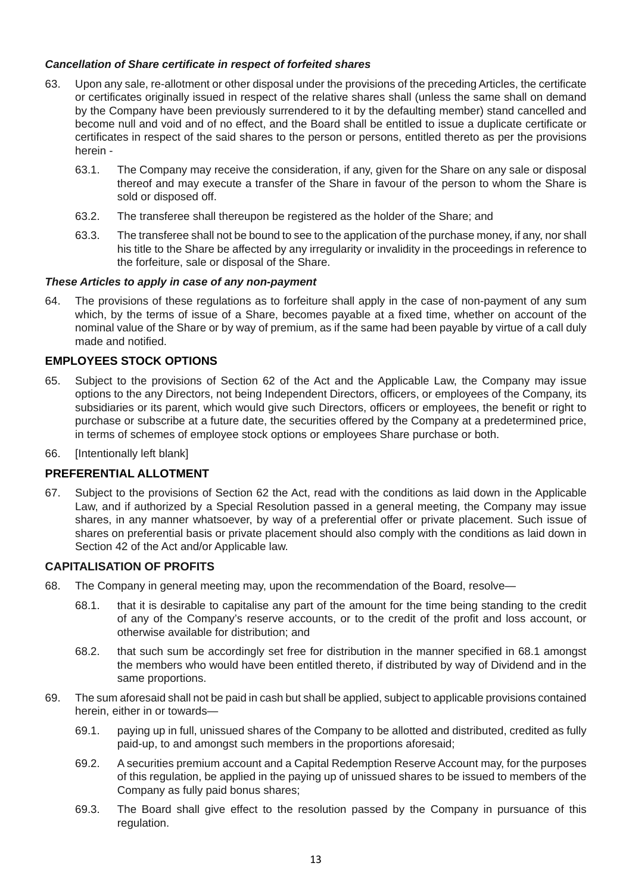## *Cancellation of Share certificate in respect of forfeited shares*

- 63. Upon any sale, re-allotment or other disposal under the provisions of the preceding Articles, the certificate or certificates originally issued in respect of the relative shares shall (unless the same shall on demand by the Company have been previously surrendered to it by the defaulting member) stand cancelled and become null and void and of no effect, and the Board shall be entitled to issue a duplicate certificate or certificates in respect of the said shares to the person or persons, entitled thereto as per the provisions herein -
	- 63.1. The Company may receive the consideration, if any, given for the Share on any sale or disposal thereof and may execute a transfer of the Share in favour of the person to whom the Share is sold or disposed off.
	- 63.2. The transferee shall thereupon be registered as the holder of the Share; and
	- 63.3. The transferee shall not be bound to see to the application of the purchase money, if any, nor shall his title to the Share be affected by any irregularity or invalidity in the proceedings in reference to the forfeiture, sale or disposal of the Share.

## *These Articles to apply in case of any non-payment*

64. The provisions of these regulations as to forfeiture shall apply in the case of non-payment of any sum which, by the terms of issue of a Share, becomes payable at a fixed time, whether on account of the nominal value of the Share or by way of premium, as if the same had been payable by virtue of a call duly made and notified.

# **EMPLOYEES STOCK OPTIONS**

- 65. Subject to the provisions of Section 62 of the Act and the Applicable Law, the Company may issue options to the any Directors, not being Independent Directors, officers, or employees of the Company, its subsidiaries or its parent, which would give such Directors, officers or employees, the benefit or right to purchase or subscribe at a future date, the securities offered by the Company at a predetermined price, in terms of schemes of employee stock options or employees Share purchase or both.
- 66. [Intentionally left blank]

#### **PREFERENTIAL ALLOTMENT**

67. Subject to the provisions of Section 62 the Act, read with the conditions as laid down in the Applicable Law, and if authorized by a Special Resolution passed in a general meeting, the Company may issue shares, in any manner whatsoever, by way of a preferential offer or private placement. Such issue of shares on preferential basis or private placement should also comply with the conditions as laid down in Section 42 of the Act and/or Applicable law.

#### **CAPITALISATION OF PROFITS**

- 68. The Company in general meeting may, upon the recommendation of the Board, resolve—
	- 68.1. that it is desirable to capitalise any part of the amount for the time being standing to the credit of any of the Company's reserve accounts, or to the credit of the profit and loss account, or otherwise available for distribution; and
	- 68.2. that such sum be accordingly set free for distribution in the manner specified in 68.1 amongst the members who would have been entitled thereto, if distributed by way of Dividend and in the same proportions.
- 69. The sum aforesaid shall not be paid in cash but shall be applied, subject to applicable provisions contained herein, either in or towards—
	- 69.1. paying up in full, unissued shares of the Company to be allotted and distributed, credited as fully paid-up, to and amongst such members in the proportions aforesaid;
	- 69.2. A securities premium account and a Capital Redemption Reserve Account may, for the purposes of this regulation, be applied in the paying up of unissued shares to be issued to members of the Company as fully paid bonus shares;
	- 69.3. The Board shall give effect to the resolution passed by the Company in pursuance of this regulation.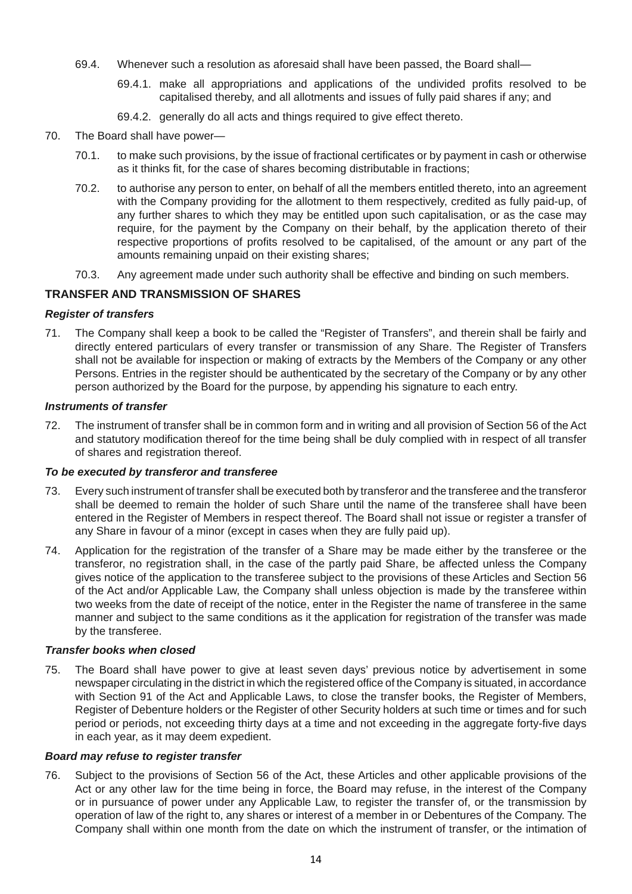- 69.4. Whenever such a resolution as aforesaid shall have been passed, the Board shall—
	- 69.4.1. make all appropriations and applications of the undivided profits resolved to be capitalised thereby, and all allotments and issues of fully paid shares if any; and
	- 69.4.2. generally do all acts and things required to give effect thereto.
- 70. The Board shall have power—
	- 70.1. to make such provisions, by the issue of fractional certificates or by payment in cash or otherwise as it thinks fit, for the case of shares becoming distributable in fractions;
	- 70.2. to authorise any person to enter, on behalf of all the members entitled thereto, into an agreement with the Company providing for the allotment to them respectively, credited as fully paid-up, of any further shares to which they may be entitled upon such capitalisation, or as the case may require, for the payment by the Company on their behalf, by the application thereto of their respective proportions of profits resolved to be capitalised, of the amount or any part of the amounts remaining unpaid on their existing shares;
	- 70.3. Any agreement made under such authority shall be effective and binding on such members.

# **TRANSFER AND TRANSMISSION OF SHARES**

## *Register of transfers*

71. The Company shall keep a book to be called the "Register of Transfers", and therein shall be fairly and directly entered particulars of every transfer or transmission of any Share. The Register of Transfers shall not be available for inspection or making of extracts by the Members of the Company or any other Persons. Entries in the register should be authenticated by the secretary of the Company or by any other person authorized by the Board for the purpose, by appending his signature to each entry.

#### *Instruments of transfer*

72. The instrument of transfer shall be in common form and in writing and all provision of Section 56 of the Act and statutory modification thereof for the time being shall be duly complied with in respect of all transfer of shares and registration thereof.

#### *To be executed by transferor and transferee*

- 73. Every such instrument of transfer shall be executed both by transferor and the transferee and the transferor shall be deemed to remain the holder of such Share until the name of the transferee shall have been entered in the Register of Members in respect thereof. The Board shall not issue or register a transfer of any Share in favour of a minor (except in cases when they are fully paid up).
- 74. Application for the registration of the transfer of a Share may be made either by the transferee or the transferor, no registration shall, in the case of the partly paid Share, be affected unless the Company gives notice of the application to the transferee subject to the provisions of these Articles and Section 56 of the Act and/or Applicable Law, the Company shall unless objection is made by the transferee within two weeks from the date of receipt of the notice, enter in the Register the name of transferee in the same manner and subject to the same conditions as it the application for registration of the transfer was made by the transferee.

#### *Transfer books when closed*

75. The Board shall have power to give at least seven days' previous notice by advertisement in some newspaper circulating in the district in which the registered office of the Company is situated, in accordance with Section 91 of the Act and Applicable Laws, to close the transfer books, the Register of Members, Register of Debenture holders or the Register of other Security holders at such time or times and for such period or periods, not exceeding thirty days at a time and not exceeding in the aggregate forty-five days in each year, as it may deem expedient.

#### *Board may refuse to register transfer*

76. Subject to the provisions of Section 56 of the Act, these Articles and other applicable provisions of the Act or any other law for the time being in force, the Board may refuse, in the interest of the Company or in pursuance of power under any Applicable Law, to register the transfer of, or the transmission by operation of law of the right to, any shares or interest of a member in or Debentures of the Company. The Company shall within one month from the date on which the instrument of transfer, or the intimation of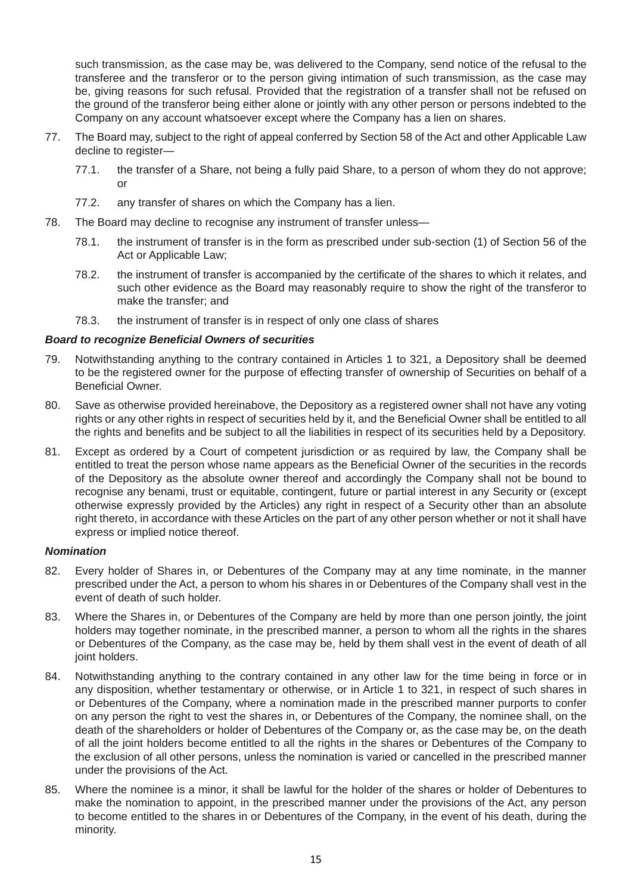such transmission, as the case may be, was delivered to the Company, send notice of the refusal to the transferee and the transferor or to the person giving intimation of such transmission, as the case may be, giving reasons for such refusal. Provided that the registration of a transfer shall not be refused on the ground of the transferor being either alone or jointly with any other person or persons indebted to the Company on any account whatsoever except where the Company has a lien on shares.

- 77. The Board may, subject to the right of appeal conferred by Section 58 of the Act and other Applicable Law decline to register—
	- 77.1. the transfer of a Share, not being a fully paid Share, to a person of whom they do not approve; or
	- 77.2. any transfer of shares on which the Company has a lien.
- 78. The Board may decline to recognise any instrument of transfer unless—
	- 78.1. the instrument of transfer is in the form as prescribed under sub-section (1) of Section 56 of the Act or Applicable Law;
	- 78.2. the instrument of transfer is accompanied by the certificate of the shares to which it relates, and such other evidence as the Board may reasonably require to show the right of the transferor to make the transfer; and
	- 78.3. the instrument of transfer is in respect of only one class of shares

## *Board to recognize Beneficial Owners of securities*

- 79. Notwithstanding anything to the contrary contained in Articles 1 to 321, a Depository shall be deemed to be the registered owner for the purpose of effecting transfer of ownership of Securities on behalf of a Beneficial Owner.
- 80. Save as otherwise provided hereinabove, the Depository as a registered owner shall not have any voting rights or any other rights in respect of securities held by it, and the Beneficial Owner shall be entitled to all the rights and benefits and be subject to all the liabilities in respect of its securities held by a Depository.
- 81. Except as ordered by a Court of competent jurisdiction or as required by law, the Company shall be entitled to treat the person whose name appears as the Beneficial Owner of the securities in the records of the Depository as the absolute owner thereof and accordingly the Company shall not be bound to recognise any benami, trust or equitable, contingent, future or partial interest in any Security or (except otherwise expressly provided by the Articles) any right in respect of a Security other than an absolute right thereto, in accordance with these Articles on the part of any other person whether or not it shall have express or implied notice thereof.

#### *Nomination*

- 82. Every holder of Shares in, or Debentures of the Company may at any time nominate, in the manner prescribed under the Act, a person to whom his shares in or Debentures of the Company shall vest in the event of death of such holder.
- 83. Where the Shares in, or Debentures of the Company are held by more than one person jointly, the joint holders may together nominate, in the prescribed manner, a person to whom all the rights in the shares or Debentures of the Company, as the case may be, held by them shall vest in the event of death of all joint holders.
- 84. Notwithstanding anything to the contrary contained in any other law for the time being in force or in any disposition, whether testamentary or otherwise, or in Article 1 to 321, in respect of such shares in or Debentures of the Company, where a nomination made in the prescribed manner purports to confer on any person the right to vest the shares in, or Debentures of the Company, the nominee shall, on the death of the shareholders or holder of Debentures of the Company or, as the case may be, on the death of all the joint holders become entitled to all the rights in the shares or Debentures of the Company to the exclusion of all other persons, unless the nomination is varied or cancelled in the prescribed manner under the provisions of the Act.
- 85. Where the nominee is a minor, it shall be lawful for the holder of the shares or holder of Debentures to make the nomination to appoint, in the prescribed manner under the provisions of the Act, any person to become entitled to the shares in or Debentures of the Company, in the event of his death, during the minority.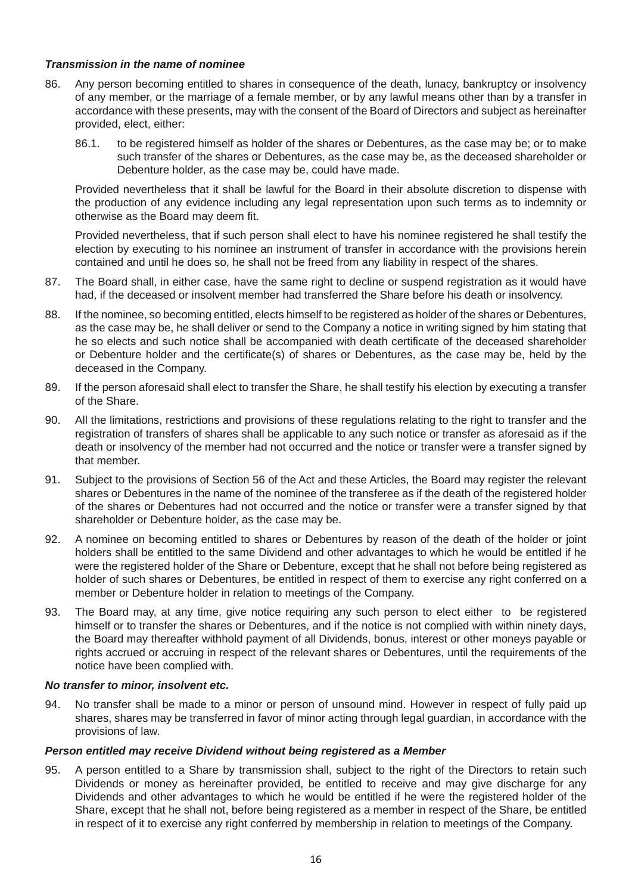#### *Transmission in the name of nominee*

- 86. Any person becoming entitled to shares in consequence of the death, lunacy, bankruptcy or insolvency of any member, or the marriage of a female member, or by any lawful means other than by a transfer in accordance with these presents, may with the consent of the Board of Directors and subject as hereinafter provided, elect, either:
	- 86.1. to be registered himself as holder of the shares or Debentures, as the case may be; or to make such transfer of the shares or Debentures, as the case may be, as the deceased shareholder or Debenture holder, as the case may be, could have made.

 Provided nevertheless that it shall be lawful for the Board in their absolute discretion to dispense with the production of any evidence including any legal representation upon such terms as to indemnity or otherwise as the Board may deem fit.

 Provided nevertheless, that if such person shall elect to have his nominee registered he shall testify the election by executing to his nominee an instrument of transfer in accordance with the provisions herein contained and until he does so, he shall not be freed from any liability in respect of the shares.

- 87. The Board shall, in either case, have the same right to decline or suspend registration as it would have had, if the deceased or insolvent member had transferred the Share before his death or insolvency.
- 88. If the nominee, so becoming entitled, elects himself to be registered as holder of the shares or Debentures, as the case may be, he shall deliver or send to the Company a notice in writing signed by him stating that he so elects and such notice shall be accompanied with death certificate of the deceased shareholder or Debenture holder and the certificate(s) of shares or Debentures, as the case may be, held by the deceased in the Company.
- 89. If the person aforesaid shall elect to transfer the Share, he shall testify his election by executing a transfer of the Share.
- 90. All the limitations, restrictions and provisions of these regulations relating to the right to transfer and the registration of transfers of shares shall be applicable to any such notice or transfer as aforesaid as if the death or insolvency of the member had not occurred and the notice or transfer were a transfer signed by that member.
- 91. Subject to the provisions of Section 56 of the Act and these Articles, the Board may register the relevant shares or Debentures in the name of the nominee of the transferee as if the death of the registered holder of the shares or Debentures had not occurred and the notice or transfer were a transfer signed by that shareholder or Debenture holder, as the case may be.
- 92. A nominee on becoming entitled to shares or Debentures by reason of the death of the holder or joint holders shall be entitled to the same Dividend and other advantages to which he would be entitled if he were the registered holder of the Share or Debenture, except that he shall not before being registered as holder of such shares or Debentures, be entitled in respect of them to exercise any right conferred on a member or Debenture holder in relation to meetings of the Company.
- 93. The Board may, at any time, give notice requiring any such person to elect either to be registered himself or to transfer the shares or Debentures, and if the notice is not complied with within ninety days, the Board may thereafter withhold payment of all Dividends, bonus, interest or other moneys payable or rights accrued or accruing in respect of the relevant shares or Debentures, until the requirements of the notice have been complied with.

#### *No transfer to minor, insolvent etc.*

94. No transfer shall be made to a minor or person of unsound mind. However in respect of fully paid up shares, shares may be transferred in favor of minor acting through legal guardian, in accordance with the provisions of law.

#### *Person entitled may receive Dividend without being registered as a Member*

95. A person entitled to a Share by transmission shall, subject to the right of the Directors to retain such Dividends or money as hereinafter provided, be entitled to receive and may give discharge for any Dividends and other advantages to which he would be entitled if he were the registered holder of the Share, except that he shall not, before being registered as a member in respect of the Share, be entitled in respect of it to exercise any right conferred by membership in relation to meetings of the Company.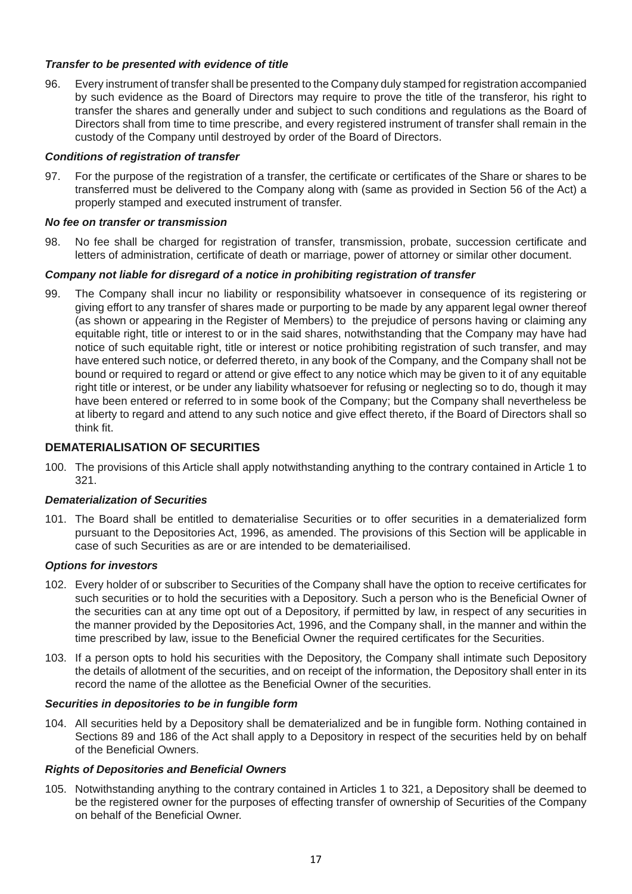## *Transfer to be presented with evidence of title*

96. Every instrument of transfer shall be presented to the Company duly stamped for registration accompanied by such evidence as the Board of Directors may require to prove the title of the transferor, his right to transfer the shares and generally under and subject to such conditions and regulations as the Board of Directors shall from time to time prescribe, and every registered instrument of transfer shall remain in the custody of the Company until destroyed by order of the Board of Directors.

#### *Conditions of registration of transfer*

97. For the purpose of the registration of a transfer, the certificate or certificates of the Share or shares to be transferred must be delivered to the Company along with (same as provided in Section 56 of the Act) a properly stamped and executed instrument of transfer.

## *No fee on transfer or transmission*

98. No fee shall be charged for registration of transfer, transmission, probate, succession certificate and letters of administration, certificate of death or marriage, power of attorney or similar other document.

## *Company not liable for disregard of a notice in prohibiting registration of transfer*

99. The Company shall incur no liability or responsibility whatsoever in consequence of its registering or giving effort to any transfer of shares made or purporting to be made by any apparent legal owner thereof (as shown or appearing in the Register of Members) to the prejudice of persons having or claiming any equitable right, title or interest to or in the said shares, notwithstanding that the Company may have had notice of such equitable right, title or interest or notice prohibiting registration of such transfer, and may have entered such notice, or deferred thereto, in any book of the Company, and the Company shall not be bound or required to regard or attend or give effect to any notice which may be given to it of any equitable right title or interest, or be under any liability whatsoever for refusing or neglecting so to do, though it may have been entered or referred to in some book of the Company; but the Company shall nevertheless be at liberty to regard and attend to any such notice and give effect thereto, if the Board of Directors shall so think fit.

# **DEMATERIALISATION OF SECURITIES**

100. The provisions of this Article shall apply notwithstanding anything to the contrary contained in Article 1 to 321.

# *Dematerialization of Securities*

101. The Board shall be entitled to dematerialise Securities or to offer securities in a dematerialized form pursuant to the Depositories Act, 1996, as amended. The provisions of this Section will be applicable in case of such Securities as are or are intended to be demateriailised.

#### *Options for investors*

- 102. Every holder of or subscriber to Securities of the Company shall have the option to receive certificates for such securities or to hold the securities with a Depository. Such a person who is the Beneficial Owner of the securities can at any time opt out of a Depository, if permitted by law, in respect of any securities in the manner provided by the Depositories Act, 1996, and the Company shall, in the manner and within the time prescribed by law, issue to the Beneficial Owner the required certificates for the Securities.
- 103. If a person opts to hold his securities with the Depository, the Company shall intimate such Depository the details of allotment of the securities, and on receipt of the information, the Depository shall enter in its record the name of the allottee as the Beneficial Owner of the securities.

#### *Securities in depositories to be in fungible form*

104. All securities held by a Depository shall be dematerialized and be in fungible form. Nothing contained in Sections 89 and 186 of the Act shall apply to a Depository in respect of the securities held by on behalf of the Beneficial Owners.

#### *Rights of Depositories and Beneficial Owners*

105. Notwithstanding anything to the contrary contained in Articles 1 to 321, a Depository shall be deemed to be the registered owner for the purposes of effecting transfer of ownership of Securities of the Company on behalf of the Beneficial Owner.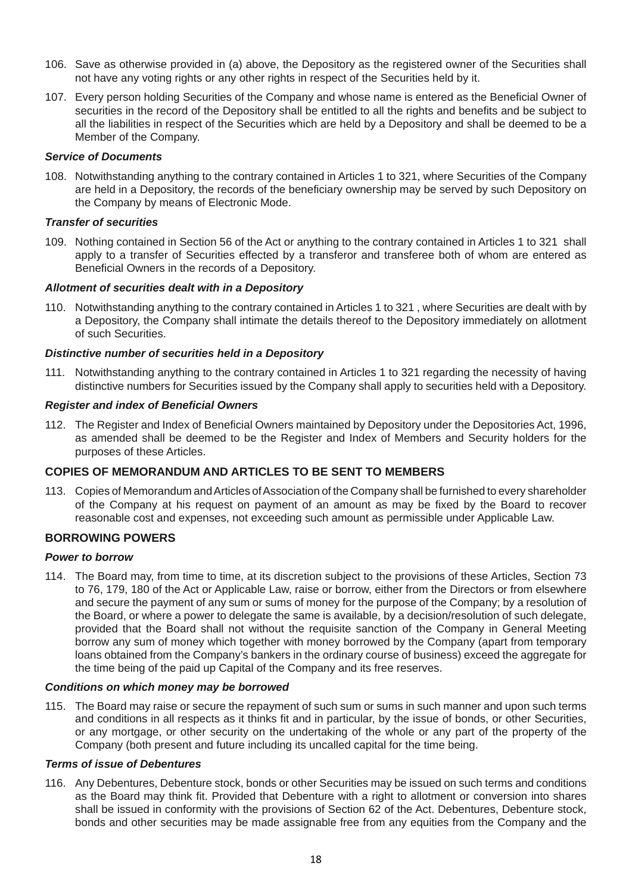- 106. Save as otherwise provided in (a) above, the Depository as the registered owner of the Securities shall not have any voting rights or any other rights in respect of the Securities held by it.
- 107. Every person holding Securities of the Company and whose name is entered as the Beneficial Owner of securities in the record of the Depository shall be entitled to all the rights and benefits and be subject to all the liabilities in respect of the Securities which are held by a Depository and shall be deemed to be a Member of the Company.

#### *Service of Documents*

108. Notwithstanding anything to the contrary contained in Articles 1 to 321, where Securities of the Company are held in a Depository, the records of the beneficiary ownership may be served by such Depository on the Company by means of Electronic Mode.

## *Transfer of securities*

109. Nothing contained in Section 56 of the Act or anything to the contrary contained in Articles 1 to 321 shall apply to a transfer of Securities effected by a transferor and transferee both of whom are entered as Beneficial Owners in the records of a Depository.

## *Allotment of securities dealt with in a Depository*

110. Notwithstanding anything to the contrary contained in Articles 1 to 321 , where Securities are dealt with by a Depository, the Company shall intimate the details thereof to the Depository immediately on allotment of such Securities.

## *Distinctive number of securities held in a Depository*

111. Notwithstanding anything to the contrary contained in Articles 1 to 321 regarding the necessity of having distinctive numbers for Securities issued by the Company shall apply to securities held with a Depository.

#### *Register and index of Beneficial Owners*

112. The Register and Index of Beneficial Owners maintained by Depository under the Depositories Act, 1996, as amended shall be deemed to be the Register and Index of Members and Security holders for the purposes of these Articles.

# **COPIES OF MEMORANDUM AND ARTICLES TO BE SENT TO MEMBERS**

113. Copies of Memorandum and Articles of Association of the Company shall be furnished to every shareholder of the Company at his request on payment of an amount as may be fixed by the Board to recover reasonable cost and expenses, not exceeding such amount as permissible under Applicable Law.

# **BORROWING POWERS**

#### *Power to borrow*

114. The Board may, from time to time, at its discretion subject to the provisions of these Articles, Section 73 to 76, 179, 180 of the Act or Applicable Law, raise or borrow, either from the Directors or from elsewhere and secure the payment of any sum or sums of money for the purpose of the Company; by a resolution of the Board, or where a power to delegate the same is available, by a decision/resolution of such delegate, provided that the Board shall not without the requisite sanction of the Company in General Meeting borrow any sum of money which together with money borrowed by the Company (apart from temporary loans obtained from the Company's bankers in the ordinary course of business) exceed the aggregate for the time being of the paid up Capital of the Company and its free reserves.

#### *Conditions on which money may be borrowed*

115. The Board may raise or secure the repayment of such sum or sums in such manner and upon such terms and conditions in all respects as it thinks fit and in particular, by the issue of bonds, or other Securities, or any mortgage, or other security on the undertaking of the whole or any part of the property of the Company (both present and future including its uncalled capital for the time being.

#### *Terms of issue of Debentures*

116. Any Debentures, Debenture stock, bonds or other Securities may be issued on such terms and conditions as the Board may think fit. Provided that Debenture with a right to allotment or conversion into shares shall be issued in conformity with the provisions of Section 62 of the Act. Debentures, Debenture stock, bonds and other securities may be made assignable free from any equities from the Company and the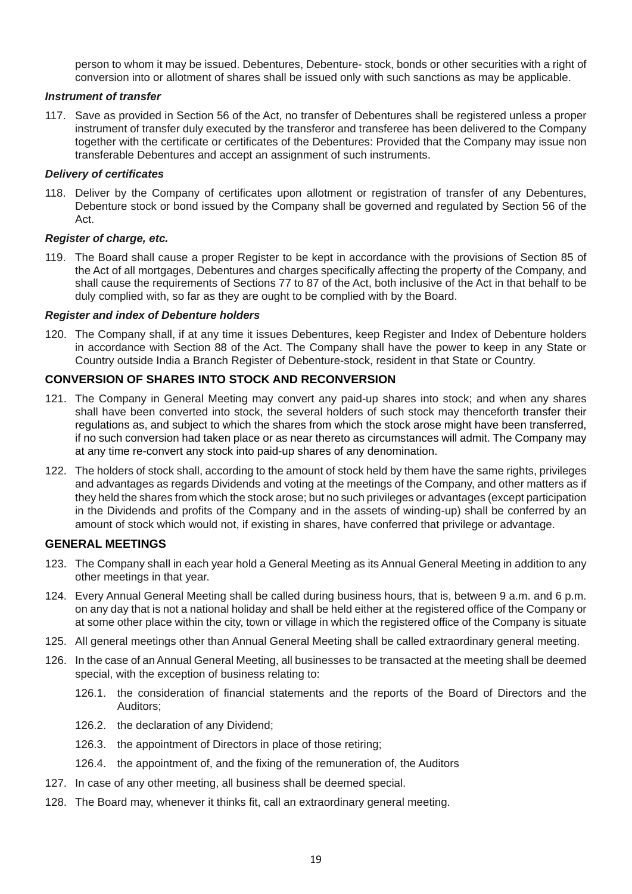person to whom it may be issued. Debentures, Debenture- stock, bonds or other securities with a right of conversion into or allotment of shares shall be issued only with such sanctions as may be applicable.

#### *Instrument of transfer*

117. Save as provided in Section 56 of the Act, no transfer of Debentures shall be registered unless a proper instrument of transfer duly executed by the transferor and transferee has been delivered to the Company together with the certificate or certificates of the Debentures: Provided that the Company may issue non transferable Debentures and accept an assignment of such instruments.

#### *Delivery of certificates*

118. Deliver by the Company of certificates upon allotment or registration of transfer of any Debentures, Debenture stock or bond issued by the Company shall be governed and regulated by Section 56 of the Act.

#### *Register of charge, etc.*

119. The Board shall cause a proper Register to be kept in accordance with the provisions of Section 85 of the Act of all mortgages, Debentures and charges specifically affecting the property of the Company, and shall cause the requirements of Sections 77 to 87 of the Act, both inclusive of the Act in that behalf to be duly complied with, so far as they are ought to be complied with by the Board.

#### *Register and index of Debenture holders*

120. The Company shall, if at any time it issues Debentures, keep Register and Index of Debenture holders in accordance with Section 88 of the Act. The Company shall have the power to keep in any State or Country outside India a Branch Register of Debenture-stock, resident in that State or Country.

# **CONVERSION OF SHARES INTO STOCK AND RECONVERSION**

- 121. The Company in General Meeting may convert any paid-up shares into stock; and when any shares shall have been converted into stock, the several holders of such stock may thenceforth transfer their regulations as, and subject to which the shares from which the stock arose might have been transferred, if no such conversion had taken place or as near thereto as circumstances will admit. The Company may at any time re-convert any stock into paid-up shares of any denomination.
- 122. The holders of stock shall, according to the amount of stock held by them have the same rights, privileges and advantages as regards Dividends and voting at the meetings of the Company, and other matters as if they held the shares from which the stock arose; but no such privileges or advantages (except participation in the Dividends and profits of the Company and in the assets of winding-up) shall be conferred by an amount of stock which would not, if existing in shares, have conferred that privilege or advantage.

# **GENERAL MEETINGS**

- 123. The Company shall in each year hold a General Meeting as its Annual General Meeting in addition to any other meetings in that year.
- 124. Every Annual General Meeting shall be called during business hours, that is, between 9 a.m. and 6 p.m. on any day that is not a national holiday and shall be held either at the registered office of the Company or at some other place within the city, town or village in which the registered office of the Company is situate
- 125. All general meetings other than Annual General Meeting shall be called extraordinary general meeting.
- 126. In the case of an Annual General Meeting, all businesses to be transacted at the meeting shall be deemed special, with the exception of business relating to:
	- 126.1. the consideration of financial statements and the reports of the Board of Directors and the Auditors;
	- 126.2. the declaration of any Dividend;
	- 126.3. the appointment of Directors in place of those retiring;
	- 126.4. the appointment of, and the fixing of the remuneration of, the Auditors
- 127. In case of any other meeting, all business shall be deemed special.
- 128. The Board may, whenever it thinks fit, call an extraordinary general meeting.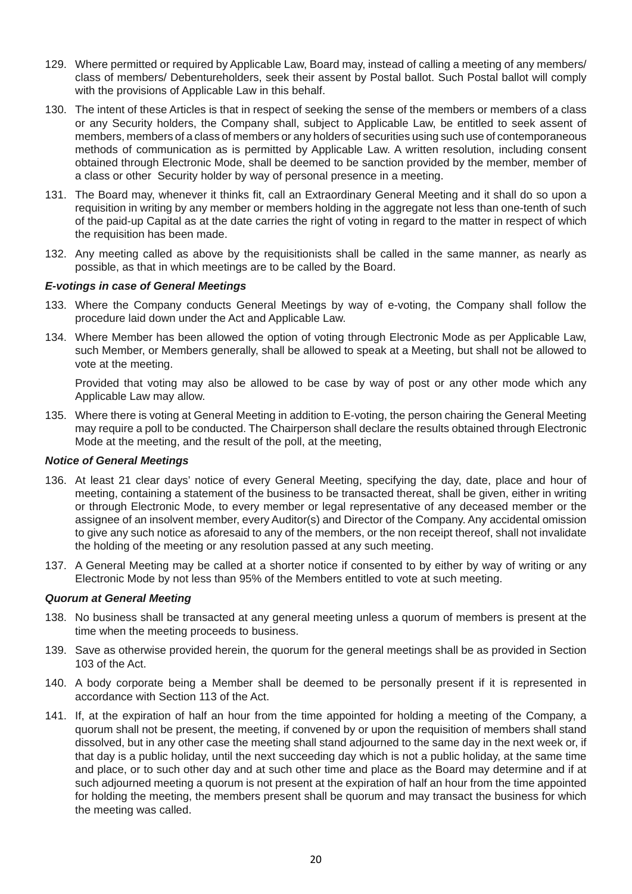- 129. Where permitted or required by Applicable Law, Board may, instead of calling a meeting of any members/ class of members/ Debentureholders, seek their assent by Postal ballot. Such Postal ballot will comply with the provisions of Applicable Law in this behalf.
- 130. The intent of these Articles is that in respect of seeking the sense of the members or members of a class or any Security holders, the Company shall, subject to Applicable Law, be entitled to seek assent of members, members of a class of members or any holders of securities using such use of contemporaneous methods of communication as is permitted by Applicable Law. A written resolution, including consent obtained through Electronic Mode, shall be deemed to be sanction provided by the member, member of a class or other Security holder by way of personal presence in a meeting.
- 131. The Board may, whenever it thinks fit, call an Extraordinary General Meeting and it shall do so upon a requisition in writing by any member or members holding in the aggregate not less than one-tenth of such of the paid-up Capital as at the date carries the right of voting in regard to the matter in respect of which the requisition has been made.
- 132. Any meeting called as above by the requisitionists shall be called in the same manner, as nearly as possible, as that in which meetings are to be called by the Board.

#### *E-votings in case of General Meetings*

- 133. Where the Company conducts General Meetings by way of e-voting, the Company shall follow the procedure laid down under the Act and Applicable Law.
- 134. Where Member has been allowed the option of voting through Electronic Mode as per Applicable Law, such Member, or Members generally, shall be allowed to speak at a Meeting, but shall not be allowed to vote at the meeting.

 Provided that voting may also be allowed to be case by way of post or any other mode which any Applicable Law may allow.

135. Where there is voting at General Meeting in addition to E-voting, the person chairing the General Meeting may require a poll to be conducted. The Chairperson shall declare the results obtained through Electronic Mode at the meeting, and the result of the poll, at the meeting,

#### *Notice of General Meetings*

- 136. At least 21 clear days' notice of every General Meeting, specifying the day, date, place and hour of meeting, containing a statement of the business to be transacted thereat, shall be given, either in writing or through Electronic Mode, to every member or legal representative of any deceased member or the assignee of an insolvent member, every Auditor(s) and Director of the Company. Any accidental omission to give any such notice as aforesaid to any of the members, or the non receipt thereof, shall not invalidate the holding of the meeting or any resolution passed at any such meeting.
- 137. A General Meeting may be called at a shorter notice if consented to by either by way of writing or any Electronic Mode by not less than 95% of the Members entitled to vote at such meeting.

#### *Quorum at General Meeting*

- 138. No business shall be transacted at any general meeting unless a quorum of members is present at the time when the meeting proceeds to business.
- 139. Save as otherwise provided herein, the quorum for the general meetings shall be as provided in Section 103 of the Act.
- 140. A body corporate being a Member shall be deemed to be personally present if it is represented in accordance with Section 113 of the Act.
- 141. If, at the expiration of half an hour from the time appointed for holding a meeting of the Company, a quorum shall not be present, the meeting, if convened by or upon the requisition of members shall stand dissolved, but in any other case the meeting shall stand adjourned to the same day in the next week or, if that day is a public holiday, until the next succeeding day which is not a public holiday, at the same time and place, or to such other day and at such other time and place as the Board may determine and if at such adjourned meeting a quorum is not present at the expiration of half an hour from the time appointed for holding the meeting, the members present shall be quorum and may transact the business for which the meeting was called.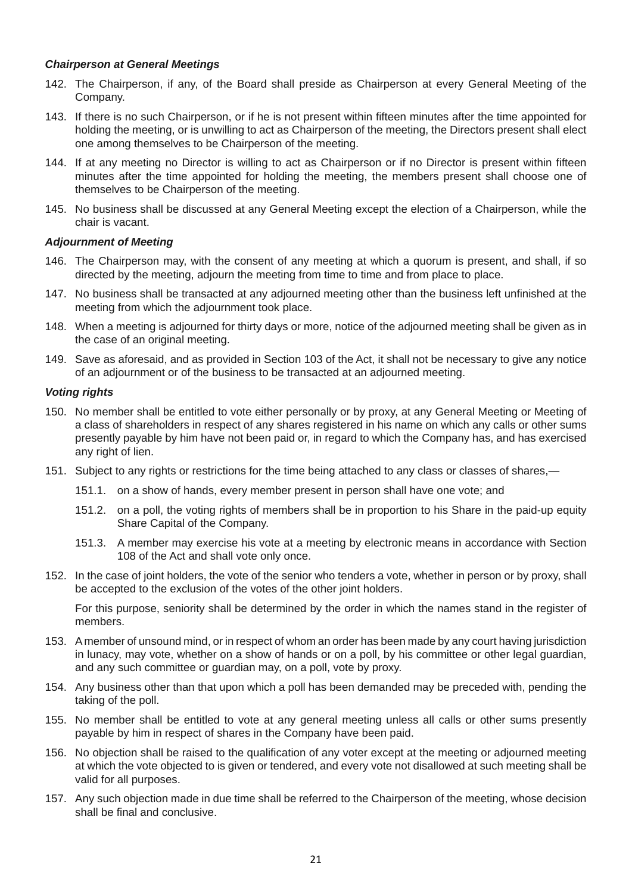## *Chairperson at General Meetings*

- 142. The Chairperson, if any, of the Board shall preside as Chairperson at every General Meeting of the Company.
- 143. If there is no such Chairperson, or if he is not present within fifteen minutes after the time appointed for holding the meeting, or is unwilling to act as Chairperson of the meeting, the Directors present shall elect one among themselves to be Chairperson of the meeting.
- 144. If at any meeting no Director is willing to act as Chairperson or if no Director is present within fifteen minutes after the time appointed for holding the meeting, the members present shall choose one of themselves to be Chairperson of the meeting.
- 145. No business shall be discussed at any General Meeting except the election of a Chairperson, while the chair is vacant.

## *Adjournment of Meeting*

- 146. The Chairperson may, with the consent of any meeting at which a quorum is present, and shall, if so directed by the meeting, adjourn the meeting from time to time and from place to place.
- 147. No business shall be transacted at any adjourned meeting other than the business left unfinished at the meeting from which the adjournment took place.
- 148. When a meeting is adjourned for thirty days or more, notice of the adjourned meeting shall be given as in the case of an original meeting.
- 149. Save as aforesaid, and as provided in Section 103 of the Act, it shall not be necessary to give any notice of an adjournment or of the business to be transacted at an adjourned meeting.

## *Voting rights*

- 150. No member shall be entitled to vote either personally or by proxy, at any General Meeting or Meeting of a class of shareholders in respect of any shares registered in his name on which any calls or other sums presently payable by him have not been paid or, in regard to which the Company has, and has exercised any right of lien.
- 151. Subject to any rights or restrictions for the time being attached to any class or classes of shares,—
	- 151.1. on a show of hands, every member present in person shall have one vote; and
	- 151.2. on a poll, the voting rights of members shall be in proportion to his Share in the paid-up equity Share Capital of the Company.
	- 151.3. A member may exercise his vote at a meeting by electronic means in accordance with Section 108 of the Act and shall vote only once.
- 152. In the case of joint holders, the vote of the senior who tenders a vote, whether in person or by proxy, shall be accepted to the exclusion of the votes of the other joint holders.

 For this purpose, seniority shall be determined by the order in which the names stand in the register of members.

- 153. A member of unsound mind, or in respect of whom an order has been made by any court having jurisdiction in lunacy, may vote, whether on a show of hands or on a poll, by his committee or other legal guardian, and any such committee or guardian may, on a poll, vote by proxy.
- 154. Any business other than that upon which a poll has been demanded may be preceded with, pending the taking of the poll.
- 155. No member shall be entitled to vote at any general meeting unless all calls or other sums presently payable by him in respect of shares in the Company have been paid.
- 156. No objection shall be raised to the qualification of any voter except at the meeting or adjourned meeting at which the vote objected to is given or tendered, and every vote not disallowed at such meeting shall be valid for all purposes.
- 157. Any such objection made in due time shall be referred to the Chairperson of the meeting, whose decision shall be final and conclusive.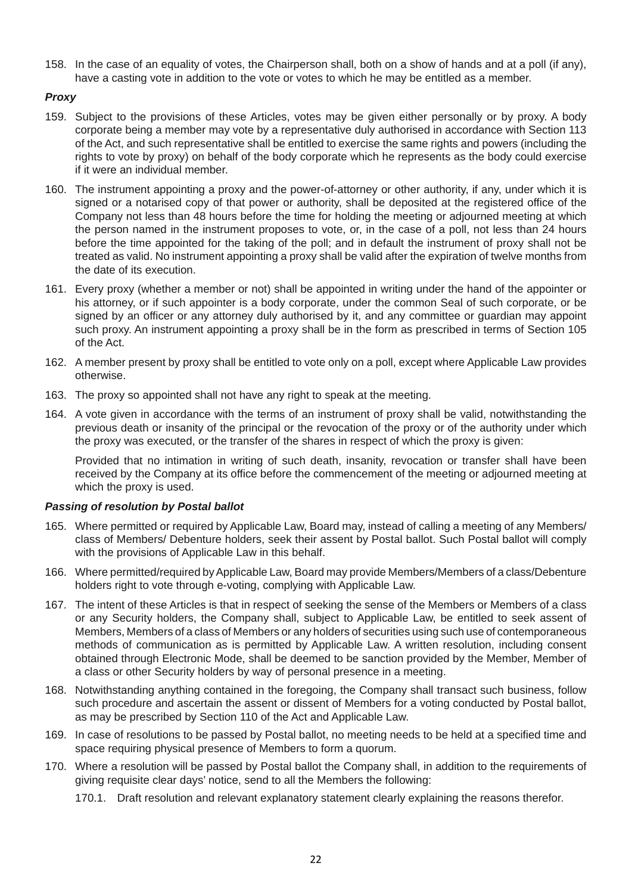158. In the case of an equality of votes, the Chairperson shall, both on a show of hands and at a poll (if any), have a casting vote in addition to the vote or votes to which he may be entitled as a member.

# *Proxy*

- 159. Subject to the provisions of these Articles, votes may be given either personally or by proxy. A body corporate being a member may vote by a representative duly authorised in accordance with Section 113 of the Act, and such representative shall be entitled to exercise the same rights and powers (including the rights to vote by proxy) on behalf of the body corporate which he represents as the body could exercise if it were an individual member.
- 160. The instrument appointing a proxy and the power-of-attorney or other authority, if any, under which it is signed or a notarised copy of that power or authority, shall be deposited at the registered office of the Company not less than 48 hours before the time for holding the meeting or adjourned meeting at which the person named in the instrument proposes to vote, or, in the case of a poll, not less than 24 hours before the time appointed for the taking of the poll; and in default the instrument of proxy shall not be treated as valid. No instrument appointing a proxy shall be valid after the expiration of twelve months from the date of its execution.
- 161. Every proxy (whether a member or not) shall be appointed in writing under the hand of the appointer or his attorney, or if such appointer is a body corporate, under the common Seal of such corporate, or be signed by an officer or any attorney duly authorised by it, and any committee or guardian may appoint such proxy. An instrument appointing a proxy shall be in the form as prescribed in terms of Section 105 of the Act.
- 162. A member present by proxy shall be entitled to vote only on a poll, except where Applicable Law provides otherwise.
- 163. The proxy so appointed shall not have any right to speak at the meeting.
- 164. A vote given in accordance with the terms of an instrument of proxy shall be valid, notwithstanding the previous death or insanity of the principal or the revocation of the proxy or of the authority under which the proxy was executed, or the transfer of the shares in respect of which the proxy is given:

 Provided that no intimation in writing of such death, insanity, revocation or transfer shall have been received by the Company at its office before the commencement of the meeting or adjourned meeting at which the proxy is used.

# *Passing of resolution by Postal ballot*

- 165. Where permitted or required by Applicable Law, Board may, instead of calling a meeting of any Members/ class of Members/ Debenture holders, seek their assent by Postal ballot. Such Postal ballot will comply with the provisions of Applicable Law in this behalf.
- 166. Where permitted/required by Applicable Law, Board may provide Members/Members of a class/Debenture holders right to vote through e-voting, complying with Applicable Law.
- 167. The intent of these Articles is that in respect of seeking the sense of the Members or Members of a class or any Security holders, the Company shall, subject to Applicable Law, be entitled to seek assent of Members, Members of a class of Members or any holders of securities using such use of contemporaneous methods of communication as is permitted by Applicable Law. A written resolution, including consent obtained through Electronic Mode, shall be deemed to be sanction provided by the Member, Member of a class or other Security holders by way of personal presence in a meeting.
- 168. Notwithstanding anything contained in the foregoing, the Company shall transact such business, follow such procedure and ascertain the assent or dissent of Members for a voting conducted by Postal ballot, as may be prescribed by Section 110 of the Act and Applicable Law.
- 169. In case of resolutions to be passed by Postal ballot, no meeting needs to be held at a specified time and space requiring physical presence of Members to form a quorum.
- 170. Where a resolution will be passed by Postal ballot the Company shall, in addition to the requirements of giving requisite clear days' notice, send to all the Members the following:
	- 170.1. Draft resolution and relevant explanatory statement clearly explaining the reasons therefor.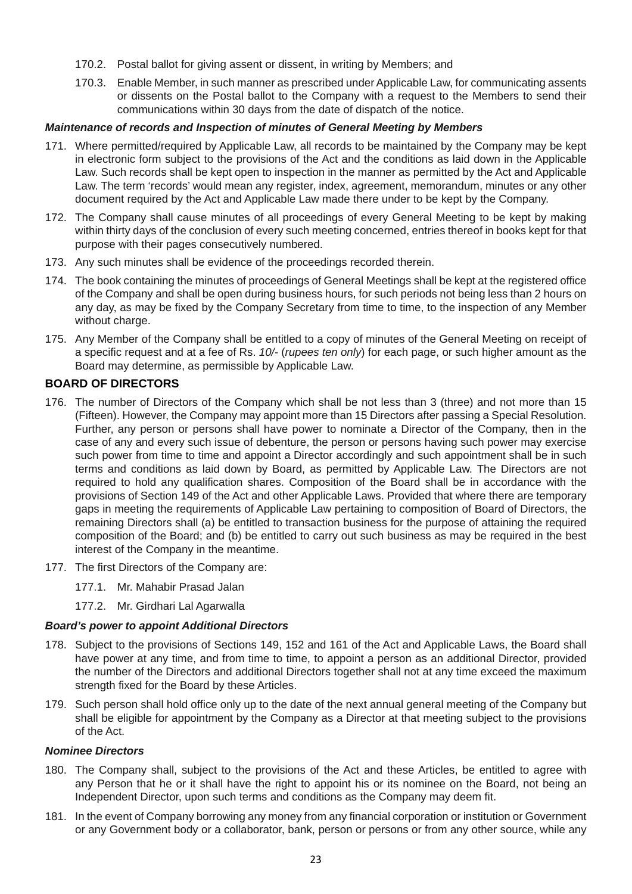- 170.2. Postal ballot for giving assent or dissent, in writing by Members; and
- 170.3. Enable Member, in such manner as prescribed under Applicable Law, for communicating assents or dissents on the Postal ballot to the Company with a request to the Members to send their communications within 30 days from the date of dispatch of the notice.

## *Maintenance of records and Inspection of minutes of General Meeting by Members*

- 171. Where permitted/required by Applicable Law, all records to be maintained by the Company may be kept in electronic form subject to the provisions of the Act and the conditions as laid down in the Applicable Law. Such records shall be kept open to inspection in the manner as permitted by the Act and Applicable Law. The term 'records' would mean any register, index, agreement, memorandum, minutes or any other document required by the Act and Applicable Law made there under to be kept by the Company.
- 172. The Company shall cause minutes of all proceedings of every General Meeting to be kept by making within thirty days of the conclusion of every such meeting concerned, entries thereof in books kept for that purpose with their pages consecutively numbered.
- 173. Any such minutes shall be evidence of the proceedings recorded therein.
- 174. The book containing the minutes of proceedings of General Meetings shall be kept at the registered office of the Company and shall be open during business hours, for such periods not being less than 2 hours on any day, as may be fixed by the Company Secretary from time to time, to the inspection of any Member without charge.
- 175. Any Member of the Company shall be entitled to a copy of minutes of the General Meeting on receipt of a specific request and at a fee of Rs. *10/-* (*rupees ten only*) for each page, or such higher amount as the Board may determine, as permissible by Applicable Law.

# **BOARD OF DIRECTORS**

- 176. The number of Directors of the Company which shall be not less than 3 (three) and not more than 15 (Fifteen). However, the Company may appoint more than 15 Directors after passing a Special Resolution. Further, any person or persons shall have power to nominate a Director of the Company, then in the case of any and every such issue of debenture, the person or persons having such power may exercise such power from time to time and appoint a Director accordingly and such appointment shall be in such terms and conditions as laid down by Board, as permitted by Applicable Law. The Directors are not required to hold any qualification shares. Composition of the Board shall be in accordance with the provisions of Section 149 of the Act and other Applicable Laws. Provided that where there are temporary gaps in meeting the requirements of Applicable Law pertaining to composition of Board of Directors, the remaining Directors shall (a) be entitled to transaction business for the purpose of attaining the required composition of the Board; and (b) be entitled to carry out such business as may be required in the best interest of the Company in the meantime.
- 177. The first Directors of the Company are:
	- 177.1. Mr. Mahabir Prasad Jalan
	- 177.2. Mr. Girdhari Lal Agarwalla

#### *Board's power to appoint Additional Directors*

- 178. Subject to the provisions of Sections 149, 152 and 161 of the Act and Applicable Laws, the Board shall have power at any time, and from time to time, to appoint a person as an additional Director, provided the number of the Directors and additional Directors together shall not at any time exceed the maximum strength fixed for the Board by these Articles.
- 179. Such person shall hold office only up to the date of the next annual general meeting of the Company but shall be eligible for appointment by the Company as a Director at that meeting subject to the provisions of the Act.

## *Nominee Directors*

- 180. The Company shall, subject to the provisions of the Act and these Articles, be entitled to agree with any Person that he or it shall have the right to appoint his or its nominee on the Board, not being an Independent Director, upon such terms and conditions as the Company may deem fit.
- 181. In the event of Company borrowing any money from any financial corporation or institution or Government or any Government body or a collaborator, bank, person or persons or from any other source, while any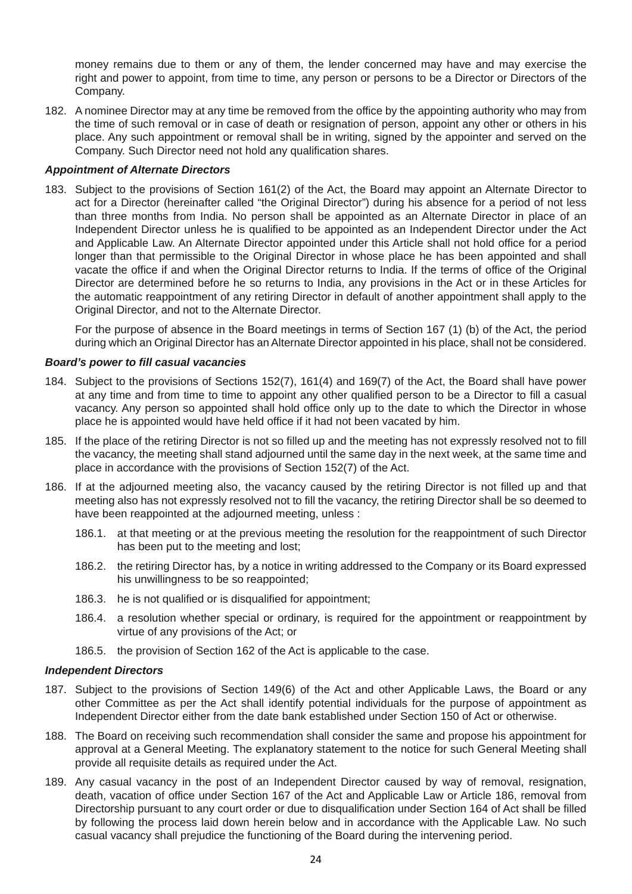money remains due to them or any of them, the lender concerned may have and may exercise the right and power to appoint, from time to time, any person or persons to be a Director or Directors of the Company.

182. A nominee Director may at any time be removed from the office by the appointing authority who may from the time of such removal or in case of death or resignation of person, appoint any other or others in his place. Any such appointment or removal shall be in writing, signed by the appointer and served on the Company. Such Director need not hold any qualification shares.

#### *Appointment of Alternate Directors*

183. Subject to the provisions of Section 161(2) of the Act, the Board may appoint an Alternate Director to act for a Director (hereinafter called "the Original Director") during his absence for a period of not less than three months from India. No person shall be appointed as an Alternate Director in place of an Independent Director unless he is qualified to be appointed as an Independent Director under the Act and Applicable Law. An Alternate Director appointed under this Article shall not hold office for a period longer than that permissible to the Original Director in whose place he has been appointed and shall vacate the office if and when the Original Director returns to India. If the terms of office of the Original Director are determined before he so returns to India, any provisions in the Act or in these Articles for the automatic reappointment of any retiring Director in default of another appointment shall apply to the Original Director, and not to the Alternate Director.

 For the purpose of absence in the Board meetings in terms of Section 167 (1) (b) of the Act, the period during which an Original Director has an Alternate Director appointed in his place, shall not be considered.

#### *Board's power to fill casual vacancies*

- 184. Subject to the provisions of Sections 152(7), 161(4) and 169(7) of the Act, the Board shall have power at any time and from time to time to appoint any other qualified person to be a Director to fill a casual vacancy. Any person so appointed shall hold office only up to the date to which the Director in whose place he is appointed would have held office if it had not been vacated by him.
- 185. If the place of the retiring Director is not so filled up and the meeting has not expressly resolved not to fill the vacancy, the meeting shall stand adjourned until the same day in the next week, at the same time and place in accordance with the provisions of Section 152(7) of the Act.
- 186. If at the adjourned meeting also, the vacancy caused by the retiring Director is not filled up and that meeting also has not expressly resolved not to fill the vacancy, the retiring Director shall be so deemed to have been reappointed at the adjourned meeting, unless :
	- 186.1. at that meeting or at the previous meeting the resolution for the reappointment of such Director has been put to the meeting and lost;
	- 186.2. the retiring Director has, by a notice in writing addressed to the Company or its Board expressed his unwillingness to be so reappointed;
	- 186.3. he is not qualified or is disqualified for appointment;
	- 186.4. a resolution whether special or ordinary, is required for the appointment or reappointment by virtue of any provisions of the Act; or
	- 186.5. the provision of Section 162 of the Act is applicable to the case.

#### *Independent Directors*

- 187. Subject to the provisions of Section 149(6) of the Act and other Applicable Laws, the Board or any other Committee as per the Act shall identify potential individuals for the purpose of appointment as Independent Director either from the date bank established under Section 150 of Act or otherwise.
- 188. The Board on receiving such recommendation shall consider the same and propose his appointment for approval at a General Meeting. The explanatory statement to the notice for such General Meeting shall provide all requisite details as required under the Act.
- 189. Any casual vacancy in the post of an Independent Director caused by way of removal, resignation, death, vacation of office under Section 167 of the Act and Applicable Law or Article 186, removal from Directorship pursuant to any court order or due to disqualification under Section 164 of Act shall be filled by following the process laid down herein below and in accordance with the Applicable Law. No such casual vacancy shall prejudice the functioning of the Board during the intervening period.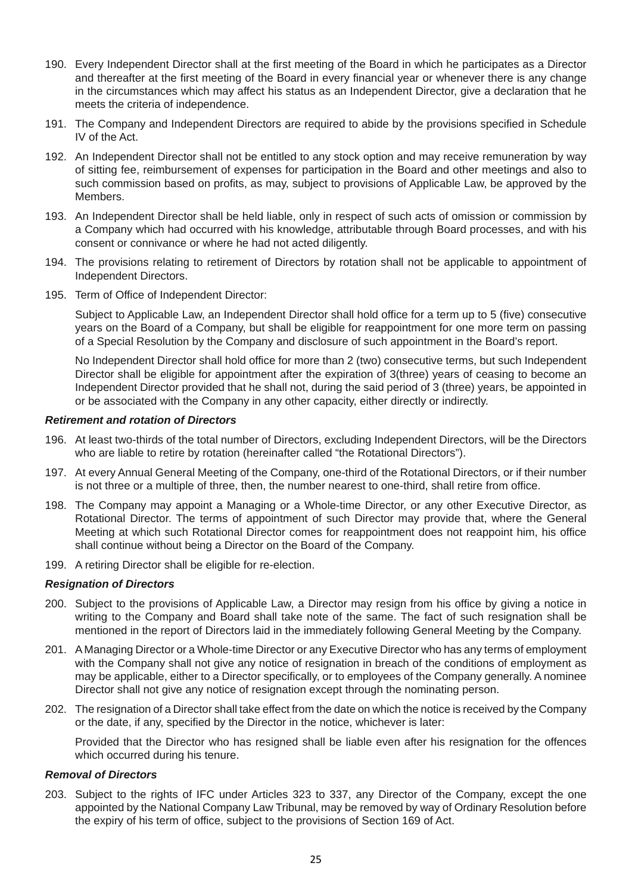- 190. Every Independent Director shall at the first meeting of the Board in which he participates as a Director and thereafter at the first meeting of the Board in every financial year or whenever there is any change in the circumstances which may affect his status as an Independent Director, give a declaration that he meets the criteria of independence.
- 191. The Company and Independent Directors are required to abide by the provisions specified in Schedule IV of the Act.
- 192. An Independent Director shall not be entitled to any stock option and may receive remuneration by way of sitting fee, reimbursement of expenses for participation in the Board and other meetings and also to such commission based on profits, as may, subject to provisions of Applicable Law, be approved by the Members.
- 193. An Independent Director shall be held liable, only in respect of such acts of omission or commission by a Company which had occurred with his knowledge, attributable through Board processes, and with his consent or connivance or where he had not acted diligently.
- 194. The provisions relating to retirement of Directors by rotation shall not be applicable to appointment of Independent Directors.
- 195. Term of Office of Independent Director:

 Subject to Applicable Law, an Independent Director shall hold office for a term up to 5 (five) consecutive years on the Board of a Company, but shall be eligible for reappointment for one more term on passing of a Special Resolution by the Company and disclosure of such appointment in the Board's report.

 No Independent Director shall hold office for more than 2 (two) consecutive terms, but such Independent Director shall be eligible for appointment after the expiration of 3(three) years of ceasing to become an Independent Director provided that he shall not, during the said period of 3 (three) years, be appointed in or be associated with the Company in any other capacity, either directly or indirectly.

#### *Retirement and rotation of Directors*

- 196. At least two-thirds of the total number of Directors, excluding Independent Directors, will be the Directors who are liable to retire by rotation (hereinafter called "the Rotational Directors").
- 197. At every Annual General Meeting of the Company, one-third of the Rotational Directors, or if their number is not three or a multiple of three, then, the number nearest to one-third, shall retire from office.
- 198. The Company may appoint a Managing or a Whole-time Director, or any other Executive Director, as Rotational Director. The terms of appointment of such Director may provide that, where the General Meeting at which such Rotational Director comes for reappointment does not reappoint him, his office shall continue without being a Director on the Board of the Company.
- 199. A retiring Director shall be eligible for re-election.

#### *Resignation of Directors*

- 200. Subject to the provisions of Applicable Law, a Director may resign from his office by giving a notice in writing to the Company and Board shall take note of the same. The fact of such resignation shall be mentioned in the report of Directors laid in the immediately following General Meeting by the Company.
- 201. A Managing Director or a Whole-time Director or any Executive Director who has any terms of employment with the Company shall not give any notice of resignation in breach of the conditions of employment as may be applicable, either to a Director specifically, or to employees of the Company generally. A nominee Director shall not give any notice of resignation except through the nominating person.
- 202. The resignation of a Director shall take effect from the date on which the notice is received by the Company or the date, if any, specified by the Director in the notice, whichever is later:

 Provided that the Director who has resigned shall be liable even after his resignation for the offences which occurred during his tenure.

#### *Removal of Directors*

203. Subject to the rights of IFC under Articles 323 to 337, any Director of the Company, except the one appointed by the National Company Law Tribunal, may be removed by way of Ordinary Resolution before the expiry of his term of office, subject to the provisions of Section 169 of Act.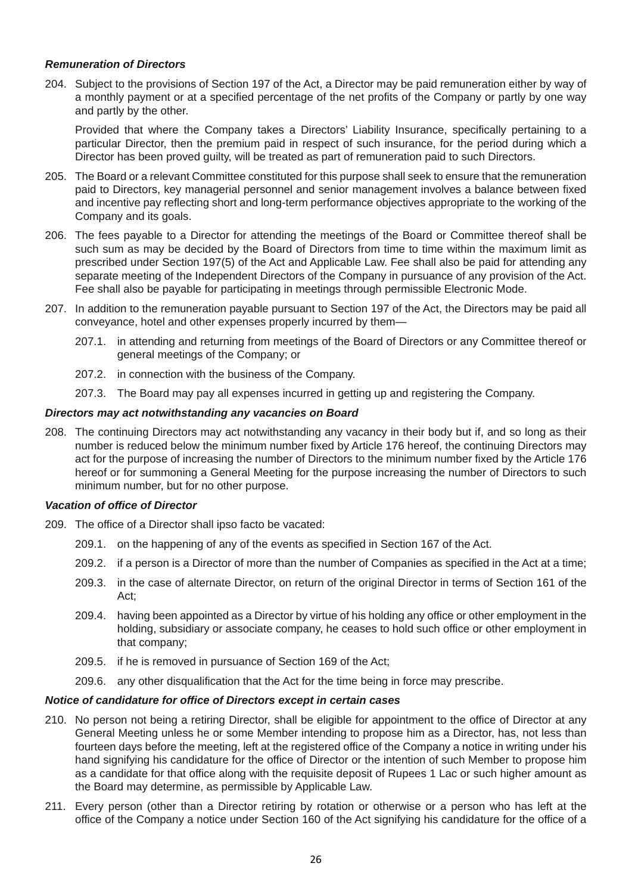## *Remuneration of Directors*

204. Subject to the provisions of Section 197 of the Act, a Director may be paid remuneration either by way of a monthly payment or at a specified percentage of the net profits of the Company or partly by one way and partly by the other.

 Provided that where the Company takes a Directors' Liability Insurance, specifically pertaining to a particular Director, then the premium paid in respect of such insurance, for the period during which a Director has been proved guilty, will be treated as part of remuneration paid to such Directors.

- 205. The Board or a relevant Committee constituted for this purpose shall seek to ensure that the remuneration paid to Directors, key managerial personnel and senior management involves a balance between fixed and incentive pay reflecting short and long-term performance objectives appropriate to the working of the Company and its goals.
- 206. The fees payable to a Director for attending the meetings of the Board or Committee thereof shall be such sum as may be decided by the Board of Directors from time to time within the maximum limit as prescribed under Section 197(5) of the Act and Applicable Law. Fee shall also be paid for attending any separate meeting of the Independent Directors of the Company in pursuance of any provision of the Act. Fee shall also be payable for participating in meetings through permissible Electronic Mode.
- 207. In addition to the remuneration payable pursuant to Section 197 of the Act, the Directors may be paid all conveyance, hotel and other expenses properly incurred by them—
	- 207.1. in attending and returning from meetings of the Board of Directors or any Committee thereof or general meetings of the Company; or
	- 207.2. in connection with the business of the Company.
	- 207.3. The Board may pay all expenses incurred in getting up and registering the Company.

#### *Directors may act notwithstanding any vacancies on Board*

208. The continuing Directors may act notwithstanding any vacancy in their body but if, and so long as their number is reduced below the minimum number fixed by Article 176 hereof, the continuing Directors may act for the purpose of increasing the number of Directors to the minimum number fixed by the Article 176 hereof or for summoning a General Meeting for the purpose increasing the number of Directors to such minimum number, but for no other purpose.

#### *Vacation of office of Director*

- 209. The office of a Director shall ipso facto be vacated:
	- 209.1. on the happening of any of the events as specified in Section 167 of the Act.
	- 209.2. if a person is a Director of more than the number of Companies as specified in the Act at a time;
	- 209.3. in the case of alternate Director, on return of the original Director in terms of Section 161 of the Act;
	- 209.4. having been appointed as a Director by virtue of his holding any office or other employment in the holding, subsidiary or associate company, he ceases to hold such office or other employment in that company;
	- 209.5. if he is removed in pursuance of Section 169 of the Act;
	- 209.6. any other disqualification that the Act for the time being in force may prescribe.

#### *Notice of candidature for office of Directors except in certain cases*

- 210. No person not being a retiring Director, shall be eligible for appointment to the office of Director at any General Meeting unless he or some Member intending to propose him as a Director, has, not less than fourteen days before the meeting, left at the registered office of the Company a notice in writing under his hand signifying his candidature for the office of Director or the intention of such Member to propose him as a candidate for that office along with the requisite deposit of Rupees 1 Lac or such higher amount as the Board may determine, as permissible by Applicable Law.
- 211. Every person (other than a Director retiring by rotation or otherwise or a person who has left at the office of the Company a notice under Section 160 of the Act signifying his candidature for the office of a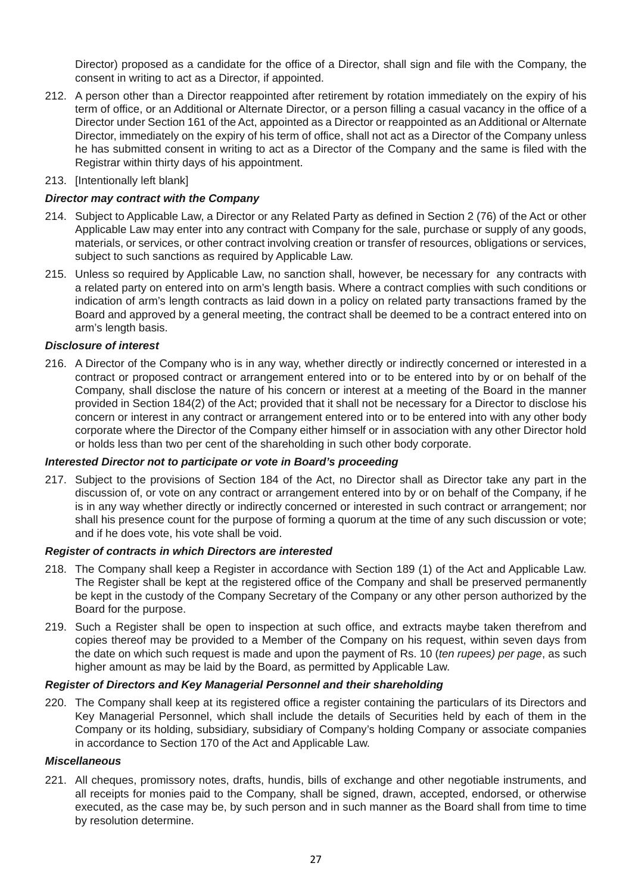Director) proposed as a candidate for the office of a Director, shall sign and file with the Company, the consent in writing to act as a Director, if appointed.

- 212. A person other than a Director reappointed after retirement by rotation immediately on the expiry of his term of office, or an Additional or Alternate Director, or a person filling a casual vacancy in the office of a Director under Section 161 of the Act, appointed as a Director or reappointed as an Additional or Alternate Director, immediately on the expiry of his term of office, shall not act as a Director of the Company unless he has submitted consent in writing to act as a Director of the Company and the same is filed with the Registrar within thirty days of his appointment.
- 213. [Intentionally left blank]

## *Director may contract with the Company*

- 214. Subject to Applicable Law, a Director or any Related Party as defined in Section 2 (76) of the Act or other Applicable Law may enter into any contract with Company for the sale, purchase or supply of any goods, materials, or services, or other contract involving creation or transfer of resources, obligations or services, subject to such sanctions as required by Applicable Law.
- 215. Unless so required by Applicable Law, no sanction shall, however, be necessary for any contracts with a related party on entered into on arm's length basis. Where a contract complies with such conditions or indication of arm's length contracts as laid down in a policy on related party transactions framed by the Board and approved by a general meeting, the contract shall be deemed to be a contract entered into on arm's length basis.

#### *Disclosure of interest*

216. A Director of the Company who is in any way, whether directly or indirectly concerned or interested in a contract or proposed contract or arrangement entered into or to be entered into by or on behalf of the Company, shall disclose the nature of his concern or interest at a meeting of the Board in the manner provided in Section 184(2) of the Act; provided that it shall not be necessary for a Director to disclose his concern or interest in any contract or arrangement entered into or to be entered into with any other body corporate where the Director of the Company either himself or in association with any other Director hold or holds less than two per cent of the shareholding in such other body corporate.

## *Interested Director not to participate or vote in Board's proceeding*

217. Subject to the provisions of Section 184 of the Act, no Director shall as Director take any part in the discussion of, or vote on any contract or arrangement entered into by or on behalf of the Company, if he is in any way whether directly or indirectly concerned or interested in such contract or arrangement; nor shall his presence count for the purpose of forming a quorum at the time of any such discussion or vote; and if he does vote, his vote shall be void.

#### *Register of contracts in which Directors are interested*

- 218. The Company shall keep a Register in accordance with Section 189 (1) of the Act and Applicable Law. The Register shall be kept at the registered office of the Company and shall be preserved permanently be kept in the custody of the Company Secretary of the Company or any other person authorized by the Board for the purpose.
- 219. Such a Register shall be open to inspection at such office, and extracts maybe taken therefrom and copies thereof may be provided to a Member of the Company on his request, within seven days from the date on which such request is made and upon the payment of Rs. 10 (*ten rupees) per page*, as such higher amount as may be laid by the Board, as permitted by Applicable Law.

#### *Register of Directors and Key Managerial Personnel and their shareholding*

220. The Company shall keep at its registered office a register containing the particulars of its Directors and Key Managerial Personnel, which shall include the details of Securities held by each of them in the Company or its holding, subsidiary, subsidiary of Company's holding Company or associate companies in accordance to Section 170 of the Act and Applicable Law.

#### *Miscellaneous*

221. All cheques, promissory notes, drafts, hundis, bills of exchange and other negotiable instruments, and all receipts for monies paid to the Company, shall be signed, drawn, accepted, endorsed, or otherwise executed, as the case may be, by such person and in such manner as the Board shall from time to time by resolution determine.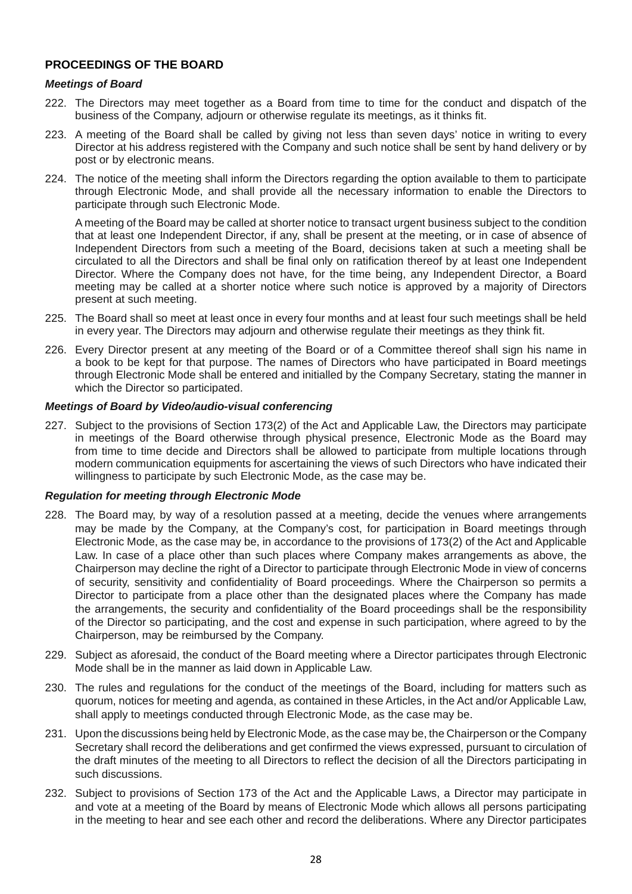# **PROCEEDINGS OF THE BOARD**

#### *Meetings of Board*

- 222. The Directors may meet together as a Board from time to time for the conduct and dispatch of the business of the Company, adjourn or otherwise regulate its meetings, as it thinks fit.
- 223. A meeting of the Board shall be called by giving not less than seven days' notice in writing to every Director at his address registered with the Company and such notice shall be sent by hand delivery or by post or by electronic means.
- 224. The notice of the meeting shall inform the Directors regarding the option available to them to participate through Electronic Mode, and shall provide all the necessary information to enable the Directors to participate through such Electronic Mode.

 A meeting of the Board may be called at shorter notice to transact urgent business subject to the condition that at least one Independent Director, if any, shall be present at the meeting, or in case of absence of Independent Directors from such a meeting of the Board, decisions taken at such a meeting shall be circulated to all the Directors and shall be final only on ratification thereof by at least one Independent Director. Where the Company does not have, for the time being, any Independent Director, a Board meeting may be called at a shorter notice where such notice is approved by a majority of Directors present at such meeting.

- 225. The Board shall so meet at least once in every four months and at least four such meetings shall be held in every year. The Directors may adjourn and otherwise regulate their meetings as they think fit.
- 226. Every Director present at any meeting of the Board or of a Committee thereof shall sign his name in a book to be kept for that purpose. The names of Directors who have participated in Board meetings through Electronic Mode shall be entered and initialled by the Company Secretary, stating the manner in which the Director so participated.

#### *Meetings of Board by Video/audio-visual conferencing*

227. Subject to the provisions of Section 173(2) of the Act and Applicable Law, the Directors may participate in meetings of the Board otherwise through physical presence, Electronic Mode as the Board may from time to time decide and Directors shall be allowed to participate from multiple locations through modern communication equipments for ascertaining the views of such Directors who have indicated their willingness to participate by such Electronic Mode, as the case may be.

#### *Regulation for meeting through Electronic Mode*

- 228. The Board may, by way of a resolution passed at a meeting, decide the venues where arrangements may be made by the Company, at the Company's cost, for participation in Board meetings through Electronic Mode, as the case may be, in accordance to the provisions of 173(2) of the Act and Applicable Law. In case of a place other than such places where Company makes arrangements as above, the Chairperson may decline the right of a Director to participate through Electronic Mode in view of concerns of security, sensitivity and confidentiality of Board proceedings. Where the Chairperson so permits a Director to participate from a place other than the designated places where the Company has made the arrangements, the security and confidentiality of the Board proceedings shall be the responsibility of the Director so participating, and the cost and expense in such participation, where agreed to by the Chairperson, may be reimbursed by the Company.
- 229. Subject as aforesaid, the conduct of the Board meeting where a Director participates through Electronic Mode shall be in the manner as laid down in Applicable Law.
- 230. The rules and regulations for the conduct of the meetings of the Board, including for matters such as quorum, notices for meeting and agenda, as contained in these Articles, in the Act and/or Applicable Law, shall apply to meetings conducted through Electronic Mode, as the case may be.
- 231. Upon the discussions being held by Electronic Mode, as the case may be, the Chairperson or the Company Secretary shall record the deliberations and get confirmed the views expressed, pursuant to circulation of the draft minutes of the meeting to all Directors to reflect the decision of all the Directors participating in such discussions.
- 232. Subject to provisions of Section 173 of the Act and the Applicable Laws, a Director may participate in and vote at a meeting of the Board by means of Electronic Mode which allows all persons participating in the meeting to hear and see each other and record the deliberations. Where any Director participates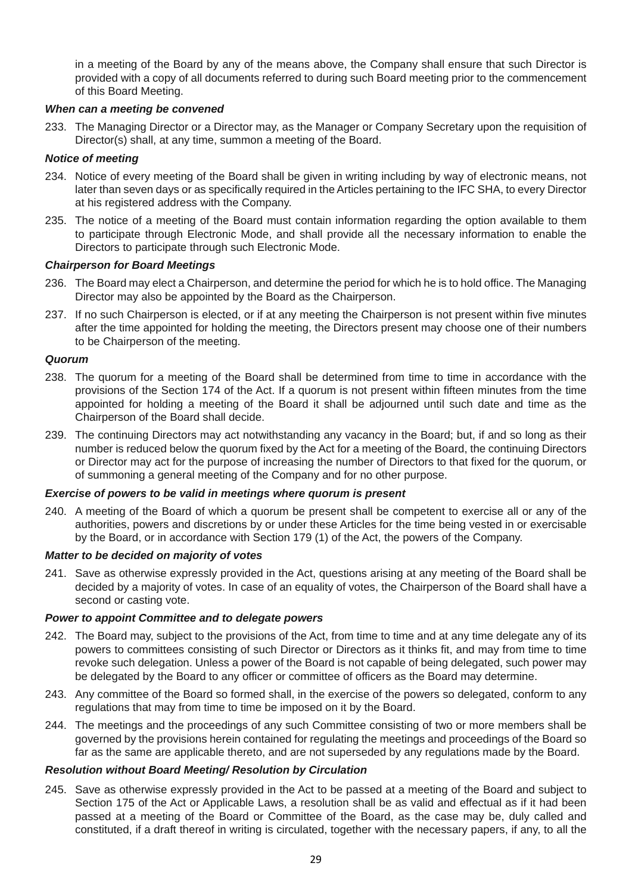in a meeting of the Board by any of the means above, the Company shall ensure that such Director is provided with a copy of all documents referred to during such Board meeting prior to the commencement of this Board Meeting.

## *When can a meeting be convened*

233. The Managing Director or a Director may, as the Manager or Company Secretary upon the requisition of Director(s) shall, at any time, summon a meeting of the Board.

#### *Notice of meeting*

- 234. Notice of every meeting of the Board shall be given in writing including by way of electronic means, not later than seven days or as specifically required in the Articles pertaining to the IFC SHA, to every Director at his registered address with the Company.
- 235. The notice of a meeting of the Board must contain information regarding the option available to them to participate through Electronic Mode, and shall provide all the necessary information to enable the Directors to participate through such Electronic Mode.

## *Chairperson for Board Meetings*

- 236. The Board may elect a Chairperson, and determine the period for which he is to hold office. The Managing Director may also be appointed by the Board as the Chairperson.
- 237. If no such Chairperson is elected, or if at any meeting the Chairperson is not present within five minutes after the time appointed for holding the meeting, the Directors present may choose one of their numbers to be Chairperson of the meeting.

#### *Quorum*

- 238. The quorum for a meeting of the Board shall be determined from time to time in accordance with the provisions of the Section 174 of the Act. If a quorum is not present within fifteen minutes from the time appointed for holding a meeting of the Board it shall be adjourned until such date and time as the Chairperson of the Board shall decide.
- 239. The continuing Directors may act notwithstanding any vacancy in the Board; but, if and so long as their number is reduced below the quorum fixed by the Act for a meeting of the Board, the continuing Directors or Director may act for the purpose of increasing the number of Directors to that fixed for the quorum, or of summoning a general meeting of the Company and for no other purpose.

#### *Exercise of powers to be valid in meetings where quorum is present*

240. A meeting of the Board of which a quorum be present shall be competent to exercise all or any of the authorities, powers and discretions by or under these Articles for the time being vested in or exercisable by the Board, or in accordance with Section 179 (1) of the Act, the powers of the Company.

#### *Matter to be decided on majority of votes*

241. Save as otherwise expressly provided in the Act, questions arising at any meeting of the Board shall be decided by a majority of votes. In case of an equality of votes, the Chairperson of the Board shall have a second or casting vote.

#### *Power to appoint Committee and to delegate powers*

- 242. The Board may, subject to the provisions of the Act, from time to time and at any time delegate any of its powers to committees consisting of such Director or Directors as it thinks fit, and may from time to time revoke such delegation. Unless a power of the Board is not capable of being delegated, such power may be delegated by the Board to any officer or committee of officers as the Board may determine.
- 243. Any committee of the Board so formed shall, in the exercise of the powers so delegated, conform to any regulations that may from time to time be imposed on it by the Board.
- 244. The meetings and the proceedings of any such Committee consisting of two or more members shall be governed by the provisions herein contained for regulating the meetings and proceedings of the Board so far as the same are applicable thereto, and are not superseded by any regulations made by the Board.

#### *Resolution without Board Meeting/ Resolution by Circulation*

245. Save as otherwise expressly provided in the Act to be passed at a meeting of the Board and subject to Section 175 of the Act or Applicable Laws, a resolution shall be as valid and effectual as if it had been passed at a meeting of the Board or Committee of the Board, as the case may be, duly called and constituted, if a draft thereof in writing is circulated, together with the necessary papers, if any, to all the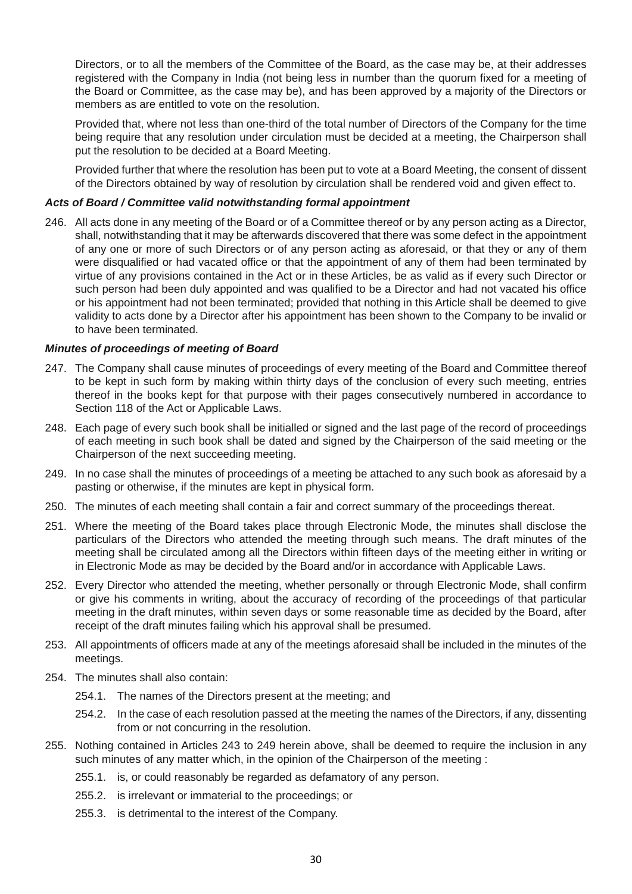Directors, or to all the members of the Committee of the Board, as the case may be, at their addresses registered with the Company in India (not being less in number than the quorum fixed for a meeting of the Board or Committee, as the case may be), and has been approved by a majority of the Directors or members as are entitled to vote on the resolution.

 Provided that, where not less than one-third of the total number of Directors of the Company for the time being require that any resolution under circulation must be decided at a meeting, the Chairperson shall put the resolution to be decided at a Board Meeting.

 Provided further that where the resolution has been put to vote at a Board Meeting, the consent of dissent of the Directors obtained by way of resolution by circulation shall be rendered void and given effect to.

## *Acts of Board / Committee valid notwithstanding formal appointment*

246. All acts done in any meeting of the Board or of a Committee thereof or by any person acting as a Director, shall, notwithstanding that it may be afterwards discovered that there was some defect in the appointment of any one or more of such Directors or of any person acting as aforesaid, or that they or any of them were disqualified or had vacated office or that the appointment of any of them had been terminated by virtue of any provisions contained in the Act or in these Articles, be as valid as if every such Director or such person had been duly appointed and was qualified to be a Director and had not vacated his office or his appointment had not been terminated; provided that nothing in this Article shall be deemed to give validity to acts done by a Director after his appointment has been shown to the Company to be invalid or to have been terminated.

## *Minutes of proceedings of meeting of Board*

- 247. The Company shall cause minutes of proceedings of every meeting of the Board and Committee thereof to be kept in such form by making within thirty days of the conclusion of every such meeting, entries thereof in the books kept for that purpose with their pages consecutively numbered in accordance to Section 118 of the Act or Applicable Laws.
- 248. Each page of every such book shall be initialled or signed and the last page of the record of proceedings of each meeting in such book shall be dated and signed by the Chairperson of the said meeting or the Chairperson of the next succeeding meeting.
- 249. In no case shall the minutes of proceedings of a meeting be attached to any such book as aforesaid by a pasting or otherwise, if the minutes are kept in physical form.
- 250. The minutes of each meeting shall contain a fair and correct summary of the proceedings thereat.
- 251. Where the meeting of the Board takes place through Electronic Mode, the minutes shall disclose the particulars of the Directors who attended the meeting through such means. The draft minutes of the meeting shall be circulated among all the Directors within fifteen days of the meeting either in writing or in Electronic Mode as may be decided by the Board and/or in accordance with Applicable Laws.
- 252. Every Director who attended the meeting, whether personally or through Electronic Mode, shall confirm or give his comments in writing, about the accuracy of recording of the proceedings of that particular meeting in the draft minutes, within seven days or some reasonable time as decided by the Board, after receipt of the draft minutes failing which his approval shall be presumed.
- 253. All appointments of officers made at any of the meetings aforesaid shall be included in the minutes of the meetings.
- 254. The minutes shall also contain:
	- 254.1. The names of the Directors present at the meeting; and
	- 254.2. In the case of each resolution passed at the meeting the names of the Directors, if any, dissenting from or not concurring in the resolution.
- 255. Nothing contained in Articles 243 to 249 herein above, shall be deemed to require the inclusion in any such minutes of any matter which, in the opinion of the Chairperson of the meeting :
	- 255.1. is, or could reasonably be regarded as defamatory of any person.
	- 255.2. is irrelevant or immaterial to the proceedings; or
	- 255.3. is detrimental to the interest of the Company.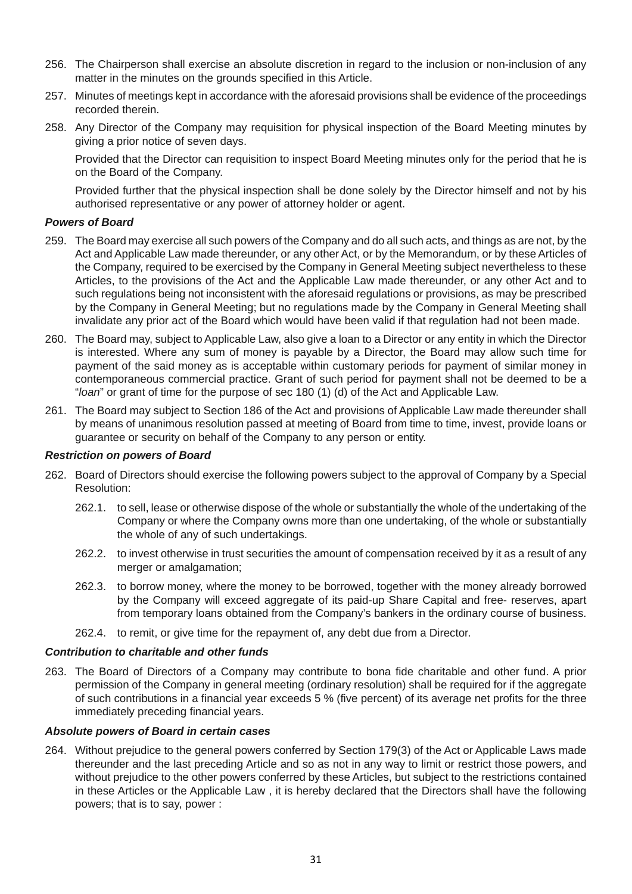- 256. The Chairperson shall exercise an absolute discretion in regard to the inclusion or non-inclusion of any matter in the minutes on the grounds specified in this Article.
- 257. Minutes of meetings kept in accordance with the aforesaid provisions shall be evidence of the proceedings recorded therein.
- 258. Any Director of the Company may requisition for physical inspection of the Board Meeting minutes by giving a prior notice of seven days.

 Provided that the Director can requisition to inspect Board Meeting minutes only for the period that he is on the Board of the Company.

 Provided further that the physical inspection shall be done solely by the Director himself and not by his authorised representative or any power of attorney holder or agent.

## *Powers of Board*

- 259. The Board may exercise all such powers of the Company and do all such acts, and things as are not, by the Act and Applicable Law made thereunder, or any other Act, or by the Memorandum, or by these Articles of the Company, required to be exercised by the Company in General Meeting subject nevertheless to these Articles, to the provisions of the Act and the Applicable Law made thereunder, or any other Act and to such regulations being not inconsistent with the aforesaid regulations or provisions, as may be prescribed by the Company in General Meeting; but no regulations made by the Company in General Meeting shall invalidate any prior act of the Board which would have been valid if that regulation had not been made.
- 260. The Board may, subject to Applicable Law, also give a loan to a Director or any entity in which the Director is interested. Where any sum of money is payable by a Director, the Board may allow such time for payment of the said money as is acceptable within customary periods for payment of similar money in contemporaneous commercial practice. Grant of such period for payment shall not be deemed to be a "*loan*" or grant of time for the purpose of sec 180 (1) (d) of the Act and Applicable Law.
- 261. The Board may subject to Section 186 of the Act and provisions of Applicable Law made thereunder shall by means of unanimous resolution passed at meeting of Board from time to time, invest, provide loans or guarantee or security on behalf of the Company to any person or entity.

#### *Restriction on powers of Board*

- 262. Board of Directors should exercise the following powers subject to the approval of Company by a Special Resolution:
	- 262.1. to sell, lease or otherwise dispose of the whole or substantially the whole of the undertaking of the Company or where the Company owns more than one undertaking, of the whole or substantially the whole of any of such undertakings.
	- 262.2. to invest otherwise in trust securities the amount of compensation received by it as a result of any merger or amalgamation:
	- 262.3. to borrow money, where the money to be borrowed, together with the money already borrowed by the Company will exceed aggregate of its paid-up Share Capital and free- reserves, apart from temporary loans obtained from the Company's bankers in the ordinary course of business.
	- 262.4. to remit, or give time for the repayment of, any debt due from a Director.

#### *Contribution to charitable and other funds*

263. The Board of Directors of a Company may contribute to bona fide charitable and other fund. A prior permission of the Company in general meeting (ordinary resolution) shall be required for if the aggregate of such contributions in a financial year exceeds 5 % (five percent) of its average net profits for the three immediately preceding financial years.

## *Absolute powers of Board in certain cases*

264. Without prejudice to the general powers conferred by Section 179(3) of the Act or Applicable Laws made thereunder and the last preceding Article and so as not in any way to limit or restrict those powers, and without prejudice to the other powers conferred by these Articles, but subject to the restrictions contained in these Articles or the Applicable Law , it is hereby declared that the Directors shall have the following powers; that is to say, power :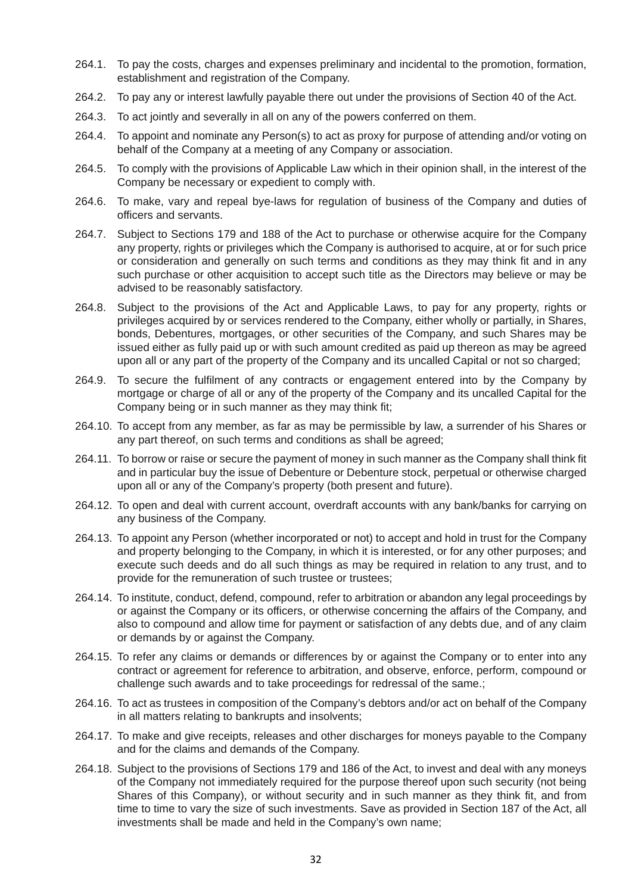- 264.1. To pay the costs, charges and expenses preliminary and incidental to the promotion, formation, establishment and registration of the Company.
- 264.2. To pay any or interest lawfully payable there out under the provisions of Section 40 of the Act.
- 264.3. To act jointly and severally in all on any of the powers conferred on them.
- 264.4. To appoint and nominate any Person(s) to act as proxy for purpose of attending and/or voting on behalf of the Company at a meeting of any Company or association.
- 264.5. To comply with the provisions of Applicable Law which in their opinion shall, in the interest of the Company be necessary or expedient to comply with.
- 264.6. To make, vary and repeal bye-laws for regulation of business of the Company and duties of officers and servants.
- 264.7. Subject to Sections 179 and 188 of the Act to purchase or otherwise acquire for the Company any property, rights or privileges which the Company is authorised to acquire, at or for such price or consideration and generally on such terms and conditions as they may think fit and in any such purchase or other acquisition to accept such title as the Directors may believe or may be advised to be reasonably satisfactory.
- 264.8. Subject to the provisions of the Act and Applicable Laws, to pay for any property, rights or privileges acquired by or services rendered to the Company, either wholly or partially, in Shares, bonds, Debentures, mortgages, or other securities of the Company, and such Shares may be issued either as fully paid up or with such amount credited as paid up thereon as may be agreed upon all or any part of the property of the Company and its uncalled Capital or not so charged;
- 264.9. To secure the fulfilment of any contracts or engagement entered into by the Company by mortgage or charge of all or any of the property of the Company and its uncalled Capital for the Company being or in such manner as they may think fit;
- 264.10. To accept from any member, as far as may be permissible by law, a surrender of his Shares or any part thereof, on such terms and conditions as shall be agreed;
- 264.11. To borrow or raise or secure the payment of money in such manner as the Company shall think fit and in particular buy the issue of Debenture or Debenture stock, perpetual or otherwise charged upon all or any of the Company's property (both present and future).
- 264.12. To open and deal with current account, overdraft accounts with any bank/banks for carrying on any business of the Company.
- 264.13. To appoint any Person (whether incorporated or not) to accept and hold in trust for the Company and property belonging to the Company, in which it is interested, or for any other purposes; and execute such deeds and do all such things as may be required in relation to any trust, and to provide for the remuneration of such trustee or trustees;
- 264.14. To institute, conduct, defend, compound, refer to arbitration or abandon any legal proceedings by or against the Company or its officers, or otherwise concerning the affairs of the Company, and also to compound and allow time for payment or satisfaction of any debts due, and of any claim or demands by or against the Company.
- 264.15. To refer any claims or demands or differences by or against the Company or to enter into any contract or agreement for reference to arbitration, and observe, enforce, perform, compound or challenge such awards and to take proceedings for redressal of the same.;
- 264.16. To act as trustees in composition of the Company's debtors and/or act on behalf of the Company in all matters relating to bankrupts and insolvents;
- 264.17. To make and give receipts, releases and other discharges for moneys payable to the Company and for the claims and demands of the Company.
- 264.18. Subject to the provisions of Sections 179 and 186 of the Act, to invest and deal with any moneys of the Company not immediately required for the purpose thereof upon such security (not being Shares of this Company), or without security and in such manner as they think fit, and from time to time to vary the size of such investments. Save as provided in Section 187 of the Act, all investments shall be made and held in the Company's own name;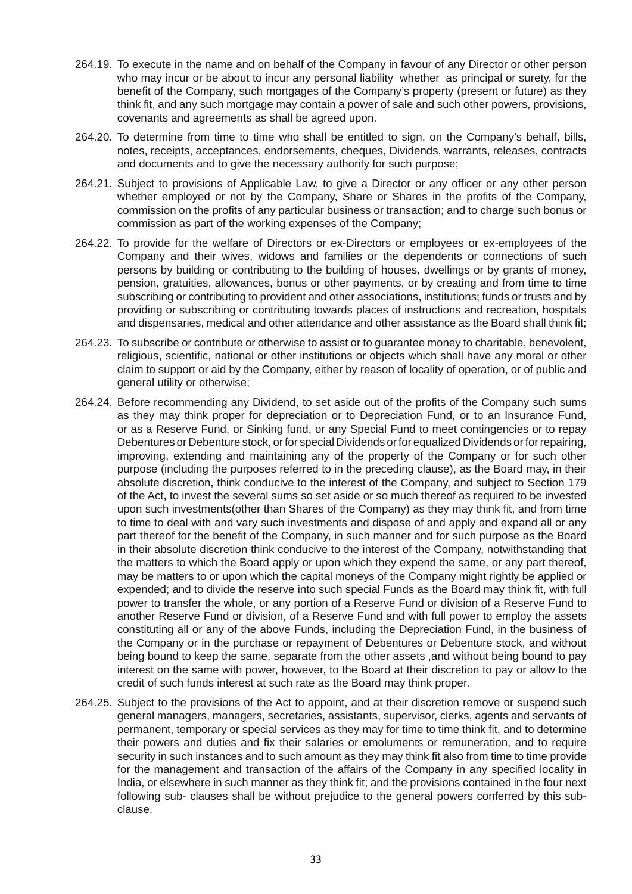- 264.19. To execute in the name and on behalf of the Company in favour of any Director or other person who may incur or be about to incur any personal liability whether as principal or surety, for the benefit of the Company, such mortgages of the Company's property (present or future) as they think fit, and any such mortgage may contain a power of sale and such other powers, provisions, covenants and agreements as shall be agreed upon.
- 264.20. To determine from time to time who shall be entitled to sign, on the Company's behalf, bills, notes, receipts, acceptances, endorsements, cheques, Dividends, warrants, releases, contracts and documents and to give the necessary authority for such purpose;
- 264.21. Subject to provisions of Applicable Law, to give a Director or any officer or any other person whether employed or not by the Company, Share or Shares in the profits of the Company, commission on the profits of any particular business or transaction; and to charge such bonus or commission as part of the working expenses of the Company;
- 264.22. To provide for the welfare of Directors or ex-Directors or employees or ex-employees of the Company and their wives, widows and families or the dependents or connections of such persons by building or contributing to the building of houses, dwellings or by grants of money, pension, gratuities, allowances, bonus or other payments, or by creating and from time to time subscribing or contributing to provident and other associations, institutions; funds or trusts and by providing or subscribing or contributing towards places of instructions and recreation, hospitals and dispensaries, medical and other attendance and other assistance as the Board shall think fit;
- 264.23. To subscribe or contribute or otherwise to assist or to guarantee money to charitable, benevolent, religious, scientific, national or other institutions or objects which shall have any moral or other claim to support or aid by the Company, either by reason of locality of operation, or of public and general utility or otherwise;
- 264.24. Before recommending any Dividend, to set aside out of the profits of the Company such sums as they may think proper for depreciation or to Depreciation Fund, or to an Insurance Fund, or as a Reserve Fund, or Sinking fund, or any Special Fund to meet contingencies or to repay Debentures or Debenture stock, or for special Dividends or for equalized Dividends or for repairing, improving, extending and maintaining any of the property of the Company or for such other purpose (including the purposes referred to in the preceding clause), as the Board may, in their absolute discretion, think conducive to the interest of the Company, and subject to Section 179 of the Act, to invest the several sums so set aside or so much thereof as required to be invested upon such investments(other than Shares of the Company) as they may think fit, and from time to time to deal with and vary such investments and dispose of and apply and expand all or any part thereof for the benefit of the Company, in such manner and for such purpose as the Board in their absolute discretion think conducive to the interest of the Company, notwithstanding that the matters to which the Board apply or upon which they expend the same, or any part thereof, may be matters to or upon which the capital moneys of the Company might rightly be applied or expended; and to divide the reserve into such special Funds as the Board may think fit, with full power to transfer the whole, or any portion of a Reserve Fund or division of a Reserve Fund to another Reserve Fund or division, of a Reserve Fund and with full power to employ the assets constituting all or any of the above Funds, including the Depreciation Fund, in the business of the Company or in the purchase or repayment of Debentures or Debenture stock, and without being bound to keep the same, separate from the other assets ,and without being bound to pay interest on the same with power, however, to the Board at their discretion to pay or allow to the credit of such funds interest at such rate as the Board may think proper.
- 264.25. Subject to the provisions of the Act to appoint, and at their discretion remove or suspend such general managers, managers, secretaries, assistants, supervisor, clerks, agents and servants of permanent, temporary or special services as they may for time to time think fit, and to determine their powers and duties and fix their salaries or emoluments or remuneration, and to require security in such instances and to such amount as they may think fit also from time to time provide for the management and transaction of the affairs of the Company in any specified locality in India, or elsewhere in such manner as they think fit; and the provisions contained in the four next following sub- clauses shall be without prejudice to the general powers conferred by this subclause.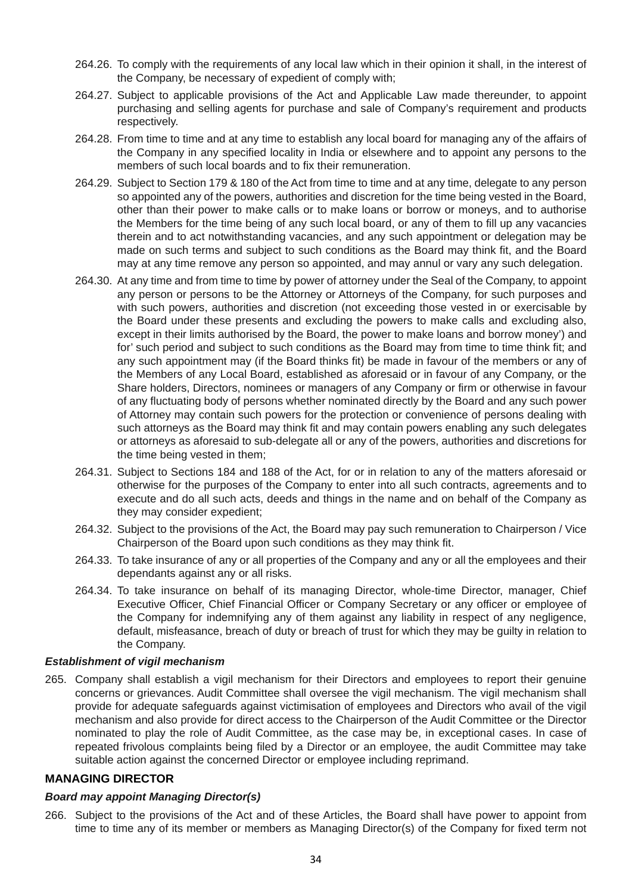- 264.26. To comply with the requirements of any local law which in their opinion it shall, in the interest of the Company, be necessary of expedient of comply with;
- 264.27. Subject to applicable provisions of the Act and Applicable Law made thereunder, to appoint purchasing and selling agents for purchase and sale of Company's requirement and products respectively.
- 264.28. From time to time and at any time to establish any local board for managing any of the affairs of the Company in any specified locality in India or elsewhere and to appoint any persons to the members of such local boards and to fix their remuneration.
- 264.29. Subject to Section 179 & 180 of the Act from time to time and at any time, delegate to any person so appointed any of the powers, authorities and discretion for the time being vested in the Board, other than their power to make calls or to make loans or borrow or moneys, and to authorise the Members for the time being of any such local board, or any of them to fill up any vacancies therein and to act notwithstanding vacancies, and any such appointment or delegation may be made on such terms and subject to such conditions as the Board may think fit, and the Board may at any time remove any person so appointed, and may annul or vary any such delegation.
- 264.30. At any time and from time to time by power of attorney under the Seal of the Company, to appoint any person or persons to be the Attorney or Attorneys of the Company, for such purposes and with such powers, authorities and discretion (not exceeding those vested in or exercisable by the Board under these presents and excluding the powers to make calls and excluding also, except in their limits authorised by the Board, the power to make loans and borrow money') and for' such period and subject to such conditions as the Board may from time to time think fit; and any such appointment may (if the Board thinks fit) be made in favour of the members or any of the Members of any Local Board, established as aforesaid or in favour of any Company, or the Share holders, Directors, nominees or managers of any Company or firm or otherwise in favour of any fluctuating body of persons whether nominated directly by the Board and any such power of Attorney may contain such powers for the protection or convenience of persons dealing with such attorneys as the Board may think fit and may contain powers enabling any such delegates or attorneys as aforesaid to sub-delegate all or any of the powers, authorities and discretions for the time being vested in them;
- 264.31. Subject to Sections 184 and 188 of the Act, for or in relation to any of the matters aforesaid or otherwise for the purposes of the Company to enter into all such contracts, agreements and to execute and do all such acts, deeds and things in the name and on behalf of the Company as they may consider expedient;
- 264.32. Subject to the provisions of the Act, the Board may pay such remuneration to Chairperson / Vice Chairperson of the Board upon such conditions as they may think fit.
- 264.33. To take insurance of any or all properties of the Company and any or all the employees and their dependants against any or all risks.
- 264.34. To take insurance on behalf of its managing Director, whole-time Director, manager, Chief Executive Officer, Chief Financial Officer or Company Secretary or any officer or employee of the Company for indemnifying any of them against any liability in respect of any negligence, default, misfeasance, breach of duty or breach of trust for which they may be guilty in relation to the Company.

#### *Establishment of vigil mechanism*

265. Company shall establish a vigil mechanism for their Directors and employees to report their genuine concerns or grievances. Audit Committee shall oversee the vigil mechanism. The vigil mechanism shall provide for adequate safeguards against victimisation of employees and Directors who avail of the vigil mechanism and also provide for direct access to the Chairperson of the Audit Committee or the Director nominated to play the role of Audit Committee, as the case may be, in exceptional cases. In case of repeated frivolous complaints being filed by a Director or an employee, the audit Committee may take suitable action against the concerned Director or employee including reprimand.

#### **MANAGING DIRECTOR**

#### *Board may appoint Managing Director(s)*

266. Subject to the provisions of the Act and of these Articles, the Board shall have power to appoint from time to time any of its member or members as Managing Director(s) of the Company for fixed term not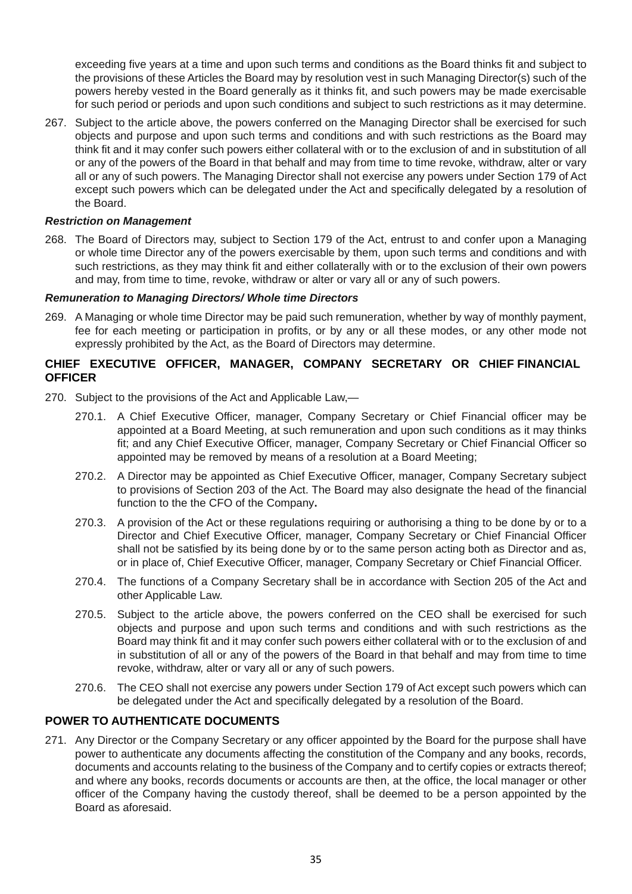exceeding five years at a time and upon such terms and conditions as the Board thinks fit and subject to the provisions of these Articles the Board may by resolution vest in such Managing Director(s) such of the powers hereby vested in the Board generally as it thinks fit, and such powers may be made exercisable for such period or periods and upon such conditions and subject to such restrictions as it may determine.

267. Subject to the article above, the powers conferred on the Managing Director shall be exercised for such objects and purpose and upon such terms and conditions and with such restrictions as the Board may think fit and it may confer such powers either collateral with or to the exclusion of and in substitution of all or any of the powers of the Board in that behalf and may from time to time revoke, withdraw, alter or vary all or any of such powers. The Managing Director shall not exercise any powers under Section 179 of Act except such powers which can be delegated under the Act and specifically delegated by a resolution of the Board.

## *Restriction on Management*

268. The Board of Directors may, subject to Section 179 of the Act, entrust to and confer upon a Managing or whole time Director any of the powers exercisable by them, upon such terms and conditions and with such restrictions, as they may think fit and either collaterally with or to the exclusion of their own powers and may, from time to time, revoke, withdraw or alter or vary all or any of such powers.

## *Remuneration to Managing Directors/ Whole time Directors*

269. A Managing or whole time Director may be paid such remuneration, whether by way of monthly payment, fee for each meeting or participation in profits, or by any or all these modes, or any other mode not expressly prohibited by the Act, as the Board of Directors may determine.

# **CHIEF EXECUTIVE OFFICER, MANAGER, COMPANY SECRETARY OR CHIEF FINANCIAL OFFICER**

- 270. Subject to the provisions of the Act and Applicable Law,—
	- 270.1. A Chief Executive Officer, manager, Company Secretary or Chief Financial officer may be appointed at a Board Meeting, at such remuneration and upon such conditions as it may thinks fit; and any Chief Executive Officer, manager, Company Secretary or Chief Financial Officer so appointed may be removed by means of a resolution at a Board Meeting;
	- 270.2. A Director may be appointed as Chief Executive Officer, manager, Company Secretary subject to provisions of Section 203 of the Act. The Board may also designate the head of the financial function to the the CFO of the Company**.**
	- 270.3. A provision of the Act or these regulations requiring or authorising a thing to be done by or to a Director and Chief Executive Officer, manager, Company Secretary or Chief Financial Officer shall not be satisfied by its being done by or to the same person acting both as Director and as, or in place of, Chief Executive Officer, manager, Company Secretary or Chief Financial Officer.
	- 270.4. The functions of a Company Secretary shall be in accordance with Section 205 of the Act and other Applicable Law.
	- 270.5. Subject to the article above, the powers conferred on the CEO shall be exercised for such objects and purpose and upon such terms and conditions and with such restrictions as the Board may think fit and it may confer such powers either collateral with or to the exclusion of and in substitution of all or any of the powers of the Board in that behalf and may from time to time revoke, withdraw, alter or vary all or any of such powers.
	- 270.6. The CEO shall not exercise any powers under Section 179 of Act except such powers which can be delegated under the Act and specifically delegated by a resolution of the Board.

# **POWER TO AUTHENTICATE DOCUMENTS**

271. Any Director or the Company Secretary or any officer appointed by the Board for the purpose shall have power to authenticate any documents affecting the constitution of the Company and any books, records, documents and accounts relating to the business of the Company and to certify copies or extracts thereof; and where any books, records documents or accounts are then, at the office, the local manager or other officer of the Company having the custody thereof, shall be deemed to be a person appointed by the Board as aforesaid.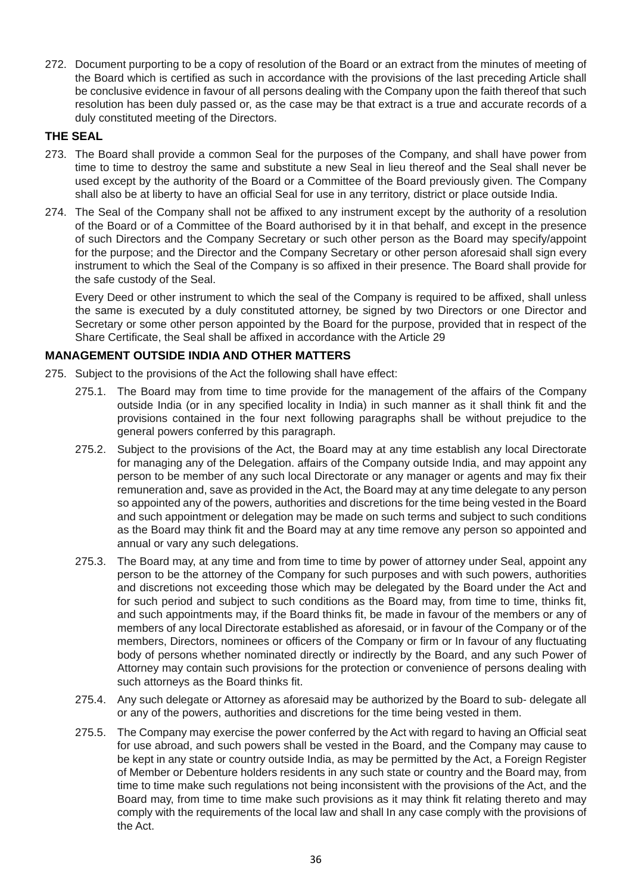272. Document purporting to be a copy of resolution of the Board or an extract from the minutes of meeting of the Board which is certified as such in accordance with the provisions of the last preceding Article shall be conclusive evidence in favour of all persons dealing with the Company upon the faith thereof that such resolution has been duly passed or, as the case may be that extract is a true and accurate records of a duly constituted meeting of the Directors.

# **THE SEAL**

- 273. The Board shall provide a common Seal for the purposes of the Company, and shall have power from time to time to destroy the same and substitute a new Seal in lieu thereof and the Seal shall never be used except by the authority of the Board or a Committee of the Board previously given. The Company shall also be at liberty to have an official Seal for use in any territory, district or place outside India.
- 274. The Seal of the Company shall not be affixed to any instrument except by the authority of a resolution of the Board or of a Committee of the Board authorised by it in that behalf, and except in the presence of such Directors and the Company Secretary or such other person as the Board may specify/appoint for the purpose; and the Director and the Company Secretary or other person aforesaid shall sign every instrument to which the Seal of the Company is so affixed in their presence. The Board shall provide for the safe custody of the Seal.

 Every Deed or other instrument to which the seal of the Company is required to be affixed, shall unless the same is executed by a duly constituted attorney, be signed by two Directors or one Director and Secretary or some other person appointed by the Board for the purpose, provided that in respect of the Share Certificate, the Seal shall be affixed in accordance with the Article 29

# **MANAGEMENT OUTSIDE INDIA AND OTHER MATTERS**

- 275. Subject to the provisions of the Act the following shall have effect:
	- 275.1. The Board may from time to time provide for the management of the affairs of the Company outside India (or in any specified locality in India) in such manner as it shall think fit and the provisions contained in the four next following paragraphs shall be without prejudice to the general powers conferred by this paragraph.
	- 275.2. Subject to the provisions of the Act, the Board may at any time establish any local Directorate for managing any of the Delegation. affairs of the Company outside India, and may appoint any person to be member of any such local Directorate or any manager or agents and may fix their remuneration and, save as provided in the Act, the Board may at any time delegate to any person so appointed any of the powers, authorities and discretions for the time being vested in the Board and such appointment or delegation may be made on such terms and subject to such conditions as the Board may think fit and the Board may at any time remove any person so appointed and annual or vary any such delegations.
	- 275.3. The Board may, at any time and from time to time by power of attorney under Seal, appoint any person to be the attorney of the Company for such purposes and with such powers, authorities and discretions not exceeding those which may be delegated by the Board under the Act and for such period and subject to such conditions as the Board may, from time to time, thinks fit, and such appointments may, if the Board thinks fit, be made in favour of the members or any of members of any local Directorate established as aforesaid, or in favour of the Company or of the members, Directors, nominees or officers of the Company or firm or In favour of any fluctuating body of persons whether nominated directly or indirectly by the Board, and any such Power of Attorney may contain such provisions for the protection or convenience of persons dealing with such attorneys as the Board thinks fit.
	- 275.4. Any such delegate or Attorney as aforesaid may be authorized by the Board to sub- delegate all or any of the powers, authorities and discretions for the time being vested in them.
	- 275.5. The Company may exercise the power conferred by the Act with regard to having an Official seat for use abroad, and such powers shall be vested in the Board, and the Company may cause to be kept in any state or country outside India, as may be permitted by the Act, a Foreign Register of Member or Debenture holders residents in any such state or country and the Board may, from time to time make such regulations not being inconsistent with the provisions of the Act, and the Board may, from time to time make such provisions as it may think fit relating thereto and may comply with the requirements of the local law and shall In any case comply with the provisions of the Act.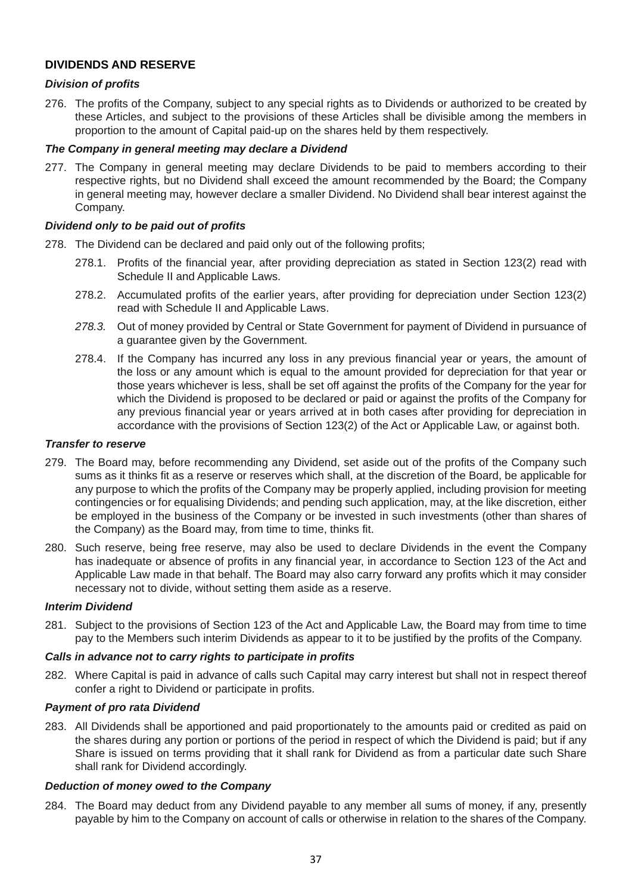# **DIVIDENDS AND RESERVE**

## *Division of profits*

276. The profits of the Company, subject to any special rights as to Dividends or authorized to be created by these Articles, and subject to the provisions of these Articles shall be divisible among the members in proportion to the amount of Capital paid-up on the shares held by them respectively.

## *The Company in general meeting may declare a Dividend*

277. The Company in general meeting may declare Dividends to be paid to members according to their respective rights, but no Dividend shall exceed the amount recommended by the Board; the Company in general meeting may, however declare a smaller Dividend. No Dividend shall bear interest against the Company.

## *Dividend only to be paid out of profits*

- 278. The Dividend can be declared and paid only out of the following profits;
	- 278.1. Profits of the financial year, after providing depreciation as stated in Section 123(2) read with Schedule II and Applicable Laws.
	- 278.2. Accumulated profits of the earlier years, after providing for depreciation under Section 123(2) read with Schedule II and Applicable Laws.
	- *278.3.* Out of money provided by Central or State Government for payment of Dividend in pursuance of a guarantee given by the Government.
	- 278.4. If the Company has incurred any loss in any previous financial year or years, the amount of the loss or any amount which is equal to the amount provided for depreciation for that year or those years whichever is less, shall be set off against the profits of the Company for the year for which the Dividend is proposed to be declared or paid or against the profits of the Company for any previous financial year or years arrived at in both cases after providing for depreciation in accordance with the provisions of Section 123(2) of the Act or Applicable Law, or against both.

#### *Transfer to reserve*

- 279. The Board may, before recommending any Dividend, set aside out of the profits of the Company such sums as it thinks fit as a reserve or reserves which shall, at the discretion of the Board, be applicable for any purpose to which the profits of the Company may be properly applied, including provision for meeting contingencies or for equalising Dividends; and pending such application, may, at the like discretion, either be employed in the business of the Company or be invested in such investments (other than shares of the Company) as the Board may, from time to time, thinks fit.
- 280. Such reserve, being free reserve, may also be used to declare Dividends in the event the Company has inadequate or absence of profits in any financial year, in accordance to Section 123 of the Act and Applicable Law made in that behalf. The Board may also carry forward any profits which it may consider necessary not to divide, without setting them aside as a reserve.

#### *Interim Dividend*

281. Subject to the provisions of Section 123 of the Act and Applicable Law, the Board may from time to time pay to the Members such interim Dividends as appear to it to be justified by the profits of the Company.

#### *Calls in advance not to carry rights to participate in profits*

282. Where Capital is paid in advance of calls such Capital may carry interest but shall not in respect thereof confer a right to Dividend or participate in profits.

# *Payment of pro rata Dividend*

283. All Dividends shall be apportioned and paid proportionately to the amounts paid or credited as paid on the shares during any portion or portions of the period in respect of which the Dividend is paid; but if any Share is issued on terms providing that it shall rank for Dividend as from a particular date such Share shall rank for Dividend accordingly.

#### *Deduction of money owed to the Company*

284. The Board may deduct from any Dividend payable to any member all sums of money, if any, presently payable by him to the Company on account of calls or otherwise in relation to the shares of the Company.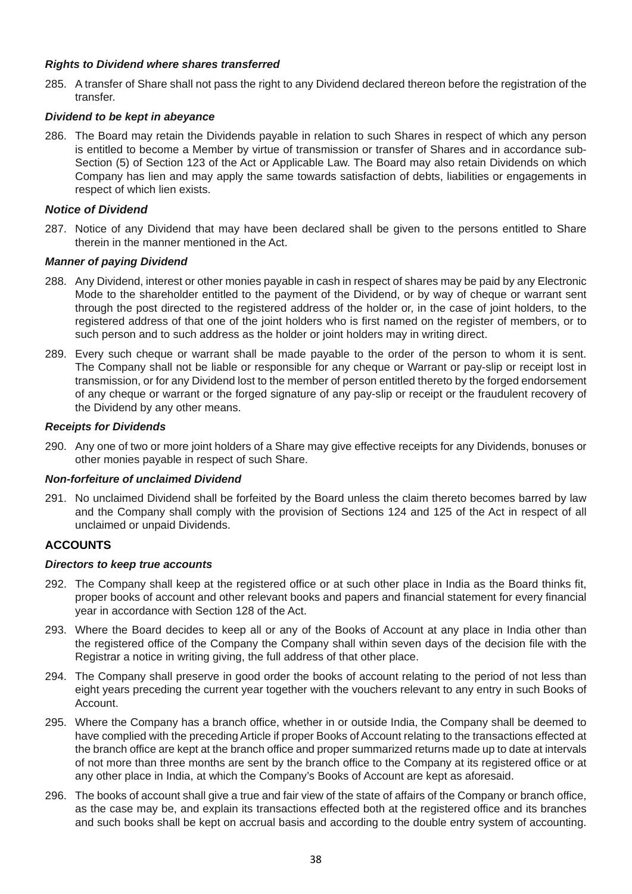#### *Rights to Dividend where shares transferred*

285. A transfer of Share shall not pass the right to any Dividend declared thereon before the registration of the transfer.

## *Dividend to be kept in abeyance*

286. The Board may retain the Dividends payable in relation to such Shares in respect of which any person is entitled to become a Member by virtue of transmission or transfer of Shares and in accordance sub-Section (5) of Section 123 of the Act or Applicable Law. The Board may also retain Dividends on which Company has lien and may apply the same towards satisfaction of debts, liabilities or engagements in respect of which lien exists.

## *Notice of Dividend*

287. Notice of any Dividend that may have been declared shall be given to the persons entitled to Share therein in the manner mentioned in the Act.

#### *Manner of paying Dividend*

- 288. Any Dividend, interest or other monies payable in cash in respect of shares may be paid by any Electronic Mode to the shareholder entitled to the payment of the Dividend, or by way of cheque or warrant sent through the post directed to the registered address of the holder or, in the case of joint holders, to the registered address of that one of the joint holders who is first named on the register of members, or to such person and to such address as the holder or joint holders may in writing direct.
- 289. Every such cheque or warrant shall be made payable to the order of the person to whom it is sent. The Company shall not be liable or responsible for any cheque or Warrant or pay-slip or receipt lost in transmission, or for any Dividend lost to the member of person entitled thereto by the forged endorsement of any cheque or warrant or the forged signature of any pay-slip or receipt or the fraudulent recovery of the Dividend by any other means.

#### *Receipts for Dividends*

290. Any one of two or more joint holders of a Share may give effective receipts for any Dividends, bonuses or other monies payable in respect of such Share.

#### *Non-forfeiture of unclaimed Dividend*

291. No unclaimed Dividend shall be forfeited by the Board unless the claim thereto becomes barred by law and the Company shall comply with the provision of Sections 124 and 125 of the Act in respect of all unclaimed or unpaid Dividends.

# **ACCOUNTS**

#### *Directors to keep true accounts*

- 292. The Company shall keep at the registered office or at such other place in India as the Board thinks fit, proper books of account and other relevant books and papers and financial statement for every financial year in accordance with Section 128 of the Act.
- 293. Where the Board decides to keep all or any of the Books of Account at any place in India other than the registered office of the Company the Company shall within seven days of the decision file with the Registrar a notice in writing giving, the full address of that other place.
- 294. The Company shall preserve in good order the books of account relating to the period of not less than eight years preceding the current year together with the vouchers relevant to any entry in such Books of Account.
- 295. Where the Company has a branch office, whether in or outside India, the Company shall be deemed to have complied with the preceding Article if proper Books of Account relating to the transactions effected at the branch office are kept at the branch office and proper summarized returns made up to date at intervals of not more than three months are sent by the branch office to the Company at its registered office or at any other place in India, at which the Company's Books of Account are kept as aforesaid.
- 296. The books of account shall give a true and fair view of the state of affairs of the Company or branch office, as the case may be, and explain its transactions effected both at the registered office and its branches and such books shall be kept on accrual basis and according to the double entry system of accounting.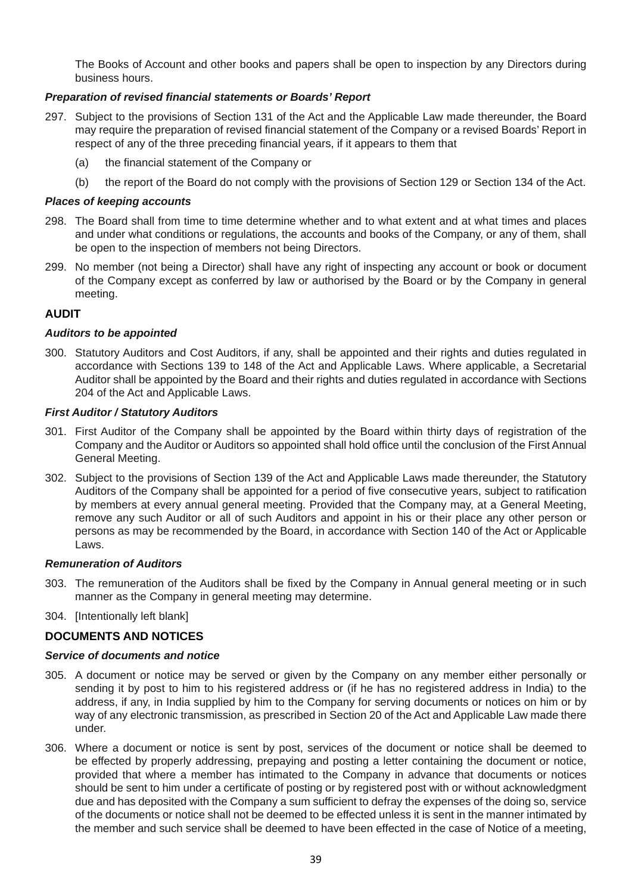The Books of Account and other books and papers shall be open to inspection by any Directors during business hours.

## *Preparation of revised financial statements or Boards' Report*

- 297. Subject to the provisions of Section 131 of the Act and the Applicable Law made thereunder, the Board may require the preparation of revised financial statement of the Company or a revised Boards' Report in respect of any of the three preceding financial years, if it appears to them that
	- (a) the financial statement of the Company or
	- (b) the report of the Board do not comply with the provisions of Section 129 or Section 134 of the Act.

#### *Places of keeping accounts*

- 298. The Board shall from time to time determine whether and to what extent and at what times and places and under what conditions or regulations, the accounts and books of the Company, or any of them, shall be open to the inspection of members not being Directors.
- 299. No member (not being a Director) shall have any right of inspecting any account or book or document of the Company except as conferred by law or authorised by the Board or by the Company in general meeting.

## **AUDIT**

#### *Auditors to be appointed*

300. Statutory Auditors and Cost Auditors, if any, shall be appointed and their rights and duties regulated in accordance with Sections 139 to 148 of the Act and Applicable Laws. Where applicable, a Secretarial Auditor shall be appointed by the Board and their rights and duties regulated in accordance with Sections 204 of the Act and Applicable Laws.

## *First Auditor / Statutory Auditors*

- 301. First Auditor of the Company shall be appointed by the Board within thirty days of registration of the Company and the Auditor or Auditors so appointed shall hold office until the conclusion of the First Annual General Meeting.
- 302. Subject to the provisions of Section 139 of the Act and Applicable Laws made thereunder, the Statutory Auditors of the Company shall be appointed for a period of five consecutive years, subject to ratification by members at every annual general meeting. Provided that the Company may, at a General Meeting, remove any such Auditor or all of such Auditors and appoint in his or their place any other person or persons as may be recommended by the Board, in accordance with Section 140 of the Act or Applicable Laws.

#### *Remuneration of Auditors*

- 303. The remuneration of the Auditors shall be fixed by the Company in Annual general meeting or in such manner as the Company in general meeting may determine.
- 304. [Intentionally left blank]

# **DOCUMENTS AND NOTICES**

#### *Service of documents and notice*

- 305. A document or notice may be served or given by the Company on any member either personally or sending it by post to him to his registered address or (if he has no registered address in India) to the address, if any, in India supplied by him to the Company for serving documents or notices on him or by way of any electronic transmission, as prescribed in Section 20 of the Act and Applicable Law made there under.
- 306. Where a document or notice is sent by post, services of the document or notice shall be deemed to be effected by properly addressing, prepaying and posting a letter containing the document or notice, provided that where a member has intimated to the Company in advance that documents or notices should be sent to him under a certificate of posting or by registered post with or without acknowledgment due and has deposited with the Company a sum sufficient to defray the expenses of the doing so, service of the documents or notice shall not be deemed to be effected unless it is sent in the manner intimated by the member and such service shall be deemed to have been effected in the case of Notice of a meeting,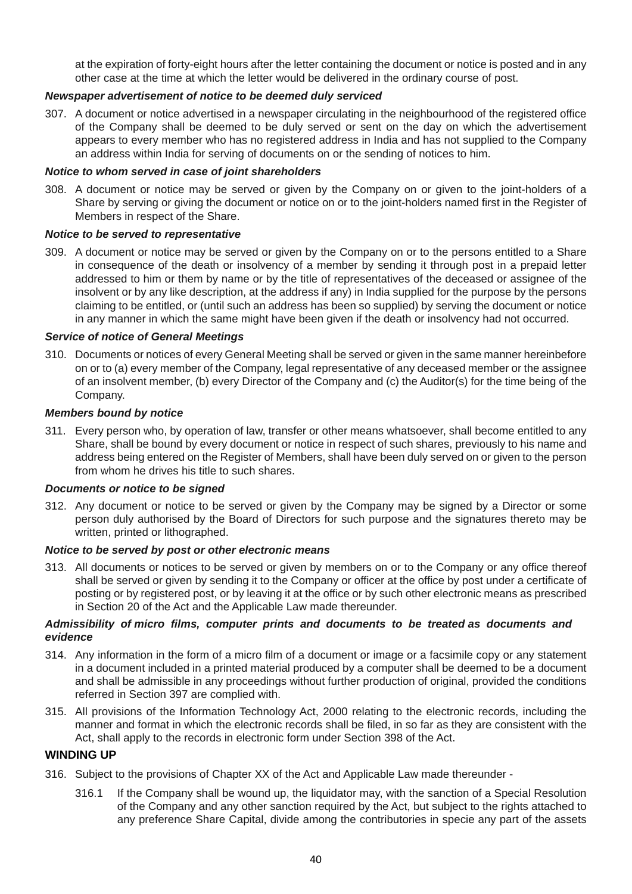at the expiration of forty-eight hours after the letter containing the document or notice is posted and in any other case at the time at which the letter would be delivered in the ordinary course of post.

## *Newspaper advertisement of notice to be deemed duly serviced*

307. A document or notice advertised in a newspaper circulating in the neighbourhood of the registered office of the Company shall be deemed to be duly served or sent on the day on which the advertisement appears to every member who has no registered address in India and has not supplied to the Company an address within India for serving of documents on or the sending of notices to him.

#### *Notice to whom served in case of joint shareholders*

308. A document or notice may be served or given by the Company on or given to the joint-holders of a Share by serving or giving the document or notice on or to the joint-holders named first in the Register of Members in respect of the Share.

#### *Notice to be served to representative*

309. A document or notice may be served or given by the Company on or to the persons entitled to a Share in consequence of the death or insolvency of a member by sending it through post in a prepaid letter addressed to him or them by name or by the title of representatives of the deceased or assignee of the insolvent or by any like description, at the address if any) in India supplied for the purpose by the persons claiming to be entitled, or (until such an address has been so supplied) by serving the document or notice in any manner in which the same might have been given if the death or insolvency had not occurred.

#### *Service of notice of General Meetings*

310. Documents or notices of every General Meeting shall be served or given in the same manner hereinbefore on or to (a) every member of the Company, legal representative of any deceased member or the assignee of an insolvent member, (b) every Director of the Company and (c) the Auditor(s) for the time being of the Company.

#### *Members bound by notice*

311. Every person who, by operation of law, transfer or other means whatsoever, shall become entitled to any Share, shall be bound by every document or notice in respect of such shares, previously to his name and address being entered on the Register of Members, shall have been duly served on or given to the person from whom he drives his title to such shares.

#### *Documents or notice to be signed*

312. Any document or notice to be served or given by the Company may be signed by a Director or some person duly authorised by the Board of Directors for such purpose and the signatures thereto may be written, printed or lithographed.

#### *Notice to be served by post or other electronic means*

313. All documents or notices to be served or given by members on or to the Company or any office thereof shall be served or given by sending it to the Company or officer at the office by post under a certificate of posting or by registered post, or by leaving it at the office or by such other electronic means as prescribed in Section 20 of the Act and the Applicable Law made thereunder.

#### *Admissibility of micro films, computer prints and documents to be treated as documents and evidence*

- 314. Any information in the form of a micro film of a document or image or a facsimile copy or any statement in a document included in a printed material produced by a computer shall be deemed to be a document and shall be admissible in any proceedings without further production of original, provided the conditions referred in Section 397 are complied with.
- 315. All provisions of the Information Technology Act, 2000 relating to the electronic records, including the manner and format in which the electronic records shall be filed, in so far as they are consistent with the Act, shall apply to the records in electronic form under Section 398 of the Act.

#### **WINDING UP**

- 316. Subject to the provisions of Chapter XX of the Act and Applicable Law made thereunder
	- 316.1 If the Company shall be wound up, the liquidator may, with the sanction of a Special Resolution of the Company and any other sanction required by the Act, but subject to the rights attached to any preference Share Capital, divide among the contributories in specie any part of the assets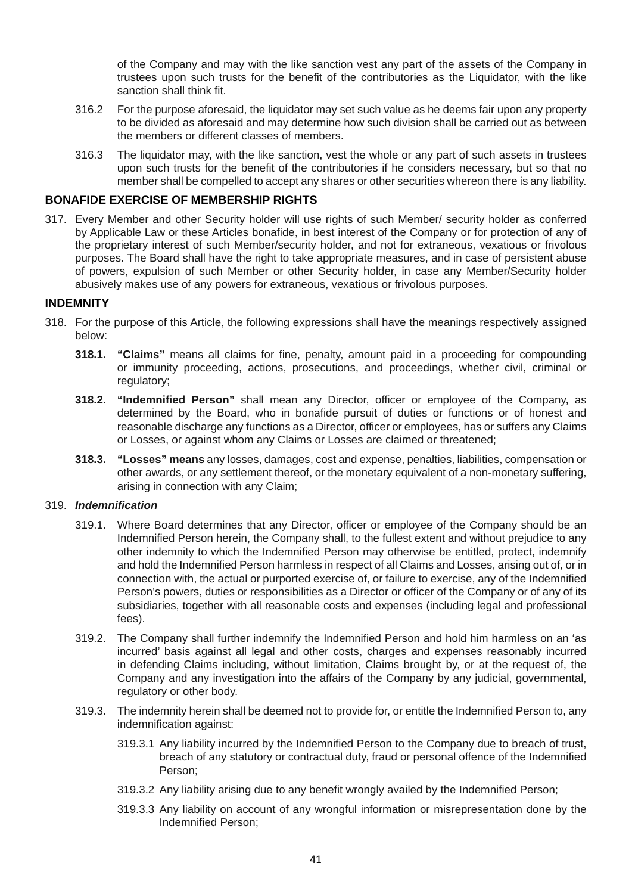of the Company and may with the like sanction vest any part of the assets of the Company in trustees upon such trusts for the benefit of the contributories as the Liquidator, with the like sanction shall think fit.

- 316.2 For the purpose aforesaid, the liquidator may set such value as he deems fair upon any property to be divided as aforesaid and may determine how such division shall be carried out as between the members or different classes of members.
- 316.3 The liquidator may, with the like sanction, vest the whole or any part of such assets in trustees upon such trusts for the benefit of the contributories if he considers necessary, but so that no member shall be compelled to accept any shares or other securities whereon there is any liability.

## **BONAFIDE EXERCISE OF MEMBERSHIP RIGHTS**

317. Every Member and other Security holder will use rights of such Member/ security holder as conferred by Applicable Law or these Articles bonafide, in best interest of the Company or for protection of any of the proprietary interest of such Member/security holder, and not for extraneous, vexatious or frivolous purposes. The Board shall have the right to take appropriate measures, and in case of persistent abuse of powers, expulsion of such Member or other Security holder, in case any Member/Security holder abusively makes use of any powers for extraneous, vexatious or frivolous purposes.

#### **INDEMNITY**

- 318. For the purpose of this Article, the following expressions shall have the meanings respectively assigned below:
	- **318.1. "Claims"** means all claims for fine, penalty, amount paid in a proceeding for compounding or immunity proceeding, actions, prosecutions, and proceedings, whether civil, criminal or regulatory;
	- **318.2. "Indemnified Person"** shall mean any Director, officer or employee of the Company, as determined by the Board, who in bonafide pursuit of duties or functions or of honest and reasonable discharge any functions as a Director, officer or employees, has or suffers any Claims or Losses, or against whom any Claims or Losses are claimed or threatened;
	- **318.3. "Losses" means** any losses, damages, cost and expense, penalties, liabilities, compensation or other awards, or any settlement thereof, or the monetary equivalent of a non-monetary suffering, arising in connection with any Claim;

#### 319. *Indemnification*

- 319.1. Where Board determines that any Director, officer or employee of the Company should be an Indemnified Person herein, the Company shall, to the fullest extent and without prejudice to any other indemnity to which the Indemnified Person may otherwise be entitled, protect, indemnify and hold the Indemnified Person harmless in respect of all Claims and Losses, arising out of, or in connection with, the actual or purported exercise of, or failure to exercise, any of the Indemnified Person's powers, duties or responsibilities as a Director or officer of the Company or of any of its subsidiaries, together with all reasonable costs and expenses (including legal and professional fees).
- 319.2. The Company shall further indemnify the Indemnified Person and hold him harmless on an 'as incurred' basis against all legal and other costs, charges and expenses reasonably incurred in defending Claims including, without limitation, Claims brought by, or at the request of, the Company and any investigation into the affairs of the Company by any judicial, governmental, regulatory or other body.
- 319.3. The indemnity herein shall be deemed not to provide for, or entitle the Indemnified Person to, any indemnification against:
	- 319.3.1 Any liability incurred by the Indemnified Person to the Company due to breach of trust, breach of any statutory or contractual duty, fraud or personal offence of the Indemnified Person;
	- 319.3.2 Any liability arising due to any benefit wrongly availed by the Indemnified Person;
	- 319.3.3 Any liability on account of any wrongful information or misrepresentation done by the Indemnified Person;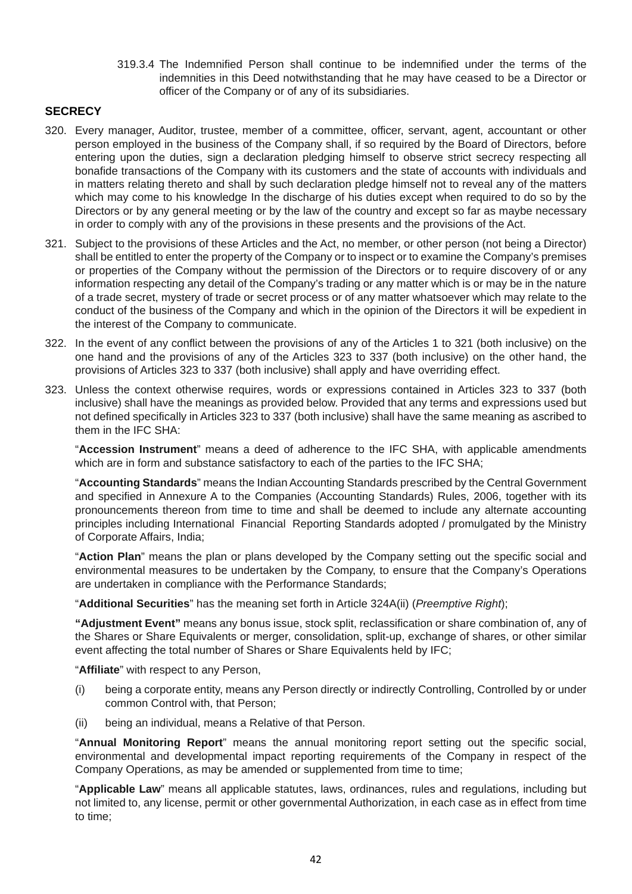319.3.4 The Indemnified Person shall continue to be indemnified under the terms of the indemnities in this Deed notwithstanding that he may have ceased to be a Director or officer of the Company or of any of its subsidiaries.

# **SECRECY**

- 320. Every manager, Auditor, trustee, member of a committee, officer, servant, agent, accountant or other person employed in the business of the Company shall, if so required by the Board of Directors, before entering upon the duties, sign a declaration pledging himself to observe strict secrecy respecting all bonafide transactions of the Company with its customers and the state of accounts with individuals and in matters relating thereto and shall by such declaration pledge himself not to reveal any of the matters which may come to his knowledge In the discharge of his duties except when required to do so by the Directors or by any general meeting or by the law of the country and except so far as maybe necessary in order to comply with any of the provisions in these presents and the provisions of the Act.
- 321. Subject to the provisions of these Articles and the Act, no member, or other person (not being a Director) shall be entitled to enter the property of the Company or to inspect or to examine the Company's premises or properties of the Company without the permission of the Directors or to require discovery of or any information respecting any detail of the Company's trading or any matter which is or may be in the nature of a trade secret, mystery of trade or secret process or of any matter whatsoever which may relate to the conduct of the business of the Company and which in the opinion of the Directors it will be expedient in the interest of the Company to communicate.
- 322. In the event of any conflict between the provisions of any of the Articles 1 to 321 (both inclusive) on the one hand and the provisions of any of the Articles 323 to 337 (both inclusive) on the other hand, the provisions of Articles 323 to 337 (both inclusive) shall apply and have overriding effect.
- 323. Unless the context otherwise requires, words or expressions contained in Articles 323 to 337 (both inclusive) shall have the meanings as provided below. Provided that any terms and expressions used but not defined specifically in Articles 323 to 337 (both inclusive) shall have the same meaning as ascribed to them in the IFC SHA:

 "**Accession Instrument**" means a deed of adherence to the IFC SHA, with applicable amendments which are in form and substance satisfactory to each of the parties to the IFC SHA;

 "**Accounting Standards**" means the Indian Accounting Standards prescribed by the Central Government and specified in Annexure A to the Companies (Accounting Standards) Rules, 2006, together with its pronouncements thereon from time to time and shall be deemed to include any alternate accounting principles including International Financial Reporting Standards adopted / promulgated by the Ministry of Corporate Affairs, India;

 "**Action Plan**" means the plan or plans developed by the Company setting out the specific social and environmental measures to be undertaken by the Company, to ensure that the Company's Operations are undertaken in compliance with the Performance Standards;

"**Additional Securities**" has the meaning set forth in Article 324A(ii) (*Preemptive Right*);

 **"Adjustment Event"** means any bonus issue, stock split, reclassification or share combination of, any of the Shares or Share Equivalents or merger, consolidation, split-up, exchange of shares, or other similar event affecting the total number of Shares or Share Equivalents held by IFC;

"**Affiliate**" with respect to any Person,

- (i) being a corporate entity, means any Person directly or indirectly Controlling, Controlled by or under common Control with, that Person;
- (ii) being an individual, means a Relative of that Person.

 "**Annual Monitoring Report**" means the annual monitoring report setting out the specific social, environmental and developmental impact reporting requirements of the Company in respect of the Company Operations, as may be amended or supplemented from time to time;

 "**Applicable Law**" means all applicable statutes, laws, ordinances, rules and regulations, including but not limited to, any license, permit or other governmental Authorization, in each case as in effect from time to time;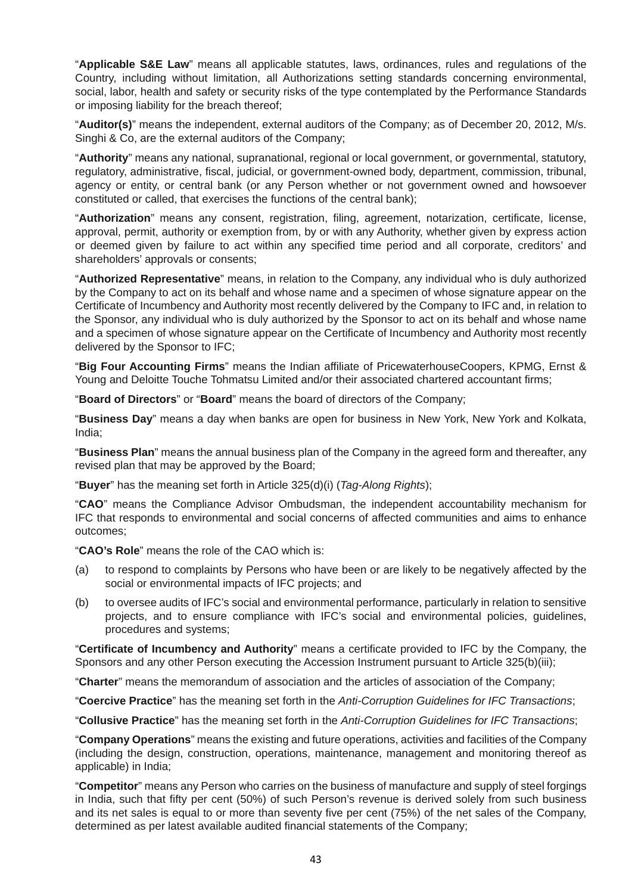"**Applicable S&E Law**" means all applicable statutes, laws, ordinances, rules and regulations of the Country, including without limitation, all Authorizations setting standards concerning environmental, social, labor, health and safety or security risks of the type contemplated by the Performance Standards or imposing liability for the breach thereof;

 "**Auditor(s)**" means the independent, external auditors of the Company; as of December 20, 2012, M/s. Singhi & Co, are the external auditors of the Company;

 "**Authority**" means any national, supranational, regional or local government, or governmental, statutory, regulatory, administrative, fiscal, judicial, or government-owned body, department, commission, tribunal, agency or entity, or central bank (or any Person whether or not government owned and howsoever constituted or called, that exercises the functions of the central bank);

 "**Authorization**" means any consent, registration, filing, agreement, notarization, certificate, license, approval, permit, authority or exemption from, by or with any Authority, whether given by express action or deemed given by failure to act within any specified time period and all corporate, creditors' and shareholders' approvals or consents;

 "**Authorized Representative**" means, in relation to the Company, any individual who is duly authorized by the Company to act on its behalf and whose name and a specimen of whose signature appear on the Certificate of Incumbency and Authority most recently delivered by the Company to IFC and, in relation to the Sponsor, any individual who is duly authorized by the Sponsor to act on its behalf and whose name and a specimen of whose signature appear on the Certificate of Incumbency and Authority most recently delivered by the Sponsor to IFC;

 "**Big Four Accounting Firms**" means the Indian affiliate of PricewaterhouseCoopers, KPMG, Ernst & Young and Deloitte Touche Tohmatsu Limited and/or their associated chartered accountant firms;

"**Board of Directors**" or "**Board**" means the board of directors of the Company;

 "**Business Day**" means a day when banks are open for business in New York, New York and Kolkata, India;

 "**Business Plan**" means the annual business plan of the Company in the agreed form and thereafter, any revised plan that may be approved by the Board;

"**Buyer**" has the meaning set forth in Article 325(d)(i) (*Tag-Along Rights*);

 "**CAO**" means the Compliance Advisor Ombudsman, the independent accountability mechanism for IFC that responds to environmental and social concerns of affected communities and aims to enhance outcomes;

"**CAO's Role**" means the role of the CAO which is:

- (a) to respond to complaints by Persons who have been or are likely to be negatively affected by the social or environmental impacts of IFC projects; and
- (b) to oversee audits of IFC's social and environmental performance, particularly in relation to sensitive projects, and to ensure compliance with IFC's social and environmental policies, guidelines, procedures and systems;

 "**Certificate of Incumbency and Authority**" means a certificate provided to IFC by the Company, the Sponsors and any other Person executing the Accession Instrument pursuant to Article 325(b)(iii);

"**Charter**" means the memorandum of association and the articles of association of the Company;

"**Coercive Practice**" has the meaning set forth in the *Anti-Corruption Guidelines for IFC Transactions*;

"**Collusive Practice**" has the meaning set forth in the *Anti-Corruption Guidelines for IFC Transactions*;

 "**Company Operations**" means the existing and future operations, activities and facilities of the Company (including the design, construction, operations, maintenance, management and monitoring thereof as applicable) in India;

 "**Competitor**" means any Person who carries on the business of manufacture and supply of steel forgings in India, such that fifty per cent (50%) of such Person's revenue is derived solely from such business and its net sales is equal to or more than seventy five per cent (75%) of the net sales of the Company, determined as per latest available audited financial statements of the Company;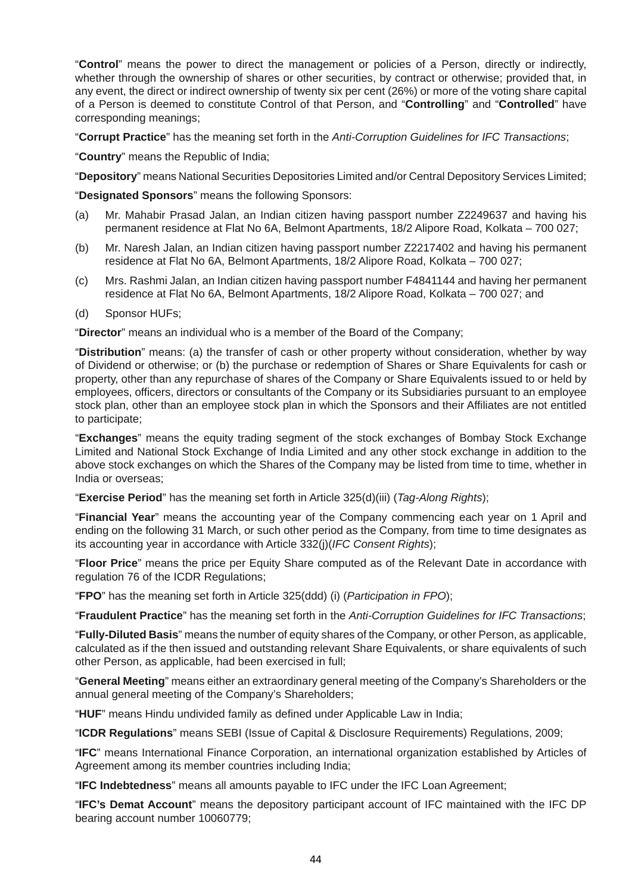"**Control**" means the power to direct the management or policies of a Person, directly or indirectly, whether through the ownership of shares or other securities, by contract or otherwise; provided that, in any event, the direct or indirect ownership of twenty six per cent (26%) or more of the voting share capital of a Person is deemed to constitute Control of that Person, and "**Controlling**" and "**Controlled**" have corresponding meanings;

"**Corrupt Practice**" has the meaning set forth in the *Anti-Corruption Guidelines for IFC Transactions*;

"**Country**" means the Republic of India;

"**Depository**" means National Securities Depositories Limited and/or Central Depository Services Limited;

"**Designated Sponsors**" means the following Sponsors:

- (a) Mr. Mahabir Prasad Jalan, an Indian citizen having passport number Z2249637 and having his permanent residence at Flat No 6A, Belmont Apartments, 18/2 Alipore Road, Kolkata – 700 027;
- (b) Mr. Naresh Jalan, an Indian citizen having passport number Z2217402 and having his permanent residence at Flat No 6A, Belmont Apartments, 18/2 Alipore Road, Kolkata – 700 027;
- (c) Mrs. Rashmi Jalan, an Indian citizen having passport number F4841144 and having her permanent residence at Flat No 6A, Belmont Apartments, 18/2 Alipore Road, Kolkata – 700 027; and
- (d) Sponsor HUFs;

"**Director**" means an individual who is a member of the Board of the Company;

 "**Distribution**" means: (a) the transfer of cash or other property without consideration, whether by way of Dividend or otherwise; or (b) the purchase or redemption of Shares or Share Equivalents for cash or property, other than any repurchase of shares of the Company or Share Equivalents issued to or held by employees, officers, directors or consultants of the Company or its Subsidiaries pursuant to an employee stock plan, other than an employee stock plan in which the Sponsors and their Affiliates are not entitled to participate;

 "**Exchanges**" means the equity trading segment of the stock exchanges of Bombay Stock Exchange Limited and National Stock Exchange of India Limited and any other stock exchange in addition to the above stock exchanges on which the Shares of the Company may be listed from time to time, whether in India or overseas;

"**Exercise Period**" has the meaning set forth in Article 325(d)(iii) (*Tag-Along Rights*);

 "**Financial Year**" means the accounting year of the Company commencing each year on 1 April and ending on the following 31 March, or such other period as the Company, from time to time designates as its accounting year in accordance with Article 332(j)(*IFC Consent Rights*);

 "**Floor Price**" means the price per Equity Share computed as of the Relevant Date in accordance with regulation 76 of the ICDR Regulations;

"**FPO**" has the meaning set forth in Article 325(ddd) (i) (*Participation in FPO*);

"**Fraudulent Practice**" has the meaning set forth in the *Anti-Corruption Guidelines for IFC Transactions*;

 "**Fully-Diluted Basis**" means the number of equity shares of the Company, or other Person, as applicable, calculated as if the then issued and outstanding relevant Share Equivalents, or share equivalents of such other Person, as applicable, had been exercised in full;

 "**General Meeting**" means either an extraordinary general meeting of the Company's Shareholders or the annual general meeting of the Company's Shareholders;

"**HUF**" means Hindu undivided family as defined under Applicable Law in India;

"**ICDR Regulations**" means SEBI (Issue of Capital & Disclosure Requirements) Regulations, 2009;

 "**IFC**" means International Finance Corporation, an international organization established by Articles of Agreement among its member countries including India;

"**IFC Indebtedness**" means all amounts payable to IFC under the IFC Loan Agreement;

 "**IFC's Demat Account**" means the depository participant account of IFC maintained with the IFC DP bearing account number 10060779;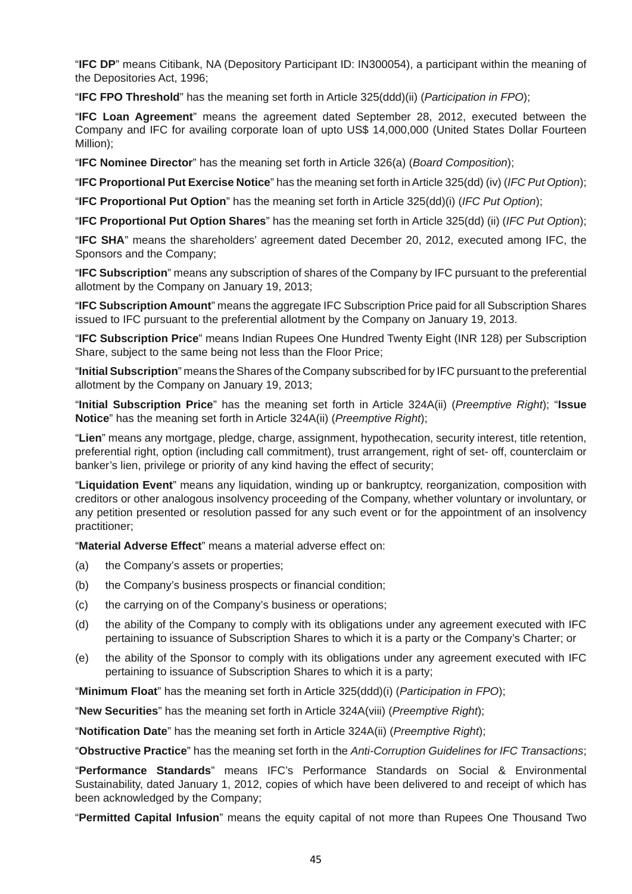"**IFC DP**" means Citibank, NA (Depository Participant ID: IN300054), a participant within the meaning of the Depositories Act, 1996;

"**IFC FPO Threshold**" has the meaning set forth in Article 325(ddd)(ii) (*Participation in FPO*);

 "**IFC Loan Agreement**" means the agreement dated September 28, 2012, executed between the Company and IFC for availing corporate loan of upto US\$ 14,000,000 (United States Dollar Fourteen Million);

"**IFC Nominee Director**" has the meaning set forth in Article 326(a) (*Board Composition*);

"**IFC Proportional Put Exercise Notice**" has the meaning set forth in Article 325(dd) (iv) (*IFC Put Option*);

"**IFC Proportional Put Option**" has the meaning set forth in Article 325(dd)(i) (*IFC Put Option*);

"**IFC Proportional Put Option Shares**" has the meaning set forth in Article 325(dd) (ii) (*IFC Put Option*);

 "**IFC SHA**" means the shareholders' agreement dated December 20, 2012, executed among IFC, the Sponsors and the Company;

 "**IFC Subscription**" means any subscription of shares of the Company by IFC pursuant to the preferential allotment by the Company on January 19, 2013;

 "**IFC Subscription Amount**" means the aggregate IFC Subscription Price paid for all Subscription Shares issued to IFC pursuant to the preferential allotment by the Company on January 19, 2013.

 "**IFC Subscription Price**" means Indian Rupees One Hundred Twenty Eight (INR 128) per Subscription Share, subject to the same being not less than the Floor Price;

 "**Initial Subscription**" means the Shares of the Company subscribed for by IFC pursuant to the preferential allotment by the Company on January 19, 2013;

 "**Initial Subscription Price**" has the meaning set forth in Article 324A(ii) (*Preemptive Right*); "**Issue Notice**" has the meaning set forth in Article 324A(ii) (*Preemptive Right*);

 "**Lien**" means any mortgage, pledge, charge, assignment, hypothecation, security interest, title retention, preferential right, option (including call commitment), trust arrangement, right of set- off, counterclaim or banker's lien, privilege or priority of any kind having the effect of security;

 "**Liquidation Event**" means any liquidation, winding up or bankruptcy, reorganization, composition with creditors or other analogous insolvency proceeding of the Company, whether voluntary or involuntary, or any petition presented or resolution passed for any such event or for the appointment of an insolvency practitioner;

"**Material Adverse Effect**" means a material adverse effect on:

- (a) the Company's assets or properties;
- (b) the Company's business prospects or financial condition;
- (c) the carrying on of the Company's business or operations;
- (d) the ability of the Company to comply with its obligations under any agreement executed with IFC pertaining to issuance of Subscription Shares to which it is a party or the Company's Charter; or
- (e) the ability of the Sponsor to comply with its obligations under any agreement executed with IFC pertaining to issuance of Subscription Shares to which it is a party;

"**Minimum Float**" has the meaning set forth in Article 325(ddd)(i) (*Participation in FPO*);

"**New Securities**" has the meaning set forth in Article 324A(viii) (*Preemptive Right*);

"**Notification Date**" has the meaning set forth in Article 324A(ii) (*Preemptive Right*);

"**Obstructive Practice**" has the meaning set forth in the *Anti-Corruption Guidelines for IFC Transactions*;

 "**Performance Standards**" means IFC's Performance Standards on Social & Environmental Sustainability, dated January 1, 2012, copies of which have been delivered to and receipt of which has been acknowledged by the Company;

"**Permitted Capital Infusion**" means the equity capital of not more than Rupees One Thousand Two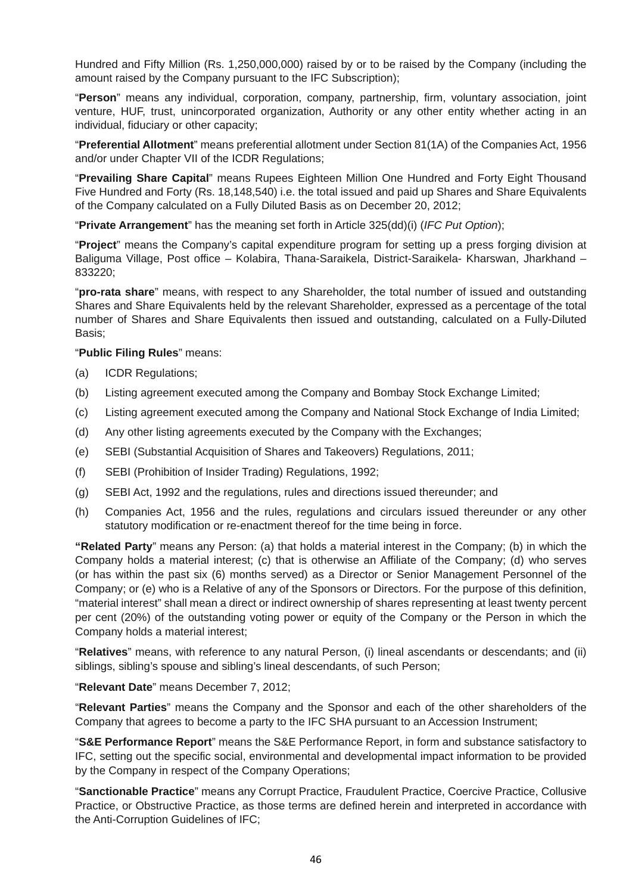Hundred and Fifty Million (Rs. 1,250,000,000) raised by or to be raised by the Company (including the amount raised by the Company pursuant to the IFC Subscription);

 "**Person**" means any individual, corporation, company, partnership, firm, voluntary association, joint venture, HUF, trust, unincorporated organization, Authority or any other entity whether acting in an individual, fiduciary or other capacity;

 "**Preferential Allotment**" means preferential allotment under Section 81(1A) of the Companies Act, 1956 and/or under Chapter VII of the ICDR Regulations;

 "**Prevailing Share Capital**" means Rupees Eighteen Million One Hundred and Forty Eight Thousand Five Hundred and Forty (Rs. 18,148,540) i.e. the total issued and paid up Shares and Share Equivalents of the Company calculated on a Fully Diluted Basis as on December 20, 2012;

"**Private Arrangement**" has the meaning set forth in Article 325(dd)(i) (*IFC Put Option*);

 "**Project**" means the Company's capital expenditure program for setting up a press forging division at Baliguma Village, Post office – Kolabira, Thana-Saraikela, District-Saraikela- Kharswan, Jharkhand – 833220;

 "**pro-rata share**" means, with respect to any Shareholder, the total number of issued and outstanding Shares and Share Equivalents held by the relevant Shareholder, expressed as a percentage of the total number of Shares and Share Equivalents then issued and outstanding, calculated on a Fully-Diluted Basis;

#### "**Public Filing Rules**" means:

- (a) ICDR Regulations;
- (b) Listing agreement executed among the Company and Bombay Stock Exchange Limited;
- (c) Listing agreement executed among the Company and National Stock Exchange of India Limited;
- (d) Any other listing agreements executed by the Company with the Exchanges;
- (e) SEBI (Substantial Acquisition of Shares and Takeovers) Regulations, 2011;
- (f) SEBI (Prohibition of Insider Trading) Regulations, 1992;
- (g) SEBI Act, 1992 and the regulations, rules and directions issued thereunder; and
- (h) Companies Act, 1956 and the rules, regulations and circulars issued thereunder or any other statutory modification or re-enactment thereof for the time being in force.

 **"Related Party**" means any Person: (a) that holds a material interest in the Company; (b) in which the Company holds a material interest; (c) that is otherwise an Affiliate of the Company; (d) who serves (or has within the past six (6) months served) as a Director or Senior Management Personnel of the Company; or (e) who is a Relative of any of the Sponsors or Directors. For the purpose of this definition, "material interest" shall mean a direct or indirect ownership of shares representing at least twenty percent per cent (20%) of the outstanding voting power or equity of the Company or the Person in which the Company holds a material interest;

 "**Relatives**" means, with reference to any natural Person, (i) lineal ascendants or descendants; and (ii) siblings, sibling's spouse and sibling's lineal descendants, of such Person;

"**Relevant Date**" means December 7, 2012;

 "**Relevant Parties**" means the Company and the Sponsor and each of the other shareholders of the Company that agrees to become a party to the IFC SHA pursuant to an Accession Instrument;

 "**S&E Performance Report**" means the S&E Performance Report, in form and substance satisfactory to IFC, setting out the specific social, environmental and developmental impact information to be provided by the Company in respect of the Company Operations;

 "**Sanctionable Practice**" means any Corrupt Practice, Fraudulent Practice, Coercive Practice, Collusive Practice, or Obstructive Practice, as those terms are defined herein and interpreted in accordance with the Anti-Corruption Guidelines of IFC;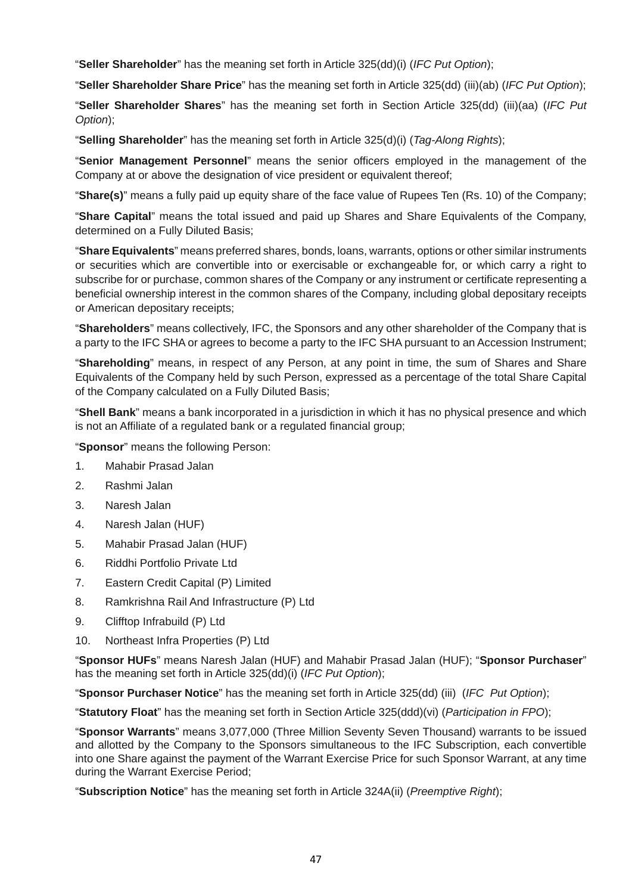"**Seller Shareholder**" has the meaning set forth in Article 325(dd)(i) (*IFC Put Option*);

"**Seller Shareholder Share Price**" has the meaning set forth in Article 325(dd) (iii)(ab) (*IFC Put Option*);

 "**Seller Shareholder Shares**" has the meaning set forth in Section Article 325(dd) (iii)(aa) (*IFC Put Option*);

"**Selling Shareholder**" has the meaning set forth in Article 325(d)(i) (*Tag-Along Rights*);

 "**Senior Management Personnel**" means the senior officers employed in the management of the Company at or above the designation of vice president or equivalent thereof;

"**Share(s)**" means a fully paid up equity share of the face value of Rupees Ten (Rs. 10) of the Company;

 "**Share Capital**" means the total issued and paid up Shares and Share Equivalents of the Company, determined on a Fully Diluted Basis;

 "**Share Equivalents**" means preferred shares, bonds, loans, warrants, options or other similar instruments or securities which are convertible into or exercisable or exchangeable for, or which carry a right to subscribe for or purchase, common shares of the Company or any instrument or certificate representing a beneficial ownership interest in the common shares of the Company, including global depositary receipts or American depositary receipts;

 "**Shareholders**" means collectively, IFC, the Sponsors and any other shareholder of the Company that is a party to the IFC SHA or agrees to become a party to the IFC SHA pursuant to an Accession Instrument;

 "**Shareholding**" means, in respect of any Person, at any point in time, the sum of Shares and Share Equivalents of the Company held by such Person, expressed as a percentage of the total Share Capital of the Company calculated on a Fully Diluted Basis;

 "**Shell Bank**" means a bank incorporated in a jurisdiction in which it has no physical presence and which is not an Affiliate of a regulated bank or a regulated financial group;

"**Sponsor**" means the following Person:

- 1. Mahabir Prasad Jalan
- 2. Rashmi Jalan
- 3. Naresh Jalan
- 4. Naresh Jalan (HUF)
- 5. Mahabir Prasad Jalan (HUF)
- 6. Riddhi Portfolio Private Ltd
- 7. Eastern Credit Capital (P) Limited
- 8. Ramkrishna Rail And Infrastructure (P) Ltd
- 9. Clifftop Infrabuild (P) Ltd
- 10. Northeast Infra Properties (P) Ltd

 "**Sponsor HUFs**" means Naresh Jalan (HUF) and Mahabir Prasad Jalan (HUF); "**Sponsor Purchaser**" has the meaning set forth in Article 325(dd)(i) (*IFC Put Option*);

"**Sponsor Purchaser Notice**" has the meaning set forth in Article 325(dd) (iii) (*IFC Put Option*);

"**Statutory Float**" has the meaning set forth in Section Article 325(ddd)(vi) (*Participation in FPO*);

 "**Sponsor Warrants**" means 3,077,000 (Three Million Seventy Seven Thousand) warrants to be issued and allotted by the Company to the Sponsors simultaneous to the IFC Subscription, each convertible into one Share against the payment of the Warrant Exercise Price for such Sponsor Warrant, at any time during the Warrant Exercise Period;

"**Subscription Notice**" has the meaning set forth in Article 324A(ii) (*Preemptive Right*);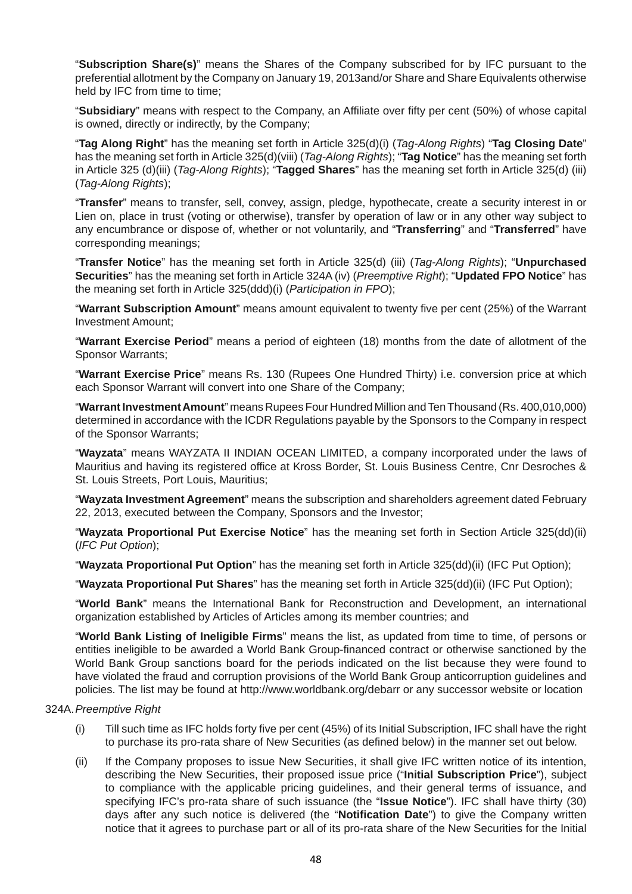"**Subscription Share(s)**" means the Shares of the Company subscribed for by IFC pursuant to the preferential allotment by the Company on January 19, 2013and/or Share and Share Equivalents otherwise held by IFC from time to time;

 "**Subsidiary**" means with respect to the Company, an Affiliate over fifty per cent (50%) of whose capital is owned, directly or indirectly, by the Company;

 "**Tag Along Right**" has the meaning set forth in Article 325(d)(i) (*Tag-Along Rights*) "**Tag Closing Date**" has the meaning set forth in Article 325(d)(viii) (*Tag-Along Rights*); "**Tag Notice**" has the meaning set forth in Article 325 (d)(iii) (*Tag-Along Rights*); "**Tagged Shares**" has the meaning set forth in Article 325(d) (iii) (*Tag-Along Rights*);

 "**Transfer**" means to transfer, sell, convey, assign, pledge, hypothecate, create a security interest in or Lien on, place in trust (voting or otherwise), transfer by operation of law or in any other way subject to any encumbrance or dispose of, whether or not voluntarily, and "**Transferring**" and "**Transferred**" have corresponding meanings;

 "**Transfer Notice**" has the meaning set forth in Article 325(d) (iii) (*Tag-Along Rights*); "**Unpurchased Securities**" has the meaning set forth in Article 324A (iv) (*Preemptive Right*); "**Updated FPO Notice**" has the meaning set forth in Article 325(ddd)(i) (*Participation in FPO*);

 "**Warrant Subscription Amount**" means amount equivalent to twenty five per cent (25%) of the Warrant Investment Amount;

 "**Warrant Exercise Period**" means a period of eighteen (18) months from the date of allotment of the Sponsor Warrants;

 "**Warrant Exercise Price**" means Rs. 130 (Rupees One Hundred Thirty) i.e. conversion price at which each Sponsor Warrant will convert into one Share of the Company;

 "**Warrant Investment Amount**" means Rupees Four Hundred Million and Ten Thousand (Rs. 400,010,000) determined in accordance with the ICDR Regulations payable by the Sponsors to the Company in respect of the Sponsor Warrants;

 "**Wayzata**" means WAYZATA II INDIAN OCEAN LIMITED, a company incorporated under the laws of Mauritius and having its registered office at Kross Border, St. Louis Business Centre, Cnr Desroches & St. Louis Streets, Port Louis, Mauritius;

 "**Wayzata Investment Agreement**" means the subscription and shareholders agreement dated February 22, 2013, executed between the Company, Sponsors and the Investor;

 "**Wayzata Proportional Put Exercise Notice**" has the meaning set forth in Section Article 325(dd)(ii) (*IFC Put Option*);

"**Wayzata Proportional Put Option**" has the meaning set forth in Article 325(dd)(ii) (IFC Put Option);

"**Wayzata Proportional Put Shares**" has the meaning set forth in Article 325(dd)(ii) (IFC Put Option);

 "**World Bank**" means the International Bank for Reconstruction and Development, an international organization established by Articles of Articles among its member countries; and

 "**World Bank Listing of Ineligible Firms**" means the list, as updated from time to time, of persons or entities ineligible to be awarded a World Bank Group-financed contract or otherwise sanctioned by the World Bank Group sanctions board for the periods indicated on the list because they were found to have violated the fraud and corruption provisions of the World Bank Group anticorruption guidelines and policies. The list may be found at http://www.worldbank.org/debarr or any successor website or location

#### 324A. *Preemptive Right*

- (i) Till such time as IFC holds forty five per cent (45%) of its Initial Subscription, IFC shall have the right to purchase its pro-rata share of New Securities (as defined below) in the manner set out below.
- (ii) If the Company proposes to issue New Securities, it shall give IFC written notice of its intention, describing the New Securities, their proposed issue price ("**Initial Subscription Price**"), subject to compliance with the applicable pricing guidelines, and their general terms of issuance, and specifying IFC's pro-rata share of such issuance (the "**Issue Notice**"). IFC shall have thirty (30) days after any such notice is delivered (the "**Notification Date**") to give the Company written notice that it agrees to purchase part or all of its pro-rata share of the New Securities for the Initial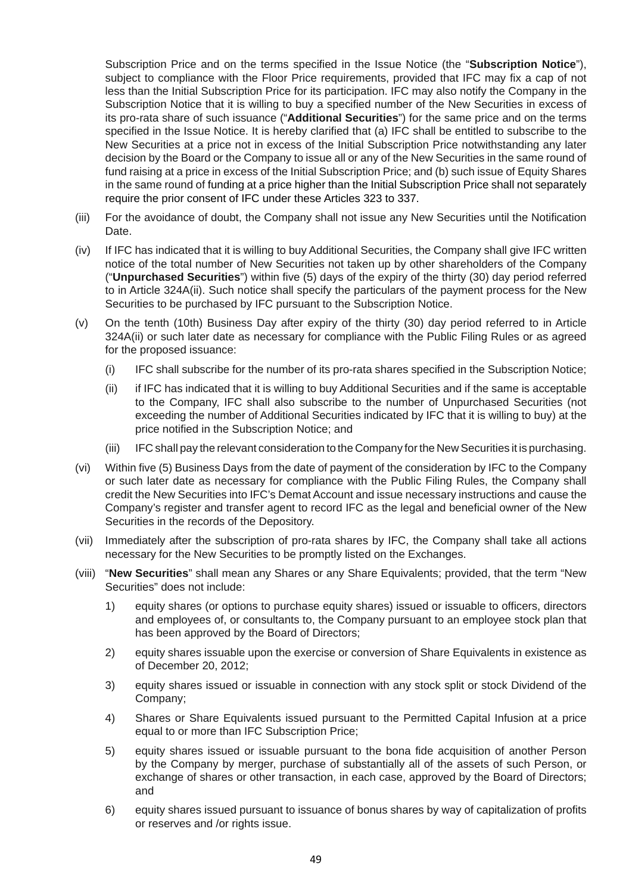Subscription Price and on the terms specified in the Issue Notice (the "**Subscription Notice**"), subject to compliance with the Floor Price requirements, provided that IFC may fix a cap of not less than the Initial Subscription Price for its participation. IFC may also notify the Company in the Subscription Notice that it is willing to buy a specified number of the New Securities in excess of its pro-rata share of such issuance ("**Additional Securities**") for the same price and on the terms specified in the Issue Notice. It is hereby clarified that (a) IFC shall be entitled to subscribe to the New Securities at a price not in excess of the Initial Subscription Price notwithstanding any later decision by the Board or the Company to issue all or any of the New Securities in the same round of fund raising at a price in excess of the Initial Subscription Price; and (b) such issue of Equity Shares in the same round of funding at a price higher than the Initial Subscription Price shall not separately require the prior consent of IFC under these Articles 323 to 337.

- (iii) For the avoidance of doubt, the Company shall not issue any New Securities until the Notification Date.
- (iv) If IFC has indicated that it is willing to buy Additional Securities, the Company shall give IFC written notice of the total number of New Securities not taken up by other shareholders of the Company ("**Unpurchased Securities**") within five (5) days of the expiry of the thirty (30) day period referred to in Article 324A(ii). Such notice shall specify the particulars of the payment process for the New Securities to be purchased by IFC pursuant to the Subscription Notice.
- (v) On the tenth (10th) Business Day after expiry of the thirty (30) day period referred to in Article 324A(ii) or such later date as necessary for compliance with the Public Filing Rules or as agreed for the proposed issuance:
	- (i) IFC shall subscribe for the number of its pro-rata shares specified in the Subscription Notice;
	- (ii) if IFC has indicated that it is willing to buy Additional Securities and if the same is acceptable to the Company, IFC shall also subscribe to the number of Unpurchased Securities (not exceeding the number of Additional Securities indicated by IFC that it is willing to buy) at the price notified in the Subscription Notice; and
	- (iii) IFC shall pay the relevant consideration to the Company for the New Securities it is purchasing.
- (vi) Within five (5) Business Days from the date of payment of the consideration by IFC to the Company or such later date as necessary for compliance with the Public Filing Rules, the Company shall credit the New Securities into IFC's Demat Account and issue necessary instructions and cause the Company's register and transfer agent to record IFC as the legal and beneficial owner of the New Securities in the records of the Depository.
- (vii) Immediately after the subscription of pro-rata shares by IFC, the Company shall take all actions necessary for the New Securities to be promptly listed on the Exchanges.
- (viii) "**New Securities**" shall mean any Shares or any Share Equivalents; provided, that the term "New Securities" does not include:
	- 1) equity shares (or options to purchase equity shares) issued or issuable to officers, directors and employees of, or consultants to, the Company pursuant to an employee stock plan that has been approved by the Board of Directors;
	- 2) equity shares issuable upon the exercise or conversion of Share Equivalents in existence as of December 20, 2012;
	- 3) equity shares issued or issuable in connection with any stock split or stock Dividend of the Company;
	- 4) Shares or Share Equivalents issued pursuant to the Permitted Capital Infusion at a price equal to or more than IFC Subscription Price;
	- 5) equity shares issued or issuable pursuant to the bona fide acquisition of another Person by the Company by merger, purchase of substantially all of the assets of such Person, or exchange of shares or other transaction, in each case, approved by the Board of Directors; and
	- 6) equity shares issued pursuant to issuance of bonus shares by way of capitalization of profits or reserves and /or rights issue.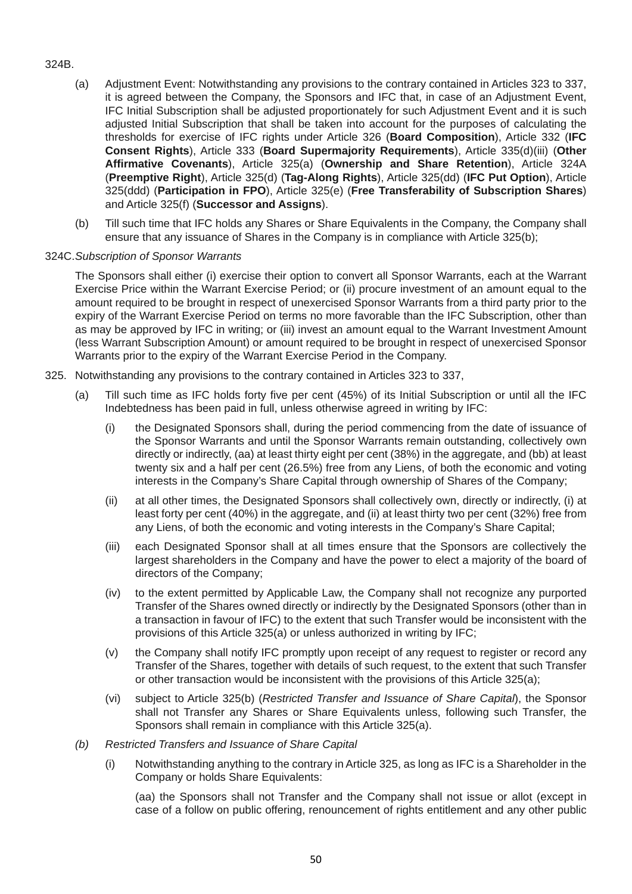## 324B.

- (a) Adjustment Event: Notwithstanding any provisions to the contrary contained in Articles 323 to 337, it is agreed between the Company, the Sponsors and IFC that, in case of an Adjustment Event, IFC Initial Subscription shall be adjusted proportionately for such Adjustment Event and it is such adjusted Initial Subscription that shall be taken into account for the purposes of calculating the thresholds for exercise of IFC rights under Article 326 (**Board Composition**), Article 332 (**IFC Consent Rights**), Article 333 (**Board Supermajority Requirements**), Article 335(d)(iii) (**Other Affirmative Covenants**), Article 325(a) (**Ownership and Share Retention**), Article 324A (**Preemptive Right**), Article 325(d) (**Tag-Along Rights**), Article 325(dd) (**IFC Put Option**), Article 325(ddd) (**Participation in FPO**), Article 325(e) (**Free Transferability of Subscription Shares**) and Article 325(f) (**Successor and Assigns**).
- (b) Till such time that IFC holds any Shares or Share Equivalents in the Company, the Company shall ensure that any issuance of Shares in the Company is in compliance with Article 325(b);

#### 324C. *Subscription of Sponsor Warrants*

 The Sponsors shall either (i) exercise their option to convert all Sponsor Warrants, each at the Warrant Exercise Price within the Warrant Exercise Period; or (ii) procure investment of an amount equal to the amount required to be brought in respect of unexercised Sponsor Warrants from a third party prior to the expiry of the Warrant Exercise Period on terms no more favorable than the IFC Subscription, other than as may be approved by IFC in writing; or (iii) invest an amount equal to the Warrant Investment Amount (less Warrant Subscription Amount) or amount required to be brought in respect of unexercised Sponsor Warrants prior to the expiry of the Warrant Exercise Period in the Company.

- 325. Notwithstanding any provisions to the contrary contained in Articles 323 to 337,
	- (a) Till such time as IFC holds forty five per cent (45%) of its Initial Subscription or until all the IFC Indebtedness has been paid in full, unless otherwise agreed in writing by IFC:
		- (i) the Designated Sponsors shall, during the period commencing from the date of issuance of the Sponsor Warrants and until the Sponsor Warrants remain outstanding, collectively own directly or indirectly, (aa) at least thirty eight per cent (38%) in the aggregate, and (bb) at least twenty six and a half per cent (26.5%) free from any Liens, of both the economic and voting interests in the Company's Share Capital through ownership of Shares of the Company;
		- (ii) at all other times, the Designated Sponsors shall collectively own, directly or indirectly, (i) at least forty per cent (40%) in the aggregate, and (ii) at least thirty two per cent (32%) free from any Liens, of both the economic and voting interests in the Company's Share Capital;
		- (iii) each Designated Sponsor shall at all times ensure that the Sponsors are collectively the largest shareholders in the Company and have the power to elect a majority of the board of directors of the Company;
		- (iv) to the extent permitted by Applicable Law, the Company shall not recognize any purported Transfer of the Shares owned directly or indirectly by the Designated Sponsors (other than in a transaction in favour of IFC) to the extent that such Transfer would be inconsistent with the provisions of this Article 325(a) or unless authorized in writing by IFC;
		- (v) the Company shall notify IFC promptly upon receipt of any request to register or record any Transfer of the Shares, together with details of such request, to the extent that such Transfer or other transaction would be inconsistent with the provisions of this Article 325(a);
		- (vi) subject to Article 325(b) (*Restricted Transfer and Issuance of Share Capital*), the Sponsor shall not Transfer any Shares or Share Equivalents unless, following such Transfer, the Sponsors shall remain in compliance with this Article 325(a).
	- *(b) Restricted Transfers and Issuance of Share Capital*
		- (i) Notwithstanding anything to the contrary in Article 325, as long as IFC is a Shareholder in the Company or holds Share Equivalents:

 (aa) the Sponsors shall not Transfer and the Company shall not issue or allot (except in case of a follow on public offering, renouncement of rights entitlement and any other public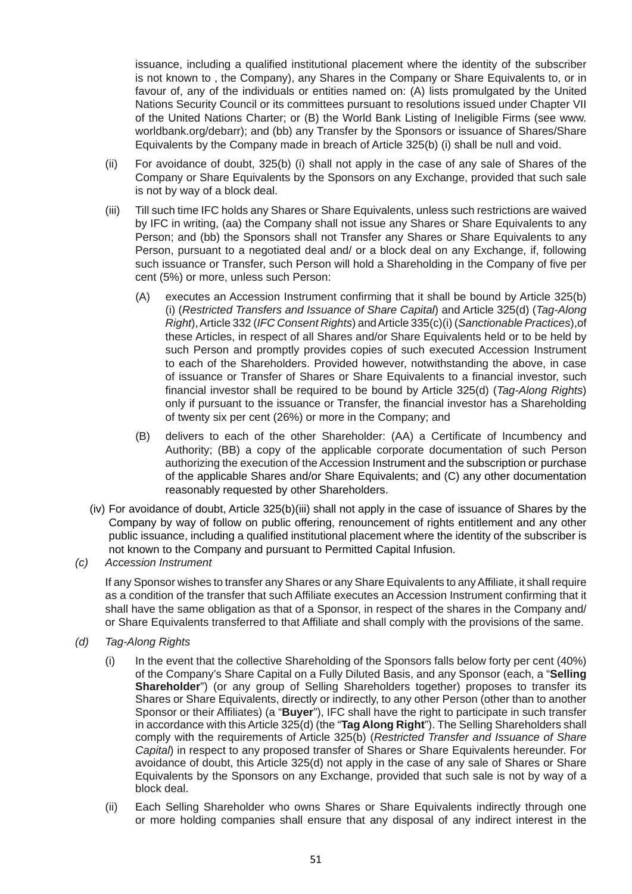issuance, including a qualified institutional placement where the identity of the subscriber is not known to , the Company), any Shares in the Company or Share Equivalents to, or in favour of, any of the individuals or entities named on: (A) lists promulgated by the United Nations Security Council or its committees pursuant to resolutions issued under Chapter VII of the United Nations Charter; or (B) the World Bank Listing of Ineligible Firms (see www. worldbank.org/debarr); and (bb) any Transfer by the Sponsors or issuance of Shares/Share Equivalents by the Company made in breach of Article 325(b) (i) shall be null and void.

- (ii) For avoidance of doubt, 325(b) (i) shall not apply in the case of any sale of Shares of the Company or Share Equivalents by the Sponsors on any Exchange, provided that such sale is not by way of a block deal.
- (iii) Till such time IFC holds any Shares or Share Equivalents, unless such restrictions are waived by IFC in writing, (aa) the Company shall not issue any Shares or Share Equivalents to any Person; and (bb) the Sponsors shall not Transfer any Shares or Share Equivalents to any Person, pursuant to a negotiated deal and/ or a block deal on any Exchange, if, following such issuance or Transfer, such Person will hold a Shareholding in the Company of five per cent (5%) or more, unless such Person:
	- (A) executes an Accession Instrument confirming that it shall be bound by Article 325(b) (i) (*Restricted Transfers and Issuance of Share Capital*) and Article 325(d) (*Tag-Along Right*), Article 332 (*IFC Consent Rights*) and Article 335(c)(i) (*Sanctionable Practices*),of these Articles, in respect of all Shares and/or Share Equivalents held or to be held by such Person and promptly provides copies of such executed Accession Instrument to each of the Shareholders. Provided however, notwithstanding the above, in case of issuance or Transfer of Shares or Share Equivalents to a financial investor, such financial investor shall be required to be bound by Article 325(d) (*Tag-Along Rights*) only if pursuant to the issuance or Transfer, the financial investor has a Shareholding of twenty six per cent (26%) or more in the Company; and
	- (B) delivers to each of the other Shareholder: (AA) a Certificate of Incumbency and Authority; (BB) a copy of the applicable corporate documentation of such Person authorizing the execution of the Accession Instrument and the subscription or purchase of the applicable Shares and/or Share Equivalents; and (C) any other documentation reasonably requested by other Shareholders.
- (iv) For avoidance of doubt, Article 325(b)(iii) shall not apply in the case of issuance of Shares by the Company by way of follow on public offering, renouncement of rights entitlement and any other public issuance, including a qualified institutional placement where the identity of the subscriber is not known to the Company and pursuant to Permitted Capital Infusion.
- *(c) Accession Instrument*

 If any Sponsor wishes to transfer any Shares or any Share Equivalents to any Affiliate, it shall require as a condition of the transfer that such Affiliate executes an Accession Instrument confirming that it shall have the same obligation as that of a Sponsor, in respect of the shares in the Company and/ or Share Equivalents transferred to that Affiliate and shall comply with the provisions of the same.

- *(d) Tag-Along Rights*
	- (i) In the event that the collective Shareholding of the Sponsors falls below forty per cent (40%) of the Company's Share Capital on a Fully Diluted Basis, and any Sponsor (each, a "**Selling Shareholder**") (or any group of Selling Shareholders together) proposes to transfer its Shares or Share Equivalents, directly or indirectly, to any other Person (other than to another Sponsor or their Affiliates) (a "**Buyer**"), IFC shall have the right to participate in such transfer in accordance with this Article 325(d) (the "**Tag Along Right**"). The Selling Shareholders shall comply with the requirements of Article 325(b) (*Restricted Transfer and Issuance of Share Capital*) in respect to any proposed transfer of Shares or Share Equivalents hereunder. For avoidance of doubt, this Article 325(d) not apply in the case of any sale of Shares or Share Equivalents by the Sponsors on any Exchange, provided that such sale is not by way of a block deal.
	- (ii) Each Selling Shareholder who owns Shares or Share Equivalents indirectly through one or more holding companies shall ensure that any disposal of any indirect interest in the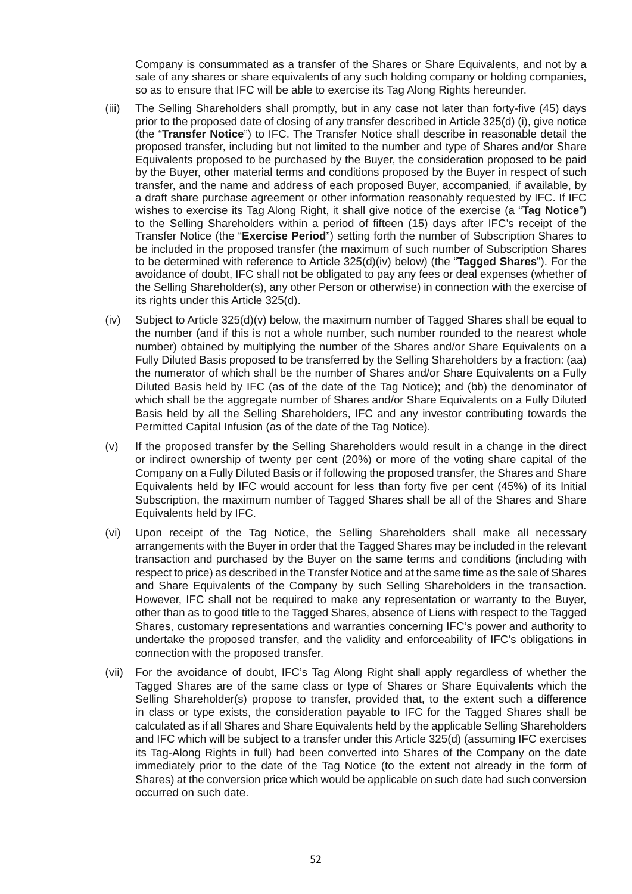Company is consummated as a transfer of the Shares or Share Equivalents, and not by a sale of any shares or share equivalents of any such holding company or holding companies, so as to ensure that IFC will be able to exercise its Tag Along Rights hereunder.

- (iii) The Selling Shareholders shall promptly, but in any case not later than forty-five (45) days prior to the proposed date of closing of any transfer described in Article 325(d) (i), give notice (the "**Transfer Notice**") to IFC. The Transfer Notice shall describe in reasonable detail the proposed transfer, including but not limited to the number and type of Shares and/or Share Equivalents proposed to be purchased by the Buyer, the consideration proposed to be paid by the Buyer, other material terms and conditions proposed by the Buyer in respect of such transfer, and the name and address of each proposed Buyer, accompanied, if available, by a draft share purchase agreement or other information reasonably requested by IFC. If IFC wishes to exercise its Tag Along Right, it shall give notice of the exercise (a "**Tag Notice**") to the Selling Shareholders within a period of fifteen (15) days after IFC's receipt of the Transfer Notice (the "**Exercise Period**") setting forth the number of Subscription Shares to be included in the proposed transfer (the maximum of such number of Subscription Shares to be determined with reference to Article 325(d)(iv) below) (the "**Tagged Shares**"). For the avoidance of doubt, IFC shall not be obligated to pay any fees or deal expenses (whether of the Selling Shareholder(s), any other Person or otherwise) in connection with the exercise of its rights under this Article 325(d).
- (iv) Subject to Article 325(d)(v) below, the maximum number of Tagged Shares shall be equal to the number (and if this is not a whole number, such number rounded to the nearest whole number) obtained by multiplying the number of the Shares and/or Share Equivalents on a Fully Diluted Basis proposed to be transferred by the Selling Shareholders by a fraction: (aa) the numerator of which shall be the number of Shares and/or Share Equivalents on a Fully Diluted Basis held by IFC (as of the date of the Tag Notice); and (bb) the denominator of which shall be the aggregate number of Shares and/or Share Equivalents on a Fully Diluted Basis held by all the Selling Shareholders, IFC and any investor contributing towards the Permitted Capital Infusion (as of the date of the Tag Notice).
- (v) If the proposed transfer by the Selling Shareholders would result in a change in the direct or indirect ownership of twenty per cent (20%) or more of the voting share capital of the Company on a Fully Diluted Basis or if following the proposed transfer, the Shares and Share Equivalents held by IFC would account for less than forty five per cent (45%) of its Initial Subscription, the maximum number of Tagged Shares shall be all of the Shares and Share Equivalents held by IFC.
- (vi) Upon receipt of the Tag Notice, the Selling Shareholders shall make all necessary arrangements with the Buyer in order that the Tagged Shares may be included in the relevant transaction and purchased by the Buyer on the same terms and conditions (including with respect to price) as described in the Transfer Notice and at the same time as the sale of Shares and Share Equivalents of the Company by such Selling Shareholders in the transaction. However, IFC shall not be required to make any representation or warranty to the Buyer, other than as to good title to the Tagged Shares, absence of Liens with respect to the Tagged Shares, customary representations and warranties concerning IFC's power and authority to undertake the proposed transfer, and the validity and enforceability of IFC's obligations in connection with the proposed transfer.
- (vii) For the avoidance of doubt, IFC's Tag Along Right shall apply regardless of whether the Tagged Shares are of the same class or type of Shares or Share Equivalents which the Selling Shareholder(s) propose to transfer, provided that, to the extent such a difference in class or type exists, the consideration payable to IFC for the Tagged Shares shall be calculated as if all Shares and Share Equivalents held by the applicable Selling Shareholders and IFC which will be subject to a transfer under this Article 325(d) (assuming IFC exercises its Tag-Along Rights in full) had been converted into Shares of the Company on the date immediately prior to the date of the Tag Notice (to the extent not already in the form of Shares) at the conversion price which would be applicable on such date had such conversion occurred on such date.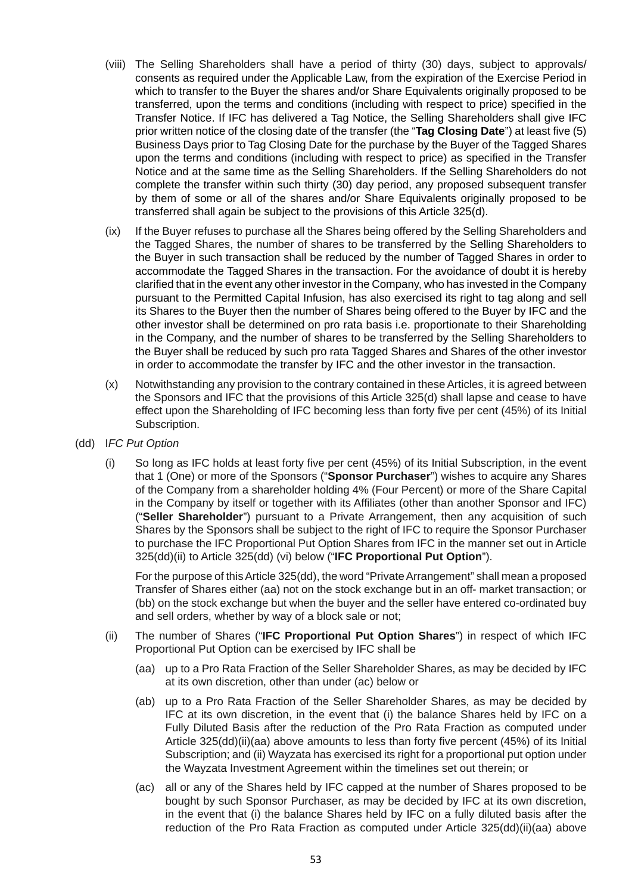- (viii) The Selling Shareholders shall have a period of thirty (30) days, subject to approvals/ consents as required under the Applicable Law, from the expiration of the Exercise Period in which to transfer to the Buyer the shares and/or Share Equivalents originally proposed to be transferred, upon the terms and conditions (including with respect to price) specified in the Transfer Notice. If IFC has delivered a Tag Notice, the Selling Shareholders shall give IFC prior written notice of the closing date of the transfer (the "**Tag Closing Date**") at least five (5) Business Days prior to Tag Closing Date for the purchase by the Buyer of the Tagged Shares upon the terms and conditions (including with respect to price) as specified in the Transfer Notice and at the same time as the Selling Shareholders. If the Selling Shareholders do not complete the transfer within such thirty (30) day period, any proposed subsequent transfer by them of some or all of the shares and/or Share Equivalents originally proposed to be transferred shall again be subject to the provisions of this Article 325(d).
- (ix) If the Buyer refuses to purchase all the Shares being offered by the Selling Shareholders and the Tagged Shares, the number of shares to be transferred by the Selling Shareholders to the Buyer in such transaction shall be reduced by the number of Tagged Shares in order to accommodate the Tagged Shares in the transaction. For the avoidance of doubt it is hereby clarified that in the event any other investor in the Company, who has invested in the Company pursuant to the Permitted Capital Infusion, has also exercised its right to tag along and sell its Shares to the Buyer then the number of Shares being offered to the Buyer by IFC and the other investor shall be determined on pro rata basis i.e. proportionate to their Shareholding in the Company, and the number of shares to be transferred by the Selling Shareholders to the Buyer shall be reduced by such pro rata Tagged Shares and Shares of the other investor in order to accommodate the transfer by IFC and the other investor in the transaction.
- (x) Notwithstanding any provision to the contrary contained in these Articles, it is agreed between the Sponsors and IFC that the provisions of this Article 325(d) shall lapse and cease to have effect upon the Shareholding of IFC becoming less than forty five per cent (45%) of its Initial Subscription.
- (dd) I*FC Put Option*
	- (i) So long as IFC holds at least forty five per cent (45%) of its Initial Subscription, in the event that 1 (One) or more of the Sponsors ("**Sponsor Purchaser**") wishes to acquire any Shares of the Company from a shareholder holding 4% (Four Percent) or more of the Share Capital in the Company by itself or together with its Affiliates (other than another Sponsor and IFC) ("**Seller Shareholder**") pursuant to a Private Arrangement, then any acquisition of such Shares by the Sponsors shall be subject to the right of IFC to require the Sponsor Purchaser to purchase the IFC Proportional Put Option Shares from IFC in the manner set out in Article 325(dd)(ii) to Article 325(dd) (vi) below ("**IFC Proportional Put Option**").

 For the purpose of this Article 325(dd), the word "Private Arrangement" shall mean a proposed Transfer of Shares either (aa) not on the stock exchange but in an off- market transaction; or (bb) on the stock exchange but when the buyer and the seller have entered co-ordinated buy and sell orders, whether by way of a block sale or not;

- (ii) The number of Shares ("**IFC Proportional Put Option Shares**") in respect of which IFC Proportional Put Option can be exercised by IFC shall be
	- (aa) up to a Pro Rata Fraction of the Seller Shareholder Shares, as may be decided by IFC at its own discretion, other than under (ac) below or
	- (ab) up to a Pro Rata Fraction of the Seller Shareholder Shares, as may be decided by IFC at its own discretion, in the event that (i) the balance Shares held by IFC on a Fully Diluted Basis after the reduction of the Pro Rata Fraction as computed under Article 325(dd)(ii)(aa) above amounts to less than forty five percent (45%) of its Initial Subscription; and (ii) Wayzata has exercised its right for a proportional put option under the Wayzata Investment Agreement within the timelines set out therein; or
	- (ac) all or any of the Shares held by IFC capped at the number of Shares proposed to be bought by such Sponsor Purchaser, as may be decided by IFC at its own discretion, in the event that (i) the balance Shares held by IFC on a fully diluted basis after the reduction of the Pro Rata Fraction as computed under Article 325(dd)(ii)(aa) above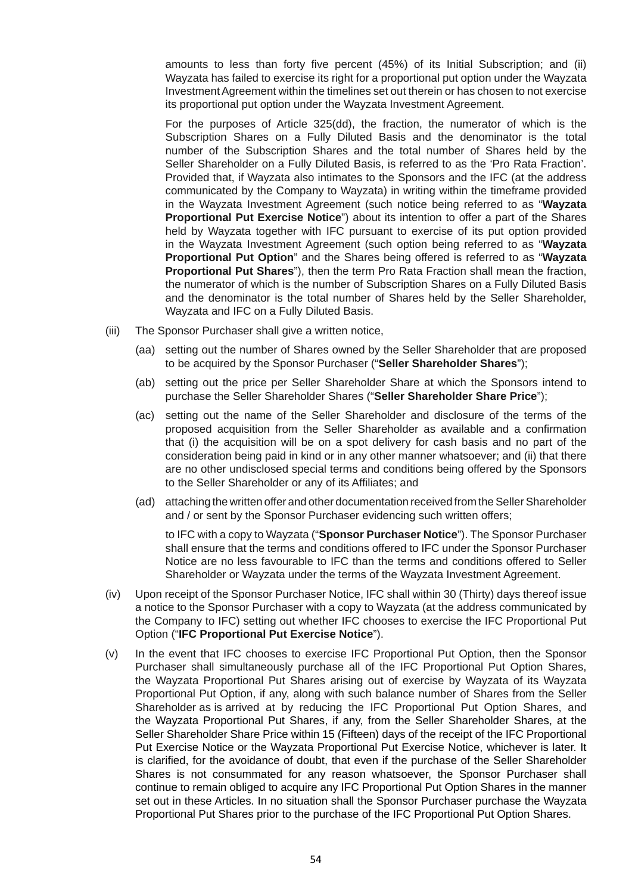amounts to less than forty five percent (45%) of its Initial Subscription; and (ii) Wayzata has failed to exercise its right for a proportional put option under the Wayzata Investment Agreement within the timelines set out therein or has chosen to not exercise its proportional put option under the Wayzata Investment Agreement.

 For the purposes of Article 325(dd), the fraction, the numerator of which is the Subscription Shares on a Fully Diluted Basis and the denominator is the total number of the Subscription Shares and the total number of Shares held by the Seller Shareholder on a Fully Diluted Basis, is referred to as the 'Pro Rata Fraction'. Provided that, if Wayzata also intimates to the Sponsors and the IFC (at the address communicated by the Company to Wayzata) in writing within the timeframe provided in the Wayzata Investment Agreement (such notice being referred to as "**Wayzata Proportional Put Exercise Notice**") about its intention to offer a part of the Shares held by Wayzata together with IFC pursuant to exercise of its put option provided in the Wayzata Investment Agreement (such option being referred to as "**Wayzata Proportional Put Option**" and the Shares being offered is referred to as "**Wayzata Proportional Put Shares**"), then the term Pro Rata Fraction shall mean the fraction, the numerator of which is the number of Subscription Shares on a Fully Diluted Basis and the denominator is the total number of Shares held by the Seller Shareholder, Wayzata and IFC on a Fully Diluted Basis.

- (iii) The Sponsor Purchaser shall give a written notice,
	- (aa) setting out the number of Shares owned by the Seller Shareholder that are proposed to be acquired by the Sponsor Purchaser ("**Seller Shareholder Shares**");
	- (ab) setting out the price per Seller Shareholder Share at which the Sponsors intend to purchase the Seller Shareholder Shares ("**Seller Shareholder Share Price**");
	- (ac) setting out the name of the Seller Shareholder and disclosure of the terms of the proposed acquisition from the Seller Shareholder as available and a confirmation that (i) the acquisition will be on a spot delivery for cash basis and no part of the consideration being paid in kind or in any other manner whatsoever; and (ii) that there are no other undisclosed special terms and conditions being offered by the Sponsors to the Seller Shareholder or any of its Affiliates; and
	- (ad) attaching the written offer and other documentation received from the Seller Shareholder and / or sent by the Sponsor Purchaser evidencing such written offers;

 to IFC with a copy to Wayzata ("**Sponsor Purchaser Notice**"). The Sponsor Purchaser shall ensure that the terms and conditions offered to IFC under the Sponsor Purchaser Notice are no less favourable to IFC than the terms and conditions offered to Seller Shareholder or Wayzata under the terms of the Wayzata Investment Agreement.

- (iv) Upon receipt of the Sponsor Purchaser Notice, IFC shall within 30 (Thirty) days thereof issue a notice to the Sponsor Purchaser with a copy to Wayzata (at the address communicated by the Company to IFC) setting out whether IFC chooses to exercise the IFC Proportional Put Option ("**IFC Proportional Put Exercise Notice**").
- (v) In the event that IFC chooses to exercise IFC Proportional Put Option, then the Sponsor Purchaser shall simultaneously purchase all of the IFC Proportional Put Option Shares, the Wayzata Proportional Put Shares arising out of exercise by Wayzata of its Wayzata Proportional Put Option, if any, along with such balance number of Shares from the Seller Shareholder as is arrived at by reducing the IFC Proportional Put Option Shares, and the Wayzata Proportional Put Shares, if any, from the Seller Shareholder Shares, at the Seller Shareholder Share Price within 15 (Fifteen) days of the receipt of the IFC Proportional Put Exercise Notice or the Wayzata Proportional Put Exercise Notice, whichever is later. It is clarified, for the avoidance of doubt, that even if the purchase of the Seller Shareholder Shares is not consummated for any reason whatsoever, the Sponsor Purchaser shall continue to remain obliged to acquire any IFC Proportional Put Option Shares in the manner set out in these Articles. In no situation shall the Sponsor Purchaser purchase the Wayzata Proportional Put Shares prior to the purchase of the IFC Proportional Put Option Shares.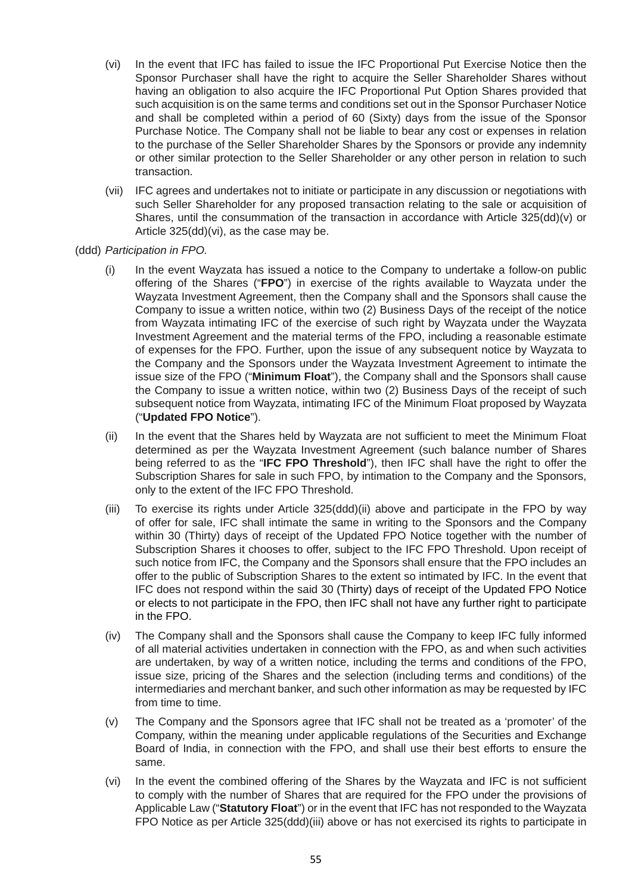- (vi) In the event that IFC has failed to issue the IFC Proportional Put Exercise Notice then the Sponsor Purchaser shall have the right to acquire the Seller Shareholder Shares without having an obligation to also acquire the IFC Proportional Put Option Shares provided that such acquisition is on the same terms and conditions set out in the Sponsor Purchaser Notice and shall be completed within a period of 60 (Sixty) days from the issue of the Sponsor Purchase Notice. The Company shall not be liable to bear any cost or expenses in relation to the purchase of the Seller Shareholder Shares by the Sponsors or provide any indemnity or other similar protection to the Seller Shareholder or any other person in relation to such transaction.
- (vii) IFC agrees and undertakes not to initiate or participate in any discussion or negotiations with such Seller Shareholder for any proposed transaction relating to the sale or acquisition of Shares, until the consummation of the transaction in accordance with Article 325(dd)(v) or Article 325(dd)(vi), as the case may be.
- (ddd) *Participation in FPO.*
	- (i) In the event Wayzata has issued a notice to the Company to undertake a follow-on public offering of the Shares ("**FPO**") in exercise of the rights available to Wayzata under the Wayzata Investment Agreement, then the Company shall and the Sponsors shall cause the Company to issue a written notice, within two (2) Business Days of the receipt of the notice from Wayzata intimating IFC of the exercise of such right by Wayzata under the Wayzata Investment Agreement and the material terms of the FPO, including a reasonable estimate of expenses for the FPO. Further, upon the issue of any subsequent notice by Wayzata to the Company and the Sponsors under the Wayzata Investment Agreement to intimate the issue size of the FPO ("**Minimum Float**"), the Company shall and the Sponsors shall cause the Company to issue a written notice, within two (2) Business Days of the receipt of such subsequent notice from Wayzata, intimating IFC of the Minimum Float proposed by Wayzata ("**Updated FPO Notice**").
	- (ii) In the event that the Shares held by Wayzata are not sufficient to meet the Minimum Float determined as per the Wayzata Investment Agreement (such balance number of Shares being referred to as the "**IFC FPO Threshold**"), then IFC shall have the right to offer the Subscription Shares for sale in such FPO, by intimation to the Company and the Sponsors, only to the extent of the IFC FPO Threshold.
	- (iii) To exercise its rights under Article 325(ddd)(ii) above and participate in the FPO by way of offer for sale, IFC shall intimate the same in writing to the Sponsors and the Company within 30 (Thirty) days of receipt of the Updated FPO Notice together with the number of Subscription Shares it chooses to offer, subject to the IFC FPO Threshold. Upon receipt of such notice from IFC, the Company and the Sponsors shall ensure that the FPO includes an offer to the public of Subscription Shares to the extent so intimated by IFC. In the event that IFC does not respond within the said 30 (Thirty) days of receipt of the Updated FPO Notice or elects to not participate in the FPO, then IFC shall not have any further right to participate in the FPO.
	- (iv) The Company shall and the Sponsors shall cause the Company to keep IFC fully informed of all material activities undertaken in connection with the FPO, as and when such activities are undertaken, by way of a written notice, including the terms and conditions of the FPO, issue size, pricing of the Shares and the selection (including terms and conditions) of the intermediaries and merchant banker, and such other information as may be requested by IFC from time to time.
	- (v) The Company and the Sponsors agree that IFC shall not be treated as a 'promoter' of the Company, within the meaning under applicable regulations of the Securities and Exchange Board of India, in connection with the FPO, and shall use their best efforts to ensure the same.
	- (vi) In the event the combined offering of the Shares by the Wayzata and IFC is not sufficient to comply with the number of Shares that are required for the FPO under the provisions of Applicable Law ("**Statutory Float**") or in the event that IFC has not responded to the Wayzata FPO Notice as per Article 325(ddd)(iii) above or has not exercised its rights to participate in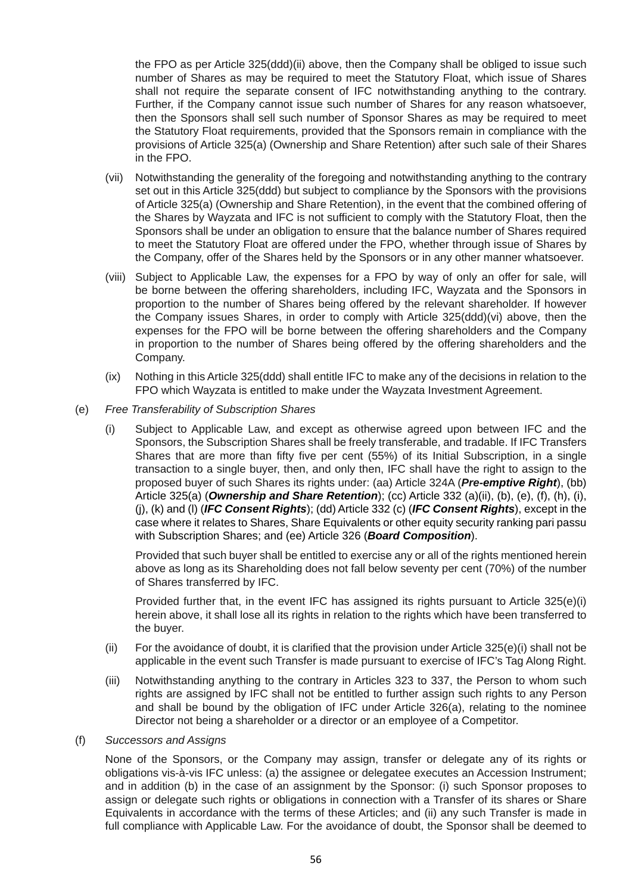the FPO as per Article 325(ddd)(ii) above, then the Company shall be obliged to issue such number of Shares as may be required to meet the Statutory Float, which issue of Shares shall not require the separate consent of IFC notwithstanding anything to the contrary. Further, if the Company cannot issue such number of Shares for any reason whatsoever, then the Sponsors shall sell such number of Sponsor Shares as may be required to meet the Statutory Float requirements, provided that the Sponsors remain in compliance with the provisions of Article 325(a) (Ownership and Share Retention) after such sale of their Shares in the FPO.

- (vii) Notwithstanding the generality of the foregoing and notwithstanding anything to the contrary set out in this Article 325(ddd) but subject to compliance by the Sponsors with the provisions of Article 325(a) (Ownership and Share Retention), in the event that the combined offering of the Shares by Wayzata and IFC is not sufficient to comply with the Statutory Float, then the Sponsors shall be under an obligation to ensure that the balance number of Shares required to meet the Statutory Float are offered under the FPO, whether through issue of Shares by the Company, offer of the Shares held by the Sponsors or in any other manner whatsoever.
- (viii) Subject to Applicable Law, the expenses for a FPO by way of only an offer for sale, will be borne between the offering shareholders, including IFC, Wayzata and the Sponsors in proportion to the number of Shares being offered by the relevant shareholder. If however the Company issues Shares, in order to comply with Article 325(ddd)(vi) above, then the expenses for the FPO will be borne between the offering shareholders and the Company in proportion to the number of Shares being offered by the offering shareholders and the Company.
- (ix) Nothing in this Article 325(ddd) shall entitle IFC to make any of the decisions in relation to the FPO which Wayzata is entitled to make under the Wayzata Investment Agreement.
- (e) *Free Transferability of Subscription Shares*
	- (i) Subject to Applicable Law, and except as otherwise agreed upon between IFC and the Sponsors, the Subscription Shares shall be freely transferable, and tradable. If IFC Transfers Shares that are more than fifty five per cent (55%) of its Initial Subscription, in a single transaction to a single buyer, then, and only then, IFC shall have the right to assign to the proposed buyer of such Shares its rights under: (aa) Article 324A (*Pre-emptive Right*), (bb) Article 325(a) (*Ownership and Share Retention*); (cc) Article 332 (a)(ii), (b), (e), (f), (h), (i), (j), (k) and (l) (*IFC Consent Rights*); (dd) Article 332 (c) (*IFC Consent Rights*), except in the case where it relates to Shares, Share Equivalents or other equity security ranking pari passu with Subscription Shares; and (ee) Article 326 (*Board Composition*).

 Provided that such buyer shall be entitled to exercise any or all of the rights mentioned herein above as long as its Shareholding does not fall below seventy per cent (70%) of the number of Shares transferred by IFC.

 Provided further that, in the event IFC has assigned its rights pursuant to Article 325(e)(i) herein above, it shall lose all its rights in relation to the rights which have been transferred to the buyer.

- (ii) For the avoidance of doubt, it is clarified that the provision under Article  $325(e)(i)$  shall not be applicable in the event such Transfer is made pursuant to exercise of IFC's Tag Along Right.
- (iii) Notwithstanding anything to the contrary in Articles 323 to 337, the Person to whom such rights are assigned by IFC shall not be entitled to further assign such rights to any Person and shall be bound by the obligation of IFC under Article 326(a), relating to the nominee Director not being a shareholder or a director or an employee of a Competitor.

#### (f) *Successors and Assigns*

 None of the Sponsors, or the Company may assign, transfer or delegate any of its rights or obligations vis-à-vis IFC unless: (a) the assignee or delegatee executes an Accession Instrument; and in addition (b) in the case of an assignment by the Sponsor: (i) such Sponsor proposes to assign or delegate such rights or obligations in connection with a Transfer of its shares or Share Equivalents in accordance with the terms of these Articles; and (ii) any such Transfer is made in full compliance with Applicable Law. For the avoidance of doubt, the Sponsor shall be deemed to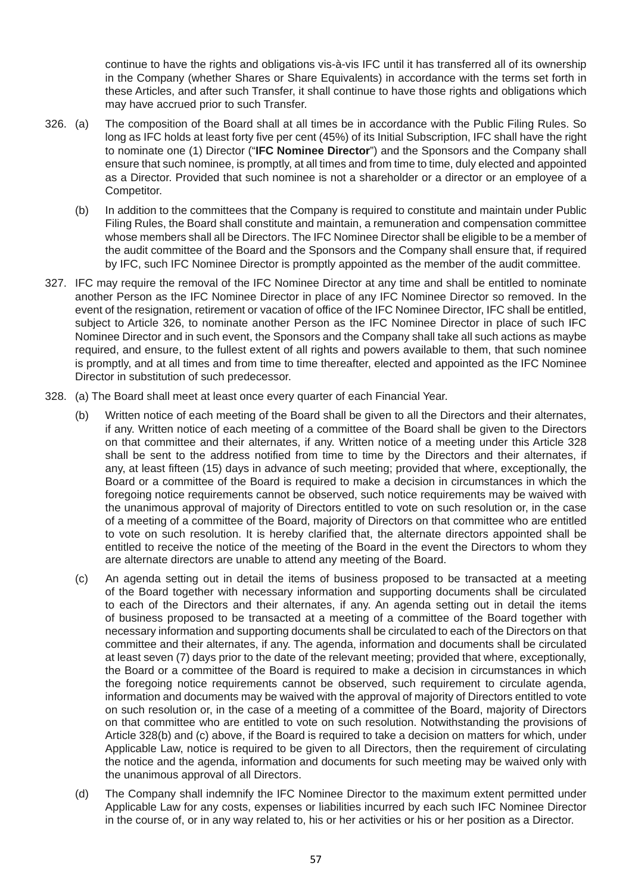continue to have the rights and obligations vis-à-vis IFC until it has transferred all of its ownership in the Company (whether Shares or Share Equivalents) in accordance with the terms set forth in these Articles, and after such Transfer, it shall continue to have those rights and obligations which may have accrued prior to such Transfer.

- 326. (a) The composition of the Board shall at all times be in accordance with the Public Filing Rules. So long as IFC holds at least forty five per cent (45%) of its Initial Subscription, IFC shall have the right to nominate one (1) Director ("**IFC Nominee Director**") and the Sponsors and the Company shall ensure that such nominee, is promptly, at all times and from time to time, duly elected and appointed as a Director. Provided that such nominee is not a shareholder or a director or an employee of a Competitor.
	- (b) In addition to the committees that the Company is required to constitute and maintain under Public Filing Rules, the Board shall constitute and maintain, a remuneration and compensation committee whose members shall all be Directors. The IFC Nominee Director shall be eligible to be a member of the audit committee of the Board and the Sponsors and the Company shall ensure that, if required by IFC, such IFC Nominee Director is promptly appointed as the member of the audit committee.
- 327. IFC may require the removal of the IFC Nominee Director at any time and shall be entitled to nominate another Person as the IFC Nominee Director in place of any IFC Nominee Director so removed. In the event of the resignation, retirement or vacation of office of the IFC Nominee Director, IFC shall be entitled, subject to Article 326, to nominate another Person as the IFC Nominee Director in place of such IFC Nominee Director and in such event, the Sponsors and the Company shall take all such actions as maybe required, and ensure, to the fullest extent of all rights and powers available to them, that such nominee is promptly, and at all times and from time to time thereafter, elected and appointed as the IFC Nominee Director in substitution of such predecessor.
- 328. (a) The Board shall meet at least once every quarter of each Financial Year.
	- (b) Written notice of each meeting of the Board shall be given to all the Directors and their alternates, if any. Written notice of each meeting of a committee of the Board shall be given to the Directors on that committee and their alternates, if any. Written notice of a meeting under this Article 328 shall be sent to the address notified from time to time by the Directors and their alternates, if any, at least fifteen (15) days in advance of such meeting; provided that where, exceptionally, the Board or a committee of the Board is required to make a decision in circumstances in which the foregoing notice requirements cannot be observed, such notice requirements may be waived with the unanimous approval of majority of Directors entitled to vote on such resolution or, in the case of a meeting of a committee of the Board, majority of Directors on that committee who are entitled to vote on such resolution. It is hereby clarified that, the alternate directors appointed shall be entitled to receive the notice of the meeting of the Board in the event the Directors to whom they are alternate directors are unable to attend any meeting of the Board.
	- (c) An agenda setting out in detail the items of business proposed to be transacted at a meeting of the Board together with necessary information and supporting documents shall be circulated to each of the Directors and their alternates, if any. An agenda setting out in detail the items of business proposed to be transacted at a meeting of a committee of the Board together with necessary information and supporting documents shall be circulated to each of the Directors on that committee and their alternates, if any. The agenda, information and documents shall be circulated at least seven (7) days prior to the date of the relevant meeting; provided that where, exceptionally, the Board or a committee of the Board is required to make a decision in circumstances in which the foregoing notice requirements cannot be observed, such requirement to circulate agenda, information and documents may be waived with the approval of majority of Directors entitled to vote on such resolution or, in the case of a meeting of a committee of the Board, majority of Directors on that committee who are entitled to vote on such resolution. Notwithstanding the provisions of Article 328(b) and (c) above, if the Board is required to take a decision on matters for which, under Applicable Law, notice is required to be given to all Directors, then the requirement of circulating the notice and the agenda, information and documents for such meeting may be waived only with the unanimous approval of all Directors.
	- (d) The Company shall indemnify the IFC Nominee Director to the maximum extent permitted under Applicable Law for any costs, expenses or liabilities incurred by each such IFC Nominee Director in the course of, or in any way related to, his or her activities or his or her position as a Director.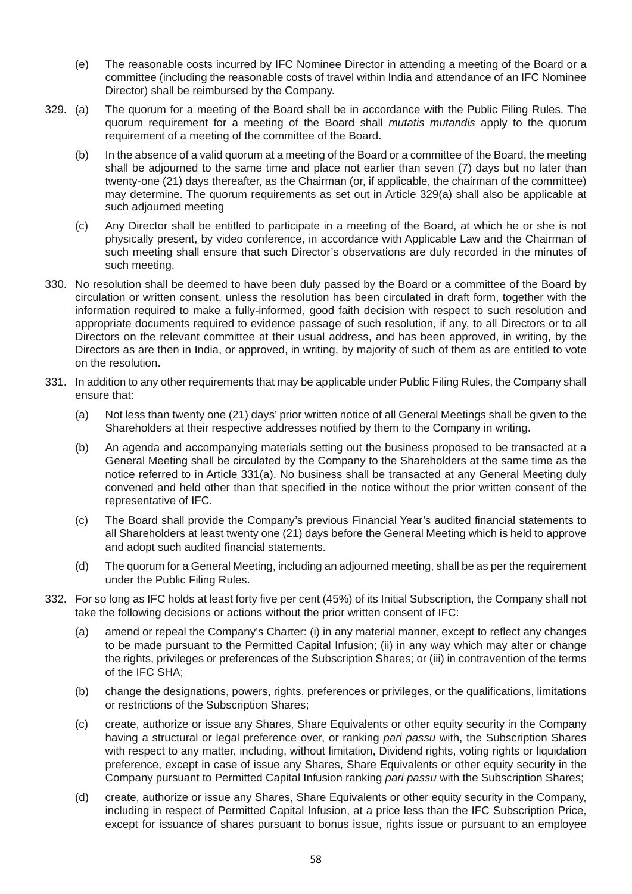- (e) The reasonable costs incurred by IFC Nominee Director in attending a meeting of the Board or a committee (including the reasonable costs of travel within India and attendance of an IFC Nominee Director) shall be reimbursed by the Company.
- 329. (a) The quorum for a meeting of the Board shall be in accordance with the Public Filing Rules. The quorum requirement for a meeting of the Board shall *mutatis mutandis* apply to the quorum requirement of a meeting of the committee of the Board.
	- (b) In the absence of a valid quorum at a meeting of the Board or a committee of the Board, the meeting shall be adjourned to the same time and place not earlier than seven (7) days but no later than twenty-one (21) days thereafter, as the Chairman (or, if applicable, the chairman of the committee) may determine. The quorum requirements as set out in Article 329(a) shall also be applicable at such adjourned meeting
	- (c) Any Director shall be entitled to participate in a meeting of the Board, at which he or she is not physically present, by video conference, in accordance with Applicable Law and the Chairman of such meeting shall ensure that such Director's observations are duly recorded in the minutes of such meeting.
- 330. No resolution shall be deemed to have been duly passed by the Board or a committee of the Board by circulation or written consent, unless the resolution has been circulated in draft form, together with the information required to make a fully-informed, good faith decision with respect to such resolution and appropriate documents required to evidence passage of such resolution, if any, to all Directors or to all Directors on the relevant committee at their usual address, and has been approved, in writing, by the Directors as are then in India, or approved, in writing, by majority of such of them as are entitled to vote on the resolution.
- 331. In addition to any other requirements that may be applicable under Public Filing Rules, the Company shall ensure that:
	- (a) Not less than twenty one (21) days' prior written notice of all General Meetings shall be given to the Shareholders at their respective addresses notified by them to the Company in writing.
	- (b) An agenda and accompanying materials setting out the business proposed to be transacted at a General Meeting shall be circulated by the Company to the Shareholders at the same time as the notice referred to in Article 331(a). No business shall be transacted at any General Meeting duly convened and held other than that specified in the notice without the prior written consent of the representative of IFC.
	- (c) The Board shall provide the Company's previous Financial Year's audited financial statements to all Shareholders at least twenty one (21) days before the General Meeting which is held to approve and adopt such audited financial statements.
	- (d) The quorum for a General Meeting, including an adjourned meeting, shall be as per the requirement under the Public Filing Rules.
- 332. For so long as IFC holds at least forty five per cent (45%) of its Initial Subscription, the Company shall not take the following decisions or actions without the prior written consent of IFC:
	- (a) amend or repeal the Company's Charter: (i) in any material manner, except to reflect any changes to be made pursuant to the Permitted Capital Infusion; (ii) in any way which may alter or change the rights, privileges or preferences of the Subscription Shares; or (iii) in contravention of the terms of the IFC SHA;
	- (b) change the designations, powers, rights, preferences or privileges, or the qualifications, limitations or restrictions of the Subscription Shares;
	- (c) create, authorize or issue any Shares, Share Equivalents or other equity security in the Company having a structural or legal preference over, or ranking *pari passu* with, the Subscription Shares with respect to any matter, including, without limitation. Dividend rights, voting rights or liquidation preference, except in case of issue any Shares, Share Equivalents or other equity security in the Company pursuant to Permitted Capital Infusion ranking *pari passu* with the Subscription Shares;
	- (d) create, authorize or issue any Shares, Share Equivalents or other equity security in the Company, including in respect of Permitted Capital Infusion, at a price less than the IFC Subscription Price, except for issuance of shares pursuant to bonus issue, rights issue or pursuant to an employee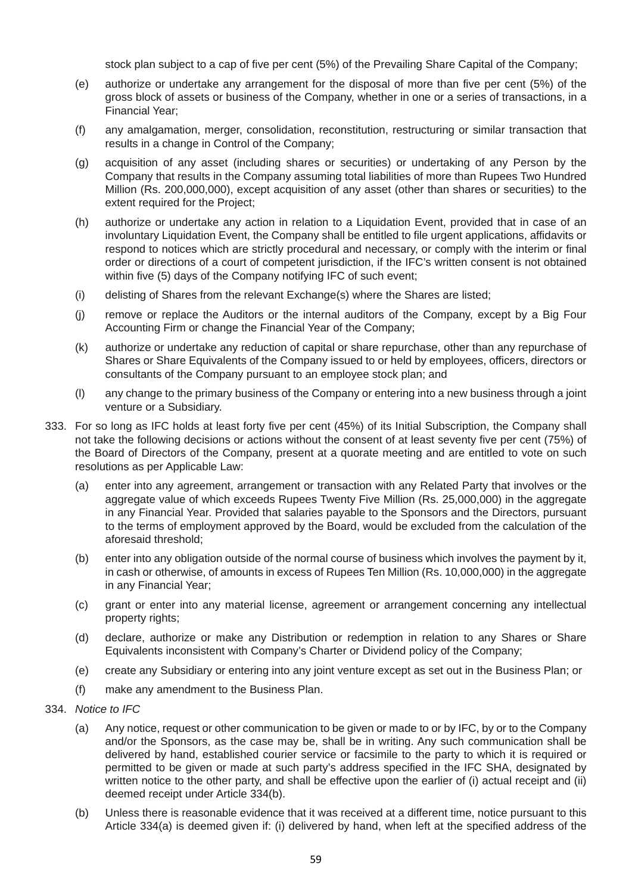stock plan subject to a cap of five per cent (5%) of the Prevailing Share Capital of the Company;

- (e) authorize or undertake any arrangement for the disposal of more than five per cent (5%) of the gross block of assets or business of the Company, whether in one or a series of transactions, in a Financial Year;
- (f) any amalgamation, merger, consolidation, reconstitution, restructuring or similar transaction that results in a change in Control of the Company;
- (g) acquisition of any asset (including shares or securities) or undertaking of any Person by the Company that results in the Company assuming total liabilities of more than Rupees Two Hundred Million (Rs. 200,000,000), except acquisition of any asset (other than shares or securities) to the extent required for the Project;
- (h) authorize or undertake any action in relation to a Liquidation Event, provided that in case of an involuntary Liquidation Event, the Company shall be entitled to file urgent applications, affidavits or respond to notices which are strictly procedural and necessary, or comply with the interim or final order or directions of a court of competent jurisdiction, if the IFC's written consent is not obtained within five (5) days of the Company notifying IFC of such event;
- (i) delisting of Shares from the relevant Exchange(s) where the Shares are listed;
- (j) remove or replace the Auditors or the internal auditors of the Company, except by a Big Four Accounting Firm or change the Financial Year of the Company;
- (k) authorize or undertake any reduction of capital or share repurchase, other than any repurchase of Shares or Share Equivalents of the Company issued to or held by employees, officers, directors or consultants of the Company pursuant to an employee stock plan; and
- (l) any change to the primary business of the Company or entering into a new business through a joint venture or a Subsidiary.
- 333. For so long as IFC holds at least forty five per cent (45%) of its Initial Subscription, the Company shall not take the following decisions or actions without the consent of at least seventy five per cent (75%) of the Board of Directors of the Company, present at a quorate meeting and are entitled to vote on such resolutions as per Applicable Law:
	- (a) enter into any agreement, arrangement or transaction with any Related Party that involves or the aggregate value of which exceeds Rupees Twenty Five Million (Rs. 25,000,000) in the aggregate in any Financial Year. Provided that salaries payable to the Sponsors and the Directors, pursuant to the terms of employment approved by the Board, would be excluded from the calculation of the aforesaid threshold;
	- (b) enter into any obligation outside of the normal course of business which involves the payment by it, in cash or otherwise, of amounts in excess of Rupees Ten Million (Rs. 10,000,000) in the aggregate in any Financial Year;
	- (c) grant or enter into any material license, agreement or arrangement concerning any intellectual property rights;
	- (d) declare, authorize or make any Distribution or redemption in relation to any Shares or Share Equivalents inconsistent with Company's Charter or Dividend policy of the Company;
	- (e) create any Subsidiary or entering into any joint venture except as set out in the Business Plan; or
	- (f) make any amendment to the Business Plan.
- 334. *Notice to IFC*
	- (a) Any notice, request or other communication to be given or made to or by IFC, by or to the Company and/or the Sponsors, as the case may be, shall be in writing. Any such communication shall be delivered by hand, established courier service or facsimile to the party to which it is required or permitted to be given or made at such party's address specified in the IFC SHA, designated by written notice to the other party, and shall be effective upon the earlier of (i) actual receipt and (ii) deemed receipt under Article 334(b).
	- (b) Unless there is reasonable evidence that it was received at a different time, notice pursuant to this Article 334(a) is deemed given if: (i) delivered by hand, when left at the specified address of the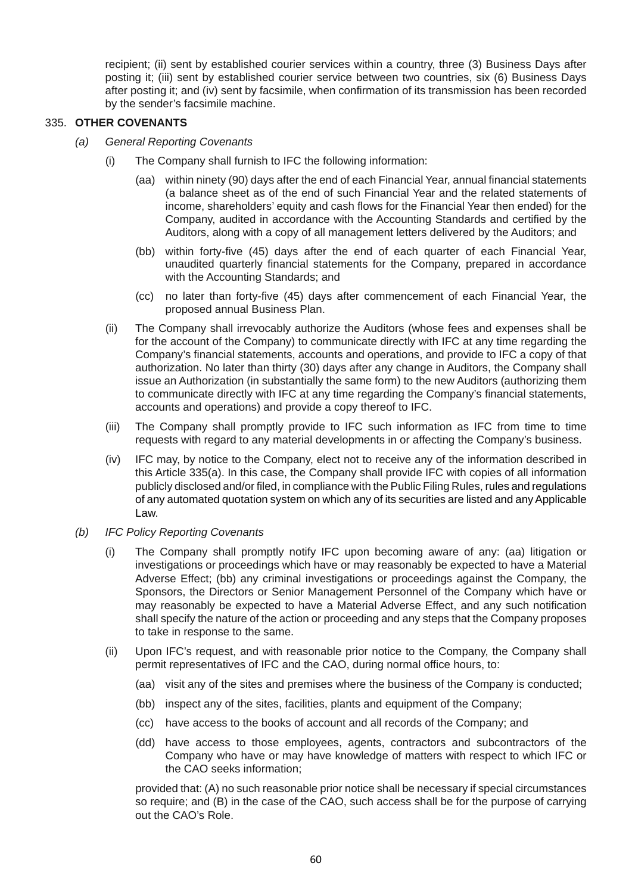recipient; (ii) sent by established courier services within a country, three (3) Business Days after posting it; (iii) sent by established courier service between two countries, six (6) Business Days after posting it; and (iv) sent by facsimile, when confirmation of its transmission has been recorded by the sender's facsimile machine.

#### 335. **OTHER COVENANTS**

- *(a) General Reporting Covenants*
	- (i) The Company shall furnish to IFC the following information:
		- (aa) within ninety (90) days after the end of each Financial Year, annual financial statements (a balance sheet as of the end of such Financial Year and the related statements of income, shareholders' equity and cash flows for the Financial Year then ended) for the Company, audited in accordance with the Accounting Standards and certified by the Auditors, along with a copy of all management letters delivered by the Auditors; and
		- (bb) within forty-five (45) days after the end of each quarter of each Financial Year, unaudited quarterly financial statements for the Company, prepared in accordance with the Accounting Standards; and
		- (cc) no later than forty-five (45) days after commencement of each Financial Year, the proposed annual Business Plan.
	- (ii) The Company shall irrevocably authorize the Auditors (whose fees and expenses shall be for the account of the Company) to communicate directly with IFC at any time regarding the Company's financial statements, accounts and operations, and provide to IFC a copy of that authorization. No later than thirty (30) days after any change in Auditors, the Company shall issue an Authorization (in substantially the same form) to the new Auditors (authorizing them to communicate directly with IFC at any time regarding the Company's financial statements, accounts and operations) and provide a copy thereof to IFC.
	- (iii) The Company shall promptly provide to IFC such information as IFC from time to time requests with regard to any material developments in or affecting the Company's business.
	- (iv) IFC may, by notice to the Company, elect not to receive any of the information described in this Article 335(a). In this case, the Company shall provide IFC with copies of all information publicly disclosed and/or filed, in compliance with the Public Filing Rules, rules and regulations of any automated quotation system on which any of its securities are listed and any Applicable Law.
- *(b) IFC Policy Reporting Covenants*
	- (i) The Company shall promptly notify IFC upon becoming aware of any: (aa) litigation or investigations or proceedings which have or may reasonably be expected to have a Material Adverse Effect; (bb) any criminal investigations or proceedings against the Company, the Sponsors, the Directors or Senior Management Personnel of the Company which have or may reasonably be expected to have a Material Adverse Effect, and any such notification shall specify the nature of the action or proceeding and any steps that the Company proposes to take in response to the same.
	- (ii) Upon IFC's request, and with reasonable prior notice to the Company, the Company shall permit representatives of IFC and the CAO, during normal office hours, to:
		- (aa) visit any of the sites and premises where the business of the Company is conducted;
		- (bb) inspect any of the sites, facilities, plants and equipment of the Company;
		- (cc) have access to the books of account and all records of the Company; and
		- (dd) have access to those employees, agents, contractors and subcontractors of the Company who have or may have knowledge of matters with respect to which IFC or the CAO seeks information;

 provided that: (A) no such reasonable prior notice shall be necessary if special circumstances so require; and (B) in the case of the CAO, such access shall be for the purpose of carrying out the CAO's Role.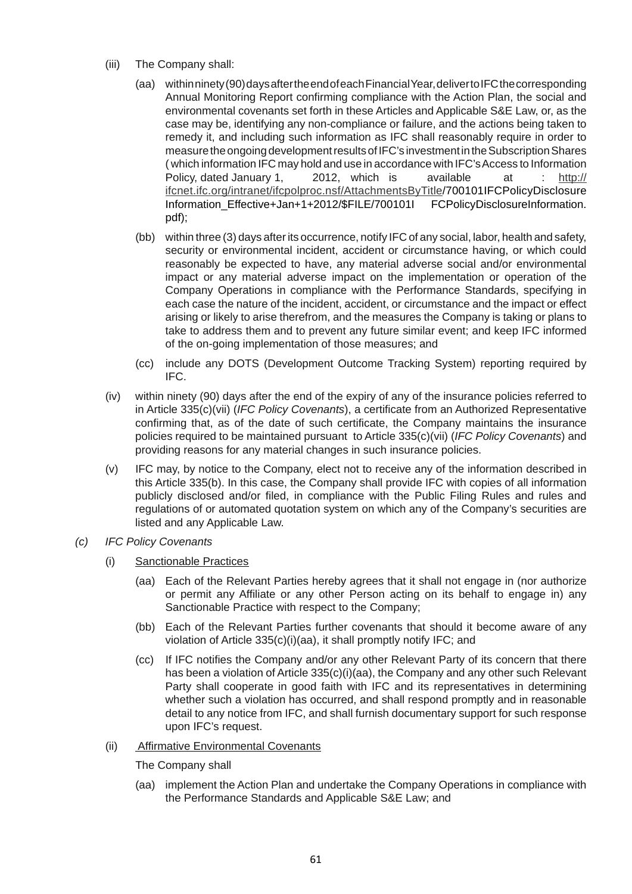- (iii) The Company shall:
	- (aa) within ninety (90) days after the end of each Financial Year, deliver to IFC the corresponding Annual Monitoring Report confirming compliance with the Action Plan, the social and environmental covenants set forth in these Articles and Applicable S&E Law, or, as the case may be, identifying any non-compliance or failure, and the actions being taken to remedy it, and including such information as IFC shall reasonably require in order to measure the ongoing development results of IFC's investment in the Subscription Shares ( which information IFC may hold and use in accordance with IFC's Access to Information Policy, dated January 1, 2012, which is available at : http:// ifcnet.ifc.org/intranet/ifcpolproc.nsf/AttachmentsByTitle/700101IFCPolicyDisclosure Information\_Effective+Jan+1+2012/\$FILE/700101I FCPolicyDisclosureInformation. pdf);
	- (bb) within three (3) days after its occurrence, notify IFC of any social, labor, health and safety, security or environmental incident, accident or circumstance having, or which could reasonably be expected to have, any material adverse social and/or environmental impact or any material adverse impact on the implementation or operation of the Company Operations in compliance with the Performance Standards, specifying in each case the nature of the incident, accident, or circumstance and the impact or effect arising or likely to arise therefrom, and the measures the Company is taking or plans to take to address them and to prevent any future similar event; and keep IFC informed of the on-going implementation of those measures; and
	- (cc) include any DOTS (Development Outcome Tracking System) reporting required by IFC.
- (iv) within ninety (90) days after the end of the expiry of any of the insurance policies referred to in Article 335(c)(vii) (*IFC Policy Covenants*), a certificate from an Authorized Representative confirming that, as of the date of such certificate, the Company maintains the insurance policies required to be maintained pursuant to Article 335(c)(vii) (*IFC Policy Covenants*) and providing reasons for any material changes in such insurance policies.
- (v) IFC may, by notice to the Company, elect not to receive any of the information described in this Article 335(b). In this case, the Company shall provide IFC with copies of all information publicly disclosed and/or filed, in compliance with the Public Filing Rules and rules and regulations of or automated quotation system on which any of the Company's securities are listed and any Applicable Law.
- *(c) IFC Policy Covenants*
	- (i) Sanctionable Practices
		- (aa) Each of the Relevant Parties hereby agrees that it shall not engage in (nor authorize or permit any Affiliate or any other Person acting on its behalf to engage in) any Sanctionable Practice with respect to the Company;
		- (bb) Each of the Relevant Parties further covenants that should it become aware of any violation of Article 335(c)(i)(aa), it shall promptly notify IFC; and
		- (cc) If IFC notifies the Company and/or any other Relevant Party of its concern that there has been a violation of Article 335(c)(i)(aa), the Company and any other such Relevant Party shall cooperate in good faith with IFC and its representatives in determining whether such a violation has occurred, and shall respond promptly and in reasonable detail to any notice from IFC, and shall furnish documentary support for such response upon IFC's request.
	- (ii) Affirmative Environmental Covenants

The Company shall

 (aa) implement the Action Plan and undertake the Company Operations in compliance with the Performance Standards and Applicable S&E Law; and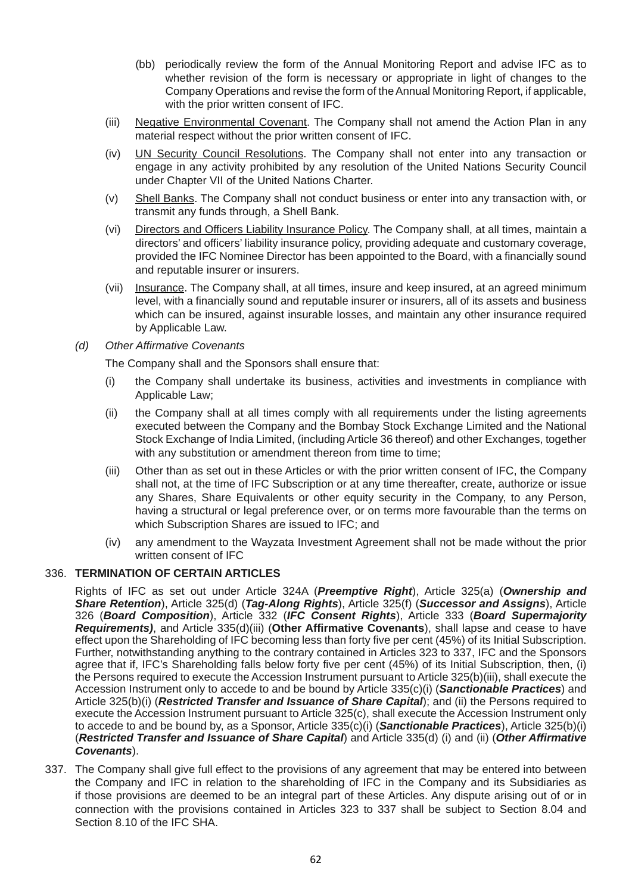- (bb) periodically review the form of the Annual Monitoring Report and advise IFC as to whether revision of the form is necessary or appropriate in light of changes to the Company Operations and revise the form of the Annual Monitoring Report, if applicable, with the prior written consent of IFC.
- (iii) Negative Environmental Covenant. The Company shall not amend the Action Plan in any material respect without the prior written consent of IFC.
- (iv) UN Security Council Resolutions. The Company shall not enter into any transaction or engage in any activity prohibited by any resolution of the United Nations Security Council under Chapter VII of the United Nations Charter.
- (v) Shell Banks. The Company shall not conduct business or enter into any transaction with, or transmit any funds through, a Shell Bank.
- (vi) Directors and Officers Liability Insurance Policy. The Company shall, at all times, maintain a directors' and officers' liability insurance policy, providing adequate and customary coverage, provided the IFC Nominee Director has been appointed to the Board, with a financially sound and reputable insurer or insurers.
- (vii) Insurance. The Company shall, at all times, insure and keep insured, at an agreed minimum level, with a financially sound and reputable insurer or insurers, all of its assets and business which can be insured, against insurable losses, and maintain any other insurance required by Applicable Law.
- *(d) Other Affirmative Covenants*

The Company shall and the Sponsors shall ensure that:

- (i) the Company shall undertake its business, activities and investments in compliance with Applicable Law;
- (ii) the Company shall at all times comply with all requirements under the listing agreements executed between the Company and the Bombay Stock Exchange Limited and the National Stock Exchange of India Limited, (including Article 36 thereof) and other Exchanges, together with any substitution or amendment thereon from time to time;
- (iii) Other than as set out in these Articles or with the prior written consent of IFC, the Company shall not, at the time of IFC Subscription or at any time thereafter, create, authorize or issue any Shares, Share Equivalents or other equity security in the Company, to any Person, having a structural or legal preference over, or on terms more favourable than the terms on which Subscription Shares are issued to IFC; and
- (iv) any amendment to the Wayzata Investment Agreement shall not be made without the prior written consent of IFC

#### 336. **TERMINATION OF CERTAIN ARTICLES**

 Rights of IFC as set out under Article 324A (*Preemptive Right*), Article 325(a) (*Ownership and Share Retention*), Article 325(d) (*Tag-Along Rights*), Article 325(f) (*Successor and Assigns*), Article 326 (*Board Composition*), Article 332 (*IFC Consent Rights*), Article 333 (*Board Supermajority Requirements)*, and Article 335(d)(iii) (**Other Affirmative Covenants**), shall lapse and cease to have effect upon the Shareholding of IFC becoming less than forty five per cent (45%) of its Initial Subscription. Further, notwithstanding anything to the contrary contained in Articles 323 to 337, IFC and the Sponsors agree that if, IFC's Shareholding falls below forty five per cent (45%) of its Initial Subscription, then, (i) the Persons required to execute the Accession Instrument pursuant to Article 325(b)(iii), shall execute the Accession Instrument only to accede to and be bound by Article 335(c)(i) (*Sanctionable Practices*) and Article 325(b)(i) (*Restricted Transfer and Issuance of Share Capital*); and (ii) the Persons required to execute the Accession Instrument pursuant to Article 325(c), shall execute the Accession Instrument only to accede to and be bound by, as a Sponsor, Article 335(c)(i) (*Sanctionable Practices*), Article 325(b)(i) (*Restricted Transfer and Issuance of Share Capital*) and Article 335(d) (i) and (ii) (*Other Affirmative Covenants*).

337. The Company shall give full effect to the provisions of any agreement that may be entered into between the Company and IFC in relation to the shareholding of IFC in the Company and its Subsidiaries as if those provisions are deemed to be an integral part of these Articles. Any dispute arising out of or in connection with the provisions contained in Articles 323 to 337 shall be subject to Section 8.04 and Section 8.10 of the IFC SHA.